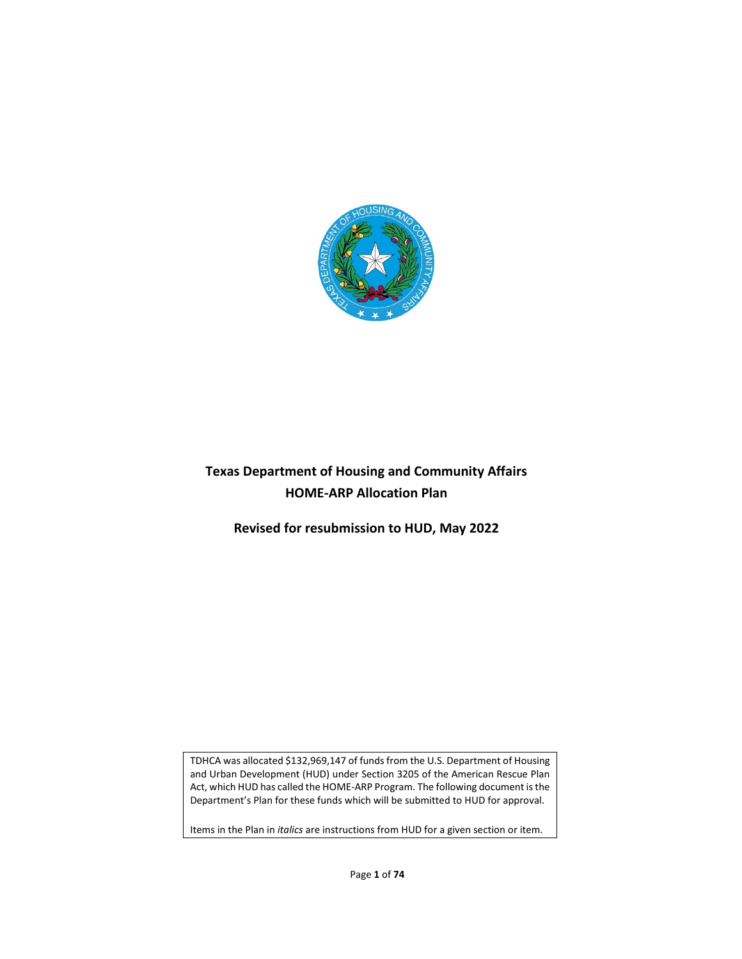

# **Texas Department of Housing and Community Affairs HOME-ARP Allocation Plan**

**Revised for resubmission to HUD, May 2022**

TDHCA was allocated \$132,969,147 of funds from the U.S. Department of Housing and Urban Development (HUD) under Section 3205 of the American Rescue Plan Act, which HUD has called the HOME-ARP Program. The following document is the Department's Plan for these funds which will be submitted to HUD for approval.

Items in the Plan in *italics* are instructions from HUD for a given section or item.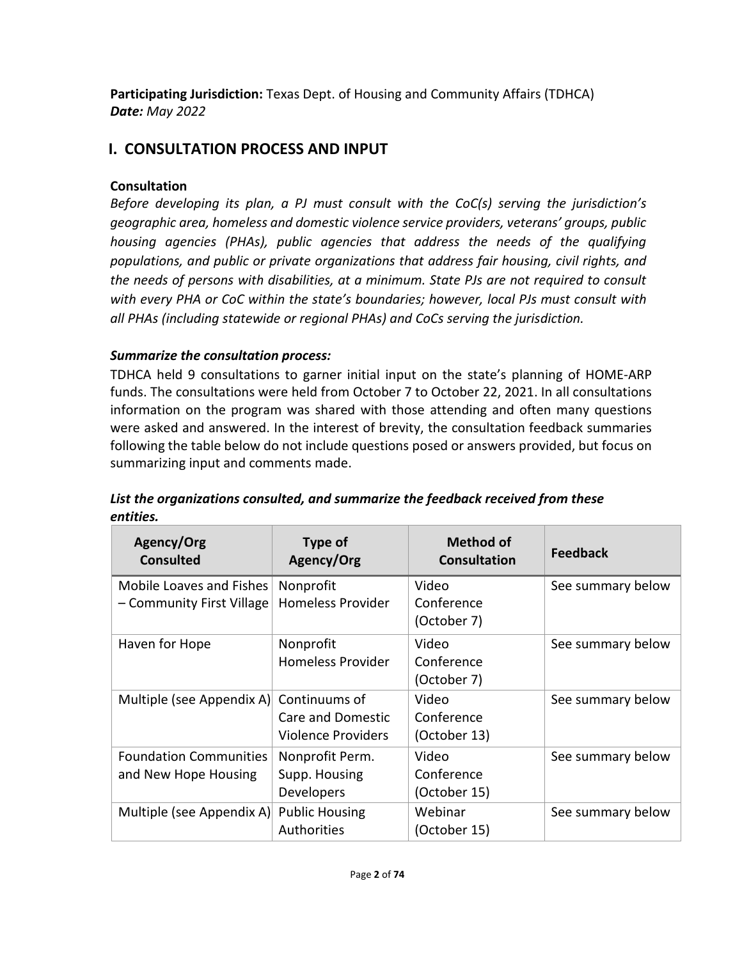**Participating Jurisdiction:** Texas Dept. of Housing and Community Affairs (TDHCA) *Date: May 2022*

# **I. CONSULTATION PROCESS AND INPUT**

### **Consultation**

*Before developing its plan, a PJ must consult with the CoC(s) serving the jurisdiction's geographic area, homeless and domestic violence service providers, veterans' groups, public housing agencies (PHAs), public agencies that address the needs of the qualifying populations, and public or private organizations that address fair housing, civil rights, and the needs of persons with disabilities, at a minimum. State PJs are not required to consult with every PHA or CoC within the state's boundaries; however, local PJs must consult with all PHAs (including statewide or regional PHAs) and CoCs serving the jurisdiction.*

## *Summarize the consultation process:*

TDHCA held 9 consultations to garner initial input on the state's planning of HOME-ARP funds. The consultations were held from October 7 to October 22, 2021. In all consultations information on the program was shared with those attending and often many questions were asked and answered. In the interest of brevity, the consultation feedback summaries following the table below do not include questions posed or answers provided, but focus on summarizing input and comments made.

| Agency/Org<br><b>Consulted</b>                        | <b>Type of</b><br>Agency/Org                                    | <b>Method of</b><br><b>Consultation</b> | <b>Feedback</b>   |
|-------------------------------------------------------|-----------------------------------------------------------------|-----------------------------------------|-------------------|
| Mobile Loaves and Fishes<br>- Community First Village | Nonprofit<br><b>Homeless Provider</b>                           | Video<br>Conference<br>(October 7)      | See summary below |
| Haven for Hope                                        | Nonprofit<br><b>Homeless Provider</b>                           | Video<br>Conference<br>(October 7)      | See summary below |
| Multiple (see Appendix A)                             | Continuums of<br>Care and Domestic<br><b>Violence Providers</b> | Video<br>Conference<br>(October 13)     | See summary below |
| <b>Foundation Communities</b><br>and New Hope Housing | Nonprofit Perm.<br>Supp. Housing<br><b>Developers</b>           | Video<br>Conference<br>(October 15)     | See summary below |
| Multiple (see Appendix A)                             | <b>Public Housing</b><br>Authorities                            | Webinar<br>(October 15)                 | See summary below |

### *List the organizations consulted, and summarize the feedback received from these entities.*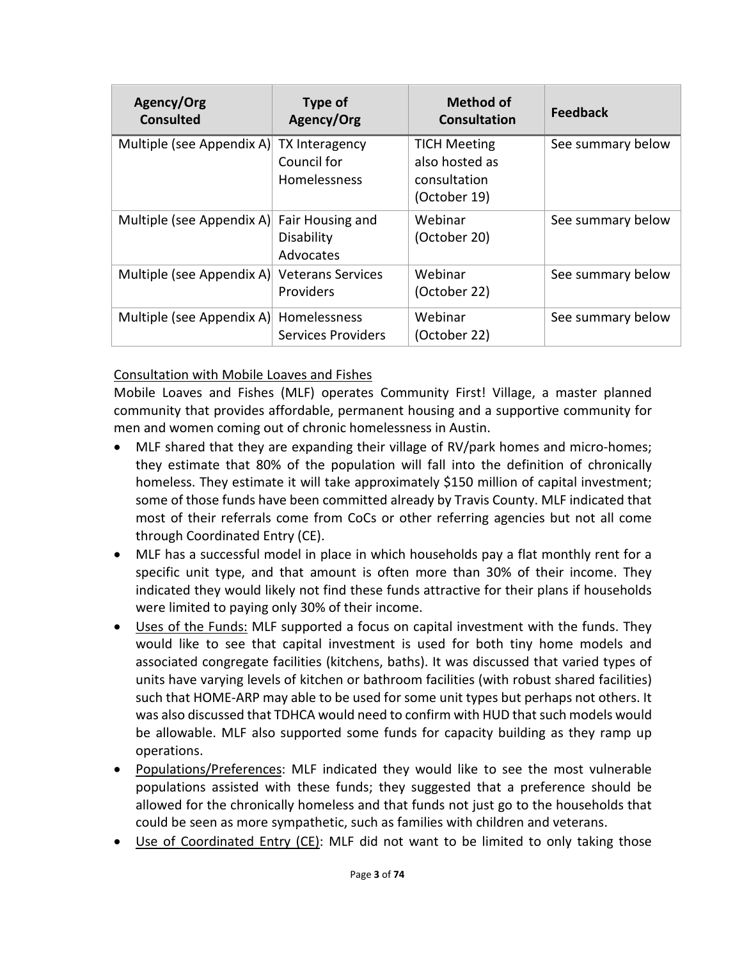| Agency/Org<br><b>Consulted</b> | Type of<br>Agency/Org                         | <b>Method of</b><br><b>Consultation</b>                               | <b>Feedback</b>   |
|--------------------------------|-----------------------------------------------|-----------------------------------------------------------------------|-------------------|
| Multiple (see Appendix A)      | TX Interagency<br>Council for<br>Homelessness | <b>TICH Meeting</b><br>also hosted as<br>consultation<br>(October 19) | See summary below |
| Multiple (see Appendix A)      | Fair Housing and<br>Disability<br>Advocates   | Webinar<br>(October 20)                                               | See summary below |
| Multiple (see Appendix A)      | <b>Veterans Services</b><br>Providers         | Webinar<br>(October 22)                                               | See summary below |
| Multiple (see Appendix A)      | Homelessness<br>Services Providers            | Webinar<br>(October 22)                                               | See summary below |

### Consultation with Mobile Loaves and Fishes

Mobile Loaves and Fishes (MLF) operates Community First! Village, a master planned community that provides affordable, permanent housing and a supportive community for men and women coming out of chronic homelessness in Austin.

- MLF shared that they are expanding their village of RV/park homes and micro-homes; they estimate that 80% of the population will fall into the definition of chronically homeless. They estimate it will take approximately \$150 million of capital investment; some of those funds have been committed already by Travis County. MLF indicated that most of their referrals come from CoCs or other referring agencies but not all come through Coordinated Entry (CE).
- MLF has a successful model in place in which households pay a flat monthly rent for a specific unit type, and that amount is often more than 30% of their income. They indicated they would likely not find these funds attractive for their plans if households were limited to paying only 30% of their income.
- Uses of the Funds: MLF supported a focus on capital investment with the funds. They would like to see that capital investment is used for both tiny home models and associated congregate facilities (kitchens, baths). It was discussed that varied types of units have varying levels of kitchen or bathroom facilities (with robust shared facilities) such that HOME-ARP may able to be used for some unit types but perhaps not others. It was also discussed that TDHCA would need to confirm with HUD that such models would be allowable. MLF also supported some funds for capacity building as they ramp up operations.
- Populations/Preferences: MLF indicated they would like to see the most vulnerable populations assisted with these funds; they suggested that a preference should be allowed for the chronically homeless and that funds not just go to the households that could be seen as more sympathetic, such as families with children and veterans.
- Use of Coordinated Entry (CE): MLF did not want to be limited to only taking those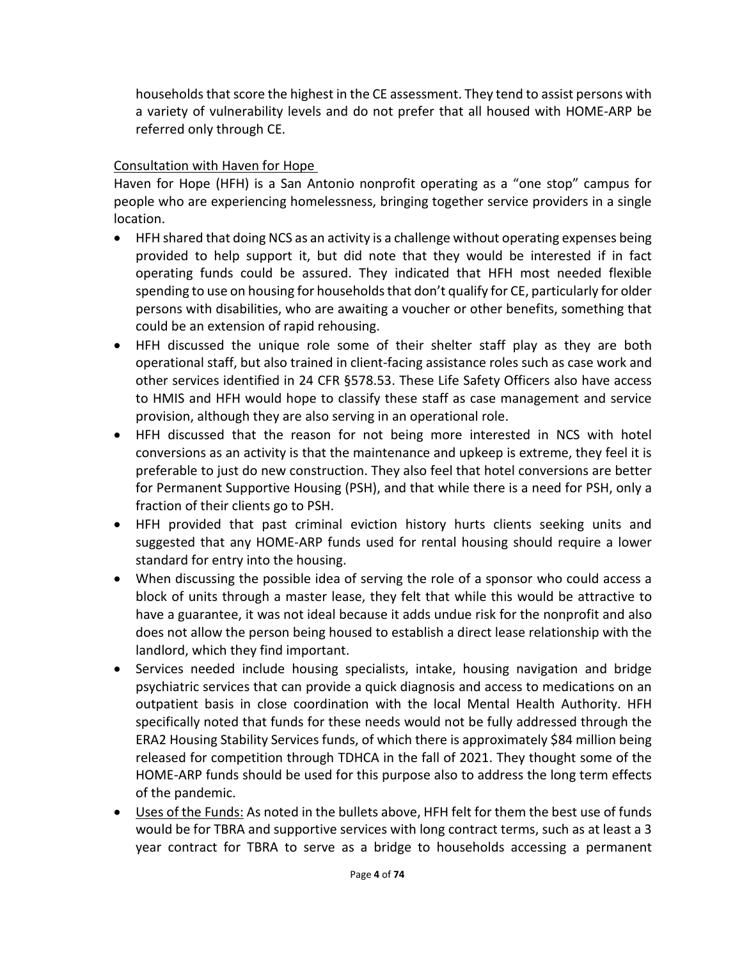households that score the highest in the CE assessment. They tend to assist persons with a variety of vulnerability levels and do not prefer that all housed with HOME-ARP be referred only through CE.

## Consultation with Haven for Hope

Haven for Hope (HFH) is a San Antonio nonprofit operating as a "one stop" campus for people who are experiencing homelessness, bringing together service providers in a single location.

- HFH shared that doing NCS as an activity is a challenge without operating expenses being provided to help support it, but did note that they would be interested if in fact operating funds could be assured. They indicated that HFH most needed flexible spending to use on housing for households that don't qualify for CE, particularly for older persons with disabilities, who are awaiting a voucher or other benefits, something that could be an extension of rapid rehousing.
- HFH discussed the unique role some of their shelter staff play as they are both operational staff, but also trained in client-facing assistance roles such as case work and other services identified in 24 CFR §578.53. These Life Safety Officers also have access to HMIS and HFH would hope to classify these staff as case management and service provision, although they are also serving in an operational role.
- HFH discussed that the reason for not being more interested in NCS with hotel conversions as an activity is that the maintenance and upkeep is extreme, they feel it is preferable to just do new construction. They also feel that hotel conversions are better for Permanent Supportive Housing (PSH), and that while there is a need for PSH, only a fraction of their clients go to PSH.
- HFH provided that past criminal eviction history hurts clients seeking units and suggested that any HOME-ARP funds used for rental housing should require a lower standard for entry into the housing.
- When discussing the possible idea of serving the role of a sponsor who could access a block of units through a master lease, they felt that while this would be attractive to have a guarantee, it was not ideal because it adds undue risk for the nonprofit and also does not allow the person being housed to establish a direct lease relationship with the landlord, which they find important.
- Services needed include housing specialists, intake, housing navigation and bridge psychiatric services that can provide a quick diagnosis and access to medications on an outpatient basis in close coordination with the local Mental Health Authority. HFH specifically noted that funds for these needs would not be fully addressed through the ERA2 Housing Stability Services funds, of which there is approximately \$84 million being released for competition through TDHCA in the fall of 2021. They thought some of the HOME-ARP funds should be used for this purpose also to address the long term effects of the pandemic.
- Uses of the Funds: As noted in the bullets above, HFH felt for them the best use of funds would be for TBRA and supportive services with long contract terms, such as at least a 3 year contract for TBRA to serve as a bridge to households accessing a permanent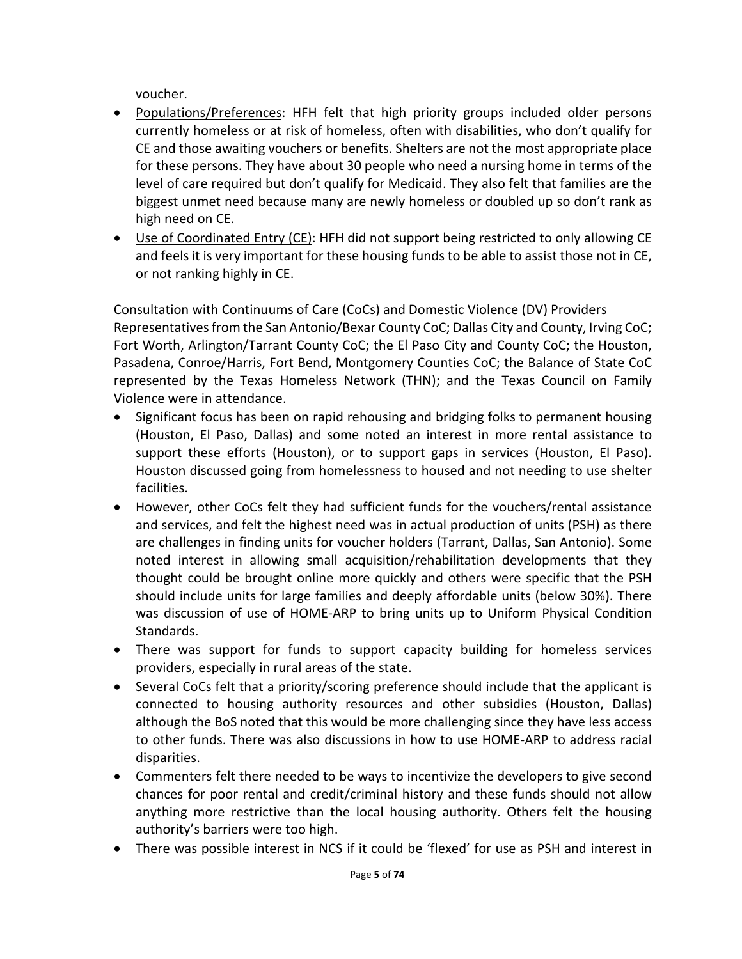voucher.

- Populations/Preferences: HFH felt that high priority groups included older persons currently homeless or at risk of homeless, often with disabilities, who don't qualify for CE and those awaiting vouchers or benefits. Shelters are not the most appropriate place for these persons. They have about 30 people who need a nursing home in terms of the level of care required but don't qualify for Medicaid. They also felt that families are the biggest unmet need because many are newly homeless or doubled up so don't rank as high need on CE.
- Use of Coordinated Entry (CE): HFH did not support being restricted to only allowing CE and feels it is very important for these housing funds to be able to assist those not in CE, or not ranking highly in CE.

# Consultation with Continuums of Care (CoCs) and Domestic Violence (DV) Providers

Representatives from the San Antonio/Bexar County CoC; Dallas City and County, Irving CoC; Fort Worth, Arlington/Tarrant County CoC; the El Paso City and County CoC; the Houston, Pasadena, Conroe/Harris, Fort Bend, Montgomery Counties CoC; the Balance of State CoC represented by the Texas Homeless Network (THN); and the Texas Council on Family Violence were in attendance.

- Significant focus has been on rapid rehousing and bridging folks to permanent housing (Houston, El Paso, Dallas) and some noted an interest in more rental assistance to support these efforts (Houston), or to support gaps in services (Houston, El Paso). Houston discussed going from homelessness to housed and not needing to use shelter facilities.
- However, other CoCs felt they had sufficient funds for the vouchers/rental assistance and services, and felt the highest need was in actual production of units (PSH) as there are challenges in finding units for voucher holders (Tarrant, Dallas, San Antonio). Some noted interest in allowing small acquisition/rehabilitation developments that they thought could be brought online more quickly and others were specific that the PSH should include units for large families and deeply affordable units (below 30%). There was discussion of use of HOME-ARP to bring units up to Uniform Physical Condition Standards.
- There was support for funds to support capacity building for homeless services providers, especially in rural areas of the state.
- Several CoCs felt that a priority/scoring preference should include that the applicant is connected to housing authority resources and other subsidies (Houston, Dallas) although the BoS noted that this would be more challenging since they have less access to other funds. There was also discussions in how to use HOME-ARP to address racial disparities.
- Commenters felt there needed to be ways to incentivize the developers to give second chances for poor rental and credit/criminal history and these funds should not allow anything more restrictive than the local housing authority. Others felt the housing authority's barriers were too high.
- There was possible interest in NCS if it could be 'flexed' for use as PSH and interest in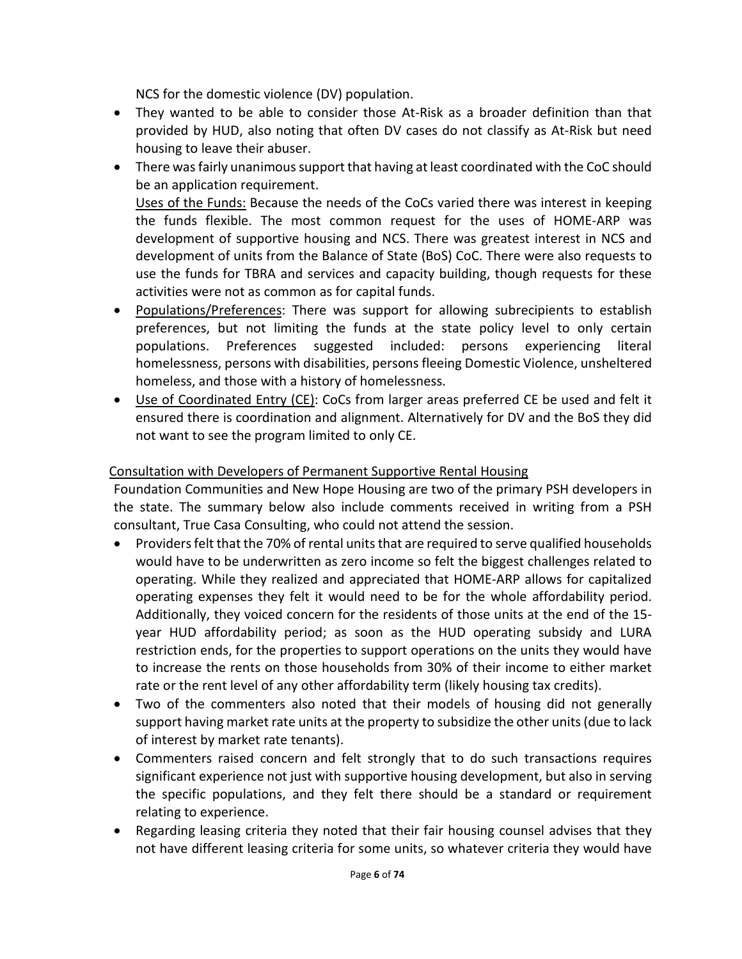NCS for the domestic violence (DV) population.

- They wanted to be able to consider those At-Risk as a broader definition than that provided by HUD, also noting that often DV cases do not classify as At-Risk but need housing to leave their abuser.
- There was fairly unanimous support that having at least coordinated with the CoC should be an application requirement.

Uses of the Funds: Because the needs of the CoCs varied there was interest in keeping the funds flexible. The most common request for the uses of HOME-ARP was development of supportive housing and NCS. There was greatest interest in NCS and development of units from the Balance of State (BoS) CoC. There were also requests to use the funds for TBRA and services and capacity building, though requests for these activities were not as common as for capital funds.

- Populations/Preferences: There was support for allowing subrecipients to establish preferences, but not limiting the funds at the state policy level to only certain populations. Preferences suggested included: persons experiencing literal homelessness, persons with disabilities, persons fleeing Domestic Violence, unsheltered homeless, and those with a history of homelessness.
- Use of Coordinated Entry (CE): CoCs from larger areas preferred CE be used and felt it ensured there is coordination and alignment. Alternatively for DV and the BoS they did not want to see the program limited to only CE.

## Consultation with Developers of Permanent Supportive Rental Housing

Foundation Communities and New Hope Housing are two of the primary PSH developers in the state. The summary below also include comments received in writing from a PSH consultant, True Casa Consulting, who could not attend the session.

- Providers felt that the 70% of rental units that are required to serve qualified households would have to be underwritten as zero income so felt the biggest challenges related to operating. While they realized and appreciated that HOME-ARP allows for capitalized operating expenses they felt it would need to be for the whole affordability period. Additionally, they voiced concern for the residents of those units at the end of the 15 year HUD affordability period; as soon as the HUD operating subsidy and LURA restriction ends, for the properties to support operations on the units they would have to increase the rents on those households from 30% of their income to either market rate or the rent level of any other affordability term (likely housing tax credits).
- Two of the commenters also noted that their models of housing did not generally support having market rate units at the property to subsidize the other units (due to lack of interest by market rate tenants).
- Commenters raised concern and felt strongly that to do such transactions requires significant experience not just with supportive housing development, but also in serving the specific populations, and they felt there should be a standard or requirement relating to experience.
- Regarding leasing criteria they noted that their fair housing counsel advises that they not have different leasing criteria for some units, so whatever criteria they would have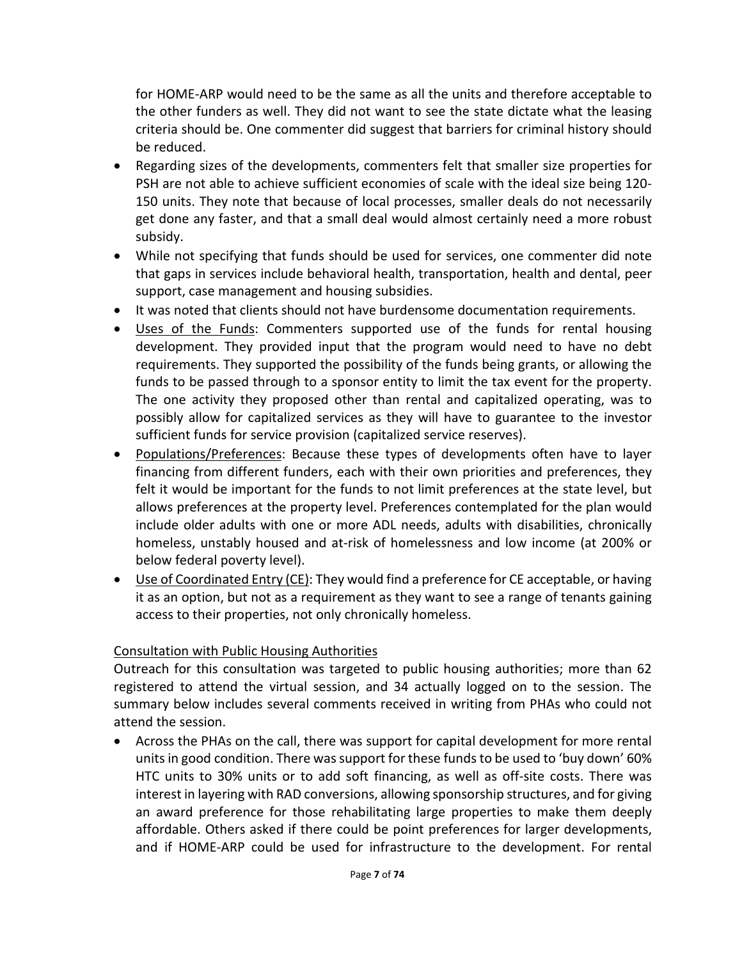for HOME-ARP would need to be the same as all the units and therefore acceptable to the other funders as well. They did not want to see the state dictate what the leasing criteria should be. One commenter did suggest that barriers for criminal history should be reduced.

- Regarding sizes of the developments, commenters felt that smaller size properties for PSH are not able to achieve sufficient economies of scale with the ideal size being 120- 150 units. They note that because of local processes, smaller deals do not necessarily get done any faster, and that a small deal would almost certainly need a more robust subsidy.
- While not specifying that funds should be used for services, one commenter did note that gaps in services include behavioral health, transportation, health and dental, peer support, case management and housing subsidies.
- It was noted that clients should not have burdensome documentation requirements.
- Uses of the Funds: Commenters supported use of the funds for rental housing development. They provided input that the program would need to have no debt requirements. They supported the possibility of the funds being grants, or allowing the funds to be passed through to a sponsor entity to limit the tax event for the property. The one activity they proposed other than rental and capitalized operating, was to possibly allow for capitalized services as they will have to guarantee to the investor sufficient funds for service provision (capitalized service reserves).
- Populations/Preferences: Because these types of developments often have to layer financing from different funders, each with their own priorities and preferences, they felt it would be important for the funds to not limit preferences at the state level, but allows preferences at the property level. Preferences contemplated for the plan would include older adults with one or more ADL needs, adults with disabilities, chronically homeless, unstably housed and at-risk of homelessness and low income (at 200% or below federal poverty level).
- Use of Coordinated Entry (CE): They would find a preference for CE acceptable, or having it as an option, but not as a requirement as they want to see a range of tenants gaining access to their properties, not only chronically homeless.

### Consultation with Public Housing Authorities

Outreach for this consultation was targeted to public housing authorities; more than 62 registered to attend the virtual session, and 34 actually logged on to the session. The summary below includes several comments received in writing from PHAs who could not attend the session.

• Across the PHAs on the call, there was support for capital development for more rental units in good condition. There was support for these funds to be used to 'buy down' 60% HTC units to 30% units or to add soft financing, as well as off-site costs. There was interest in layering with RAD conversions, allowing sponsorship structures, and for giving an award preference for those rehabilitating large properties to make them deeply affordable. Others asked if there could be point preferences for larger developments, and if HOME-ARP could be used for infrastructure to the development. For rental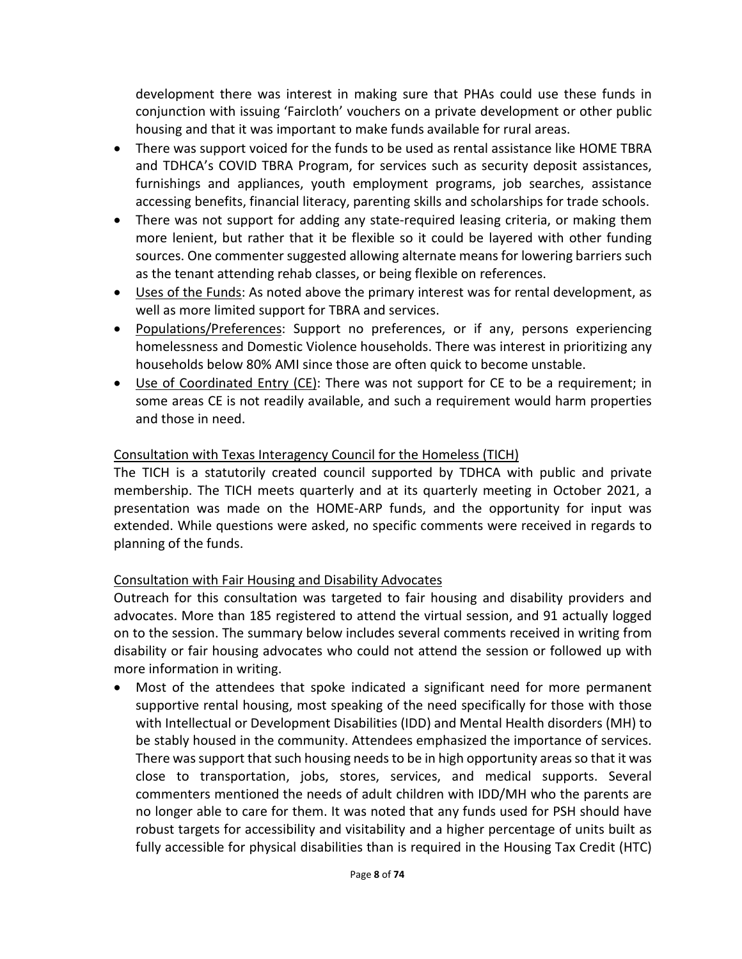development there was interest in making sure that PHAs could use these funds in conjunction with issuing 'Faircloth' vouchers on a private development or other public housing and that it was important to make funds available for rural areas.

- There was support voiced for the funds to be used as rental assistance like HOME TBRA and TDHCA's COVID TBRA Program, for services such as security deposit assistances, furnishings and appliances, youth employment programs, job searches, assistance accessing benefits, financial literacy, parenting skills and scholarships for trade schools.
- There was not support for adding any state-required leasing criteria, or making them more lenient, but rather that it be flexible so it could be layered with other funding sources. One commenter suggested allowing alternate means for lowering barriers such as the tenant attending rehab classes, or being flexible on references.
- Uses of the Funds: As noted above the primary interest was for rental development, as well as more limited support for TBRA and services.
- Populations/Preferences: Support no preferences, or if any, persons experiencing homelessness and Domestic Violence households. There was interest in prioritizing any households below 80% AMI since those are often quick to become unstable.
- Use of Coordinated Entry (CE): There was not support for CE to be a requirement; in some areas CE is not readily available, and such a requirement would harm properties and those in need.

## Consultation with Texas Interagency Council for the Homeless (TICH)

The TICH is a statutorily created council supported by TDHCA with public and private membership. The TICH meets quarterly and at its quarterly meeting in October 2021, a presentation was made on the HOME-ARP funds, and the opportunity for input was extended. While questions were asked, no specific comments were received in regards to planning of the funds.

### Consultation with Fair Housing and Disability Advocates

Outreach for this consultation was targeted to fair housing and disability providers and advocates. More than 185 registered to attend the virtual session, and 91 actually logged on to the session. The summary below includes several comments received in writing from disability or fair housing advocates who could not attend the session or followed up with more information in writing.

• Most of the attendees that spoke indicated a significant need for more permanent supportive rental housing, most speaking of the need specifically for those with those with Intellectual or Development Disabilities (IDD) and Mental Health disorders (MH) to be stably housed in the community. Attendees emphasized the importance of services. There was support that such housing needs to be in high opportunity areas so that it was close to transportation, jobs, stores, services, and medical supports. Several commenters mentioned the needs of adult children with IDD/MH who the parents are no longer able to care for them. It was noted that any funds used for PSH should have robust targets for accessibility and visitability and a higher percentage of units built as fully accessible for physical disabilities than is required in the Housing Tax Credit (HTC)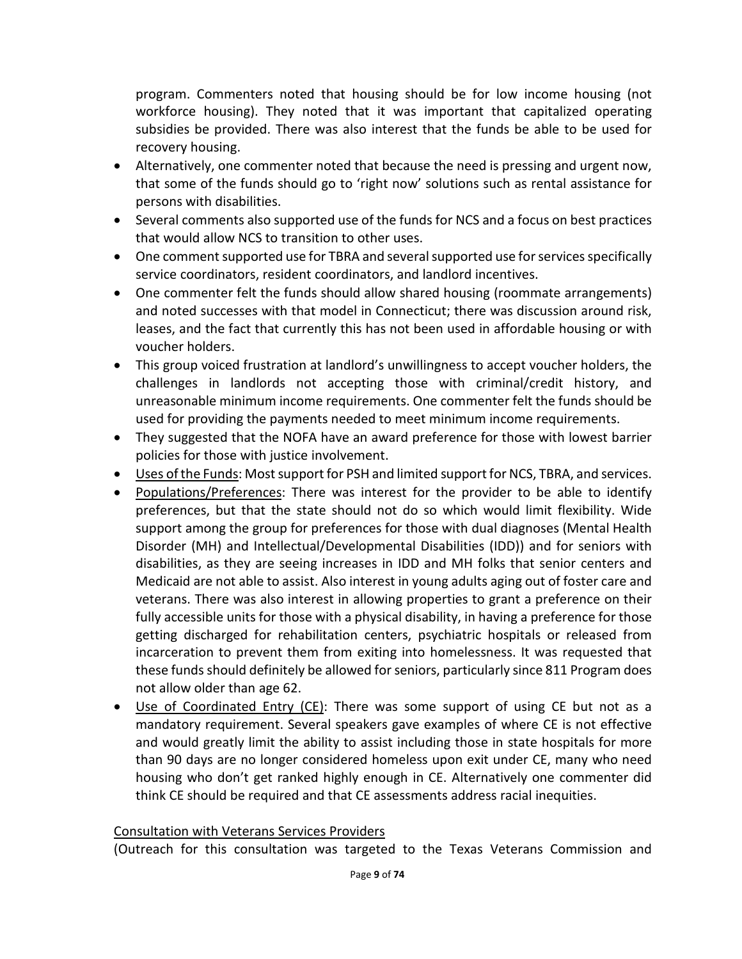program. Commenters noted that housing should be for low income housing (not workforce housing). They noted that it was important that capitalized operating subsidies be provided. There was also interest that the funds be able to be used for recovery housing.

- Alternatively, one commenter noted that because the need is pressing and urgent now, that some of the funds should go to 'right now' solutions such as rental assistance for persons with disabilities.
- Several comments also supported use of the funds for NCS and a focus on best practices that would allow NCS to transition to other uses.
- One comment supported use for TBRA and several supported use for services specifically service coordinators, resident coordinators, and landlord incentives.
- One commenter felt the funds should allow shared housing (roommate arrangements) and noted successes with that model in Connecticut; there was discussion around risk, leases, and the fact that currently this has not been used in affordable housing or with voucher holders.
- This group voiced frustration at landlord's unwillingness to accept voucher holders, the challenges in landlords not accepting those with criminal/credit history, and unreasonable minimum income requirements. One commenter felt the funds should be used for providing the payments needed to meet minimum income requirements.
- They suggested that the NOFA have an award preference for those with lowest barrier policies for those with justice involvement.
- Uses of the Funds: Most support for PSH and limited support for NCS, TBRA, and services.
- Populations/Preferences: There was interest for the provider to be able to identify preferences, but that the state should not do so which would limit flexibility. Wide support among the group for preferences for those with dual diagnoses (Mental Health Disorder (MH) and Intellectual/Developmental Disabilities (IDD)) and for seniors with disabilities, as they are seeing increases in IDD and MH folks that senior centers and Medicaid are not able to assist. Also interest in young adults aging out of foster care and veterans. There was also interest in allowing properties to grant a preference on their fully accessible units for those with a physical disability, in having a preference for those getting discharged for rehabilitation centers, psychiatric hospitals or released from incarceration to prevent them from exiting into homelessness. It was requested that these funds should definitely be allowed for seniors, particularly since 811 Program does not allow older than age 62.
- Use of Coordinated Entry (CE): There was some support of using CE but not as a mandatory requirement. Several speakers gave examples of where CE is not effective and would greatly limit the ability to assist including those in state hospitals for more than 90 days are no longer considered homeless upon exit under CE, many who need housing who don't get ranked highly enough in CE. Alternatively one commenter did think CE should be required and that CE assessments address racial inequities.

#### Consultation with Veterans Services Providers

(Outreach for this consultation was targeted to the Texas Veterans Commission and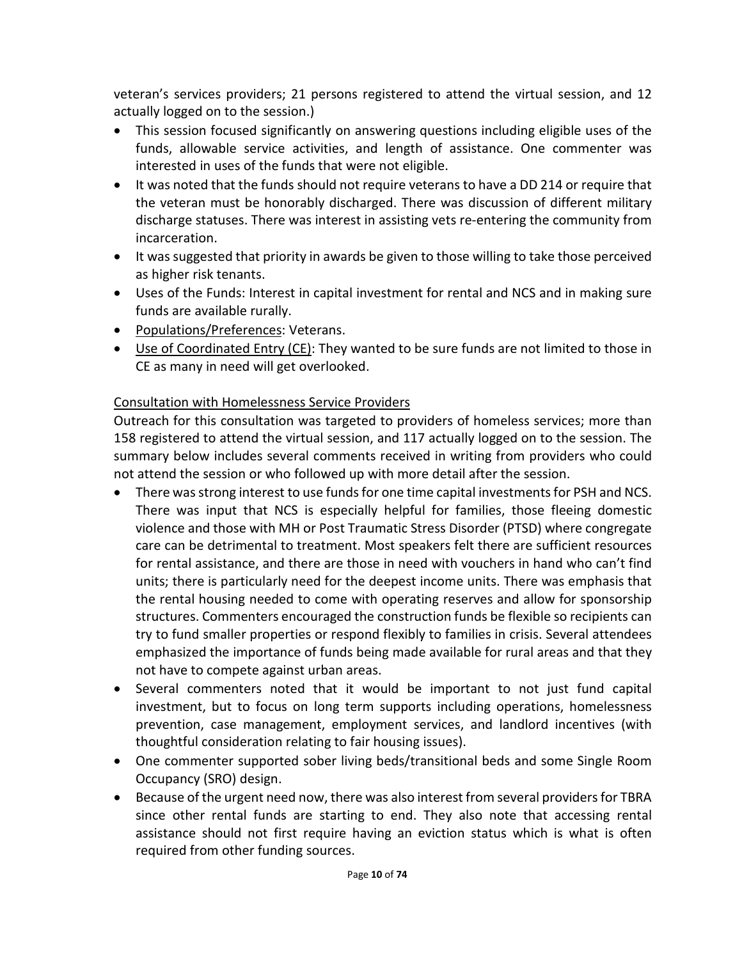veteran's services providers; 21 persons registered to attend the virtual session, and 12 actually logged on to the session.)

- This session focused significantly on answering questions including eligible uses of the funds, allowable service activities, and length of assistance. One commenter was interested in uses of the funds that were not eligible.
- It was noted that the funds should not require veterans to have a DD 214 or require that the veteran must be honorably discharged. There was discussion of different military discharge statuses. There was interest in assisting vets re-entering the community from incarceration.
- It was suggested that priority in awards be given to those willing to take those perceived as higher risk tenants.
- Uses of the Funds: Interest in capital investment for rental and NCS and in making sure funds are available rurally.
- Populations/Preferences: Veterans.
- Use of Coordinated Entry (CE): They wanted to be sure funds are not limited to those in CE as many in need will get overlooked.

# Consultation with Homelessness Service Providers

Outreach for this consultation was targeted to providers of homeless services; more than 158 registered to attend the virtual session, and 117 actually logged on to the session. The summary below includes several comments received in writing from providers who could not attend the session or who followed up with more detail after the session.

- There was strong interest to use funds for one time capital investments for PSH and NCS. There was input that NCS is especially helpful for families, those fleeing domestic violence and those with MH or Post Traumatic Stress Disorder (PTSD) where congregate care can be detrimental to treatment. Most speakers felt there are sufficient resources for rental assistance, and there are those in need with vouchers in hand who can't find units; there is particularly need for the deepest income units. There was emphasis that the rental housing needed to come with operating reserves and allow for sponsorship structures. Commenters encouraged the construction funds be flexible so recipients can try to fund smaller properties or respond flexibly to families in crisis. Several attendees emphasized the importance of funds being made available for rural areas and that they not have to compete against urban areas.
- Several commenters noted that it would be important to not just fund capital investment, but to focus on long term supports including operations, homelessness prevention, case management, employment services, and landlord incentives (with thoughtful consideration relating to fair housing issues).
- One commenter supported sober living beds/transitional beds and some Single Room Occupancy (SRO) design.
- Because of the urgent need now, there was also interest from several providers for TBRA since other rental funds are starting to end. They also note that accessing rental assistance should not first require having an eviction status which is what is often required from other funding sources.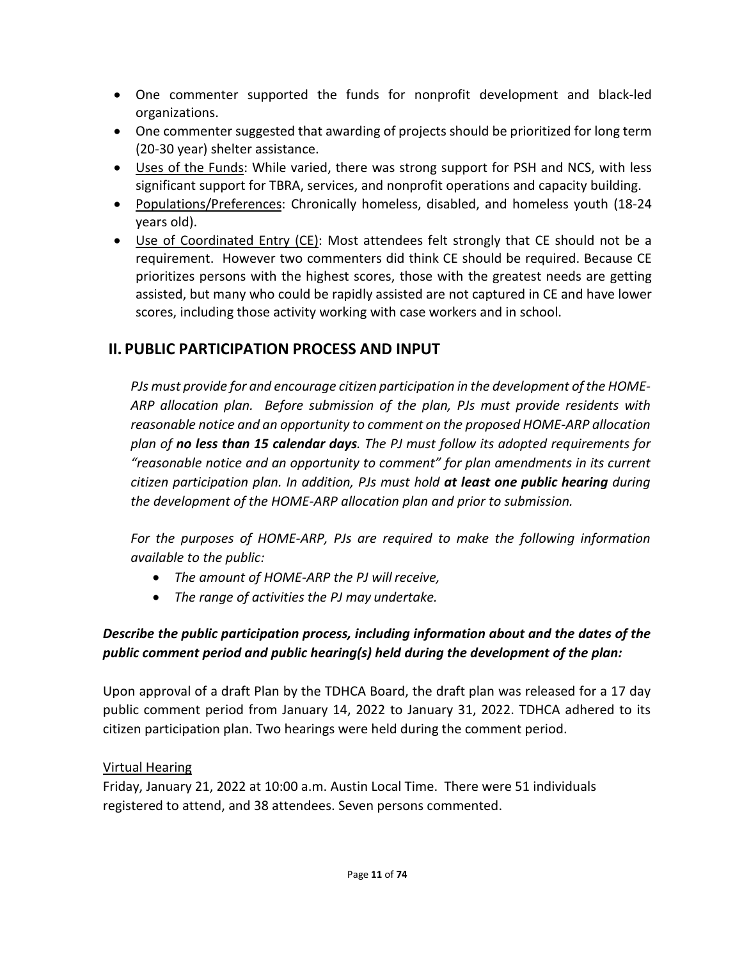- One commenter supported the funds for nonprofit development and black-led organizations.
- One commenter suggested that awarding of projects should be prioritized for long term (20-30 year) shelter assistance.
- Uses of the Funds: While varied, there was strong support for PSH and NCS, with less significant support for TBRA, services, and nonprofit operations and capacity building.
- Populations/Preferences: Chronically homeless, disabled, and homeless youth (18-24) years old).
- Use of Coordinated Entry (CE): Most attendees felt strongly that CE should not be a requirement. However two commenters did think CE should be required. Because CE prioritizes persons with the highest scores, those with the greatest needs are getting assisted, but many who could be rapidly assisted are not captured in CE and have lower scores, including those activity working with case workers and in school.

# **II. PUBLIC PARTICIPATION PROCESS AND INPUT**

*PJs must provide for and encourage citizen participation in the development of the HOME-ARP allocation plan. Before submission of the plan, PJs must provide residents with reasonable notice and an opportunity to comment on the proposed HOME-ARP allocation plan of no less than 15 calendar days. The PJ must follow its adopted requirements for "reasonable notice and an opportunity to comment" for plan amendments in its current citizen participation plan. In addition, PJs must hold at least one public hearing during the development of the HOME-ARP allocation plan and prior to submission.*

*For the purposes of HOME-ARP, PJs are required to make the following information available to the public:*

- *The amount of HOME-ARP the PJ willreceive,*
- *The range of activities the PJ may undertake.*

# *Describe the public participation process, including information about and the dates of the public comment period and public hearing(s) held during the development of the plan:*

Upon approval of a draft Plan by the TDHCA Board, the draft plan was released for a 17 day public comment period from January 14, 2022 to January 31, 2022. TDHCA adhered to its citizen participation plan. Two hearings were held during the comment period.

## Virtual Hearing

Friday, January 21, 2022 at 10:00 a.m. Austin Local Time. There were 51 individuals registered to attend, and 38 attendees. Seven persons commented.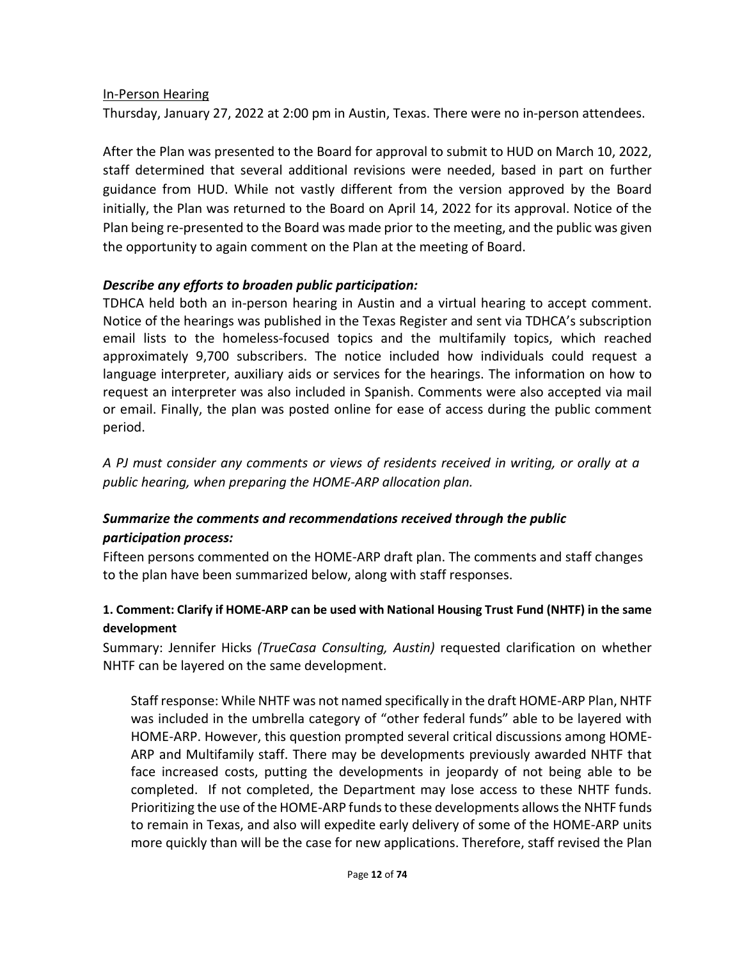### In-Person Hearing

Thursday, January 27, 2022 at 2:00 pm in Austin, Texas. There were no in-person attendees.

After the Plan was presented to the Board for approval to submit to HUD on March 10, 2022, staff determined that several additional revisions were needed, based in part on further guidance from HUD. While not vastly different from the version approved by the Board initially, the Plan was returned to the Board on April 14, 2022 for its approval. Notice of the Plan being re-presented to the Board was made prior to the meeting, and the public was given the opportunity to again comment on the Plan at the meeting of Board.

## *Describe any efforts to broaden public participation:*

TDHCA held both an in-person hearing in Austin and a virtual hearing to accept comment. Notice of the hearings was published in the Texas Register and sent via TDHCA's subscription email lists to the homeless-focused topics and the multifamily topics, which reached approximately 9,700 subscribers. The notice included how individuals could request a language interpreter, auxiliary aids or services for the hearings. The information on how to request an interpreter was also included in Spanish. Comments were also accepted via mail or email. Finally, the plan was posted online for ease of access during the public comment period.

*A PJ must consider any comments or views of residents received in writing, or orally at a public hearing, when preparing the HOME-ARP allocation plan.*

## *Summarize the comments and recommendations received through the public participation process:*

Fifteen persons commented on the HOME-ARP draft plan. The comments and staff changes to the plan have been summarized below, along with staff responses.

## **1. Comment: Clarify if HOME-ARP can be used with National Housing Trust Fund (NHTF) in the same development**

Summary: Jennifer Hicks *(TrueCasa Consulting, Austin)* requested clarification on whether NHTF can be layered on the same development.

Staff response: While NHTF was not named specifically in the draft HOME-ARP Plan, NHTF was included in the umbrella category of "other federal funds" able to be layered with HOME-ARP. However, this question prompted several critical discussions among HOME-ARP and Multifamily staff. There may be developments previously awarded NHTF that face increased costs, putting the developments in jeopardy of not being able to be completed. If not completed, the Department may lose access to these NHTF funds. Prioritizing the use of the HOME-ARP funds to these developments allows the NHTF funds to remain in Texas, and also will expedite early delivery of some of the HOME-ARP units more quickly than will be the case for new applications. Therefore, staff revised the Plan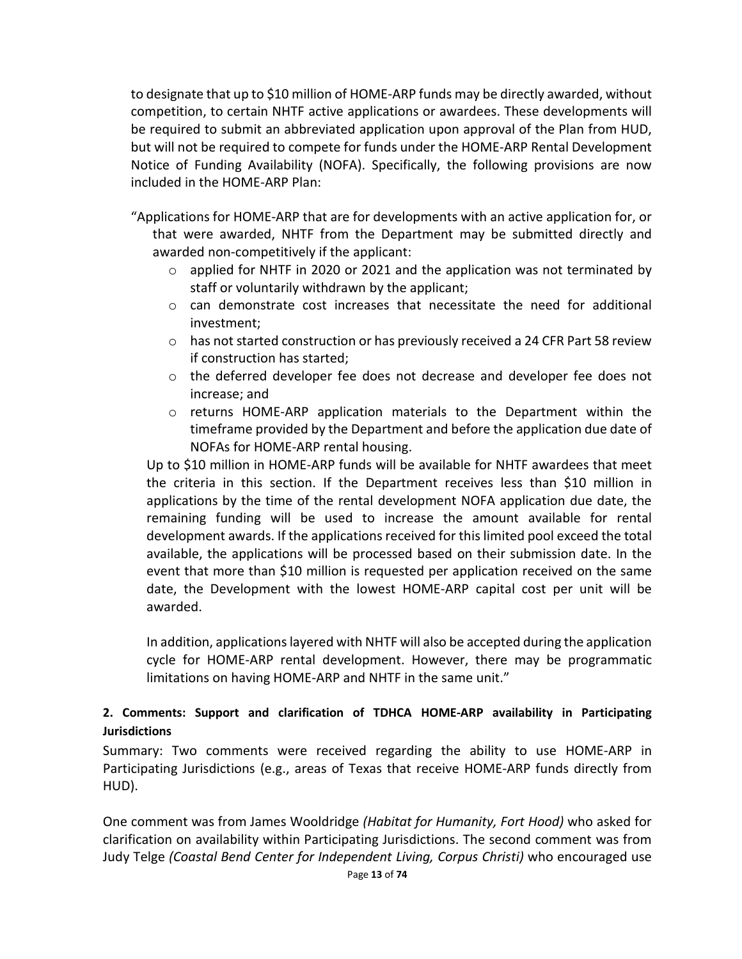to designate that up to \$10 million of HOME-ARP funds may be directly awarded, without competition, to certain NHTF active applications or awardees. These developments will be required to submit an abbreviated application upon approval of the Plan from HUD, but will not be required to compete for funds under the HOME-ARP Rental Development Notice of Funding Availability (NOFA). Specifically, the following provisions are now included in the HOME-ARP Plan:

"Applications for HOME-ARP that are for developments with an active application for, or that were awarded, NHTF from the Department may be submitted directly and awarded non-competitively if the applicant:

- $\circ$  applied for NHTF in 2020 or 2021 and the application was not terminated by staff or voluntarily withdrawn by the applicant;
- $\circ$  can demonstrate cost increases that necessitate the need for additional investment;
- $\circ$  has not started construction or has previously received a 24 CFR Part 58 review if construction has started;
- o the deferred developer fee does not decrease and developer fee does not increase; and
- $\circ$  returns HOME-ARP application materials to the Department within the timeframe provided by the Department and before the application due date of NOFAs for HOME-ARP rental housing.

Up to \$10 million in HOME-ARP funds will be available for NHTF awardees that meet the criteria in this section. If the Department receives less than \$10 million in applications by the time of the rental development NOFA application due date, the remaining funding will be used to increase the amount available for rental development awards. If the applications received for this limited pool exceed the total available, the applications will be processed based on their submission date. In the event that more than \$10 million is requested per application received on the same date, the Development with the lowest HOME-ARP capital cost per unit will be awarded.

In addition, applications layered with NHTF will also be accepted during the application cycle for HOME-ARP rental development. However, there may be programmatic limitations on having HOME-ARP and NHTF in the same unit."

## **2. Comments: Support and clarification of TDHCA HOME-ARP availability in Participating Jurisdictions**

Summary: Two comments were received regarding the ability to use HOME-ARP in Participating Jurisdictions (e.g., areas of Texas that receive HOME-ARP funds directly from HUD).

One comment was from James Wooldridge *(Habitat for Humanity, Fort Hood)* who asked for clarification on availability within Participating Jurisdictions. The second comment was from Judy Telge *(Coastal Bend Center for Independent Living, Corpus Christi)* who encouraged use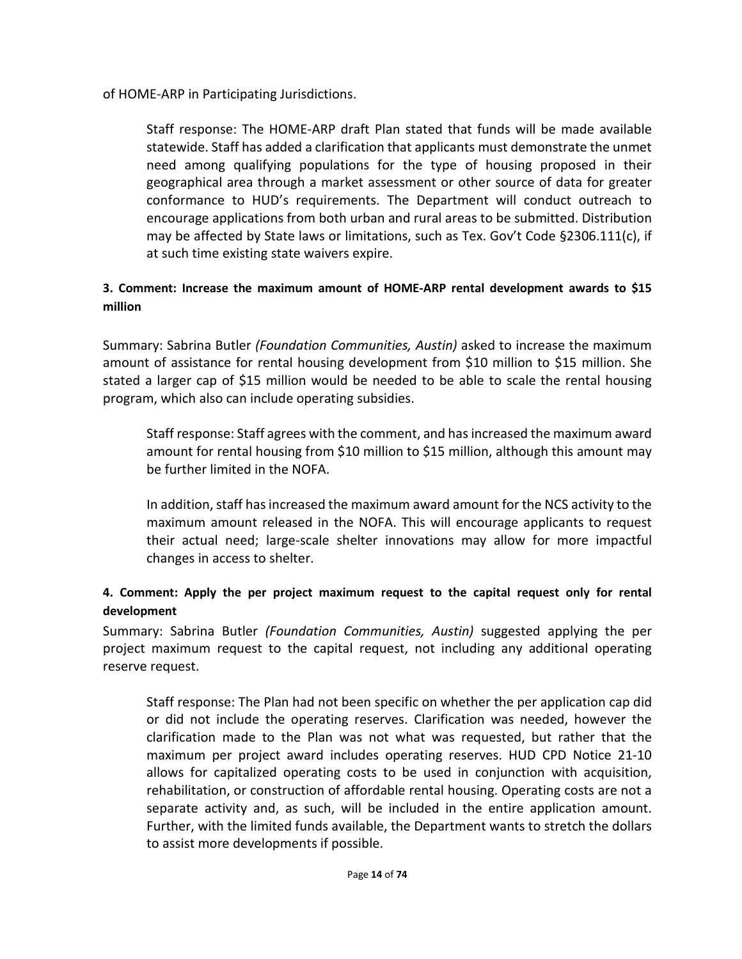of HOME-ARP in Participating Jurisdictions.

Staff response: The HOME-ARP draft Plan stated that funds will be made available statewide. Staff has added a clarification that applicants must demonstrate the unmet need among qualifying populations for the type of housing proposed in their geographical area through a market assessment or other source of data for greater conformance to HUD's requirements. The Department will conduct outreach to encourage applications from both urban and rural areas to be submitted. Distribution may be affected by State laws or limitations, such as Tex. Gov't Code §2306.111(c), if at such time existing state waivers expire.

## **3. Comment: Increase the maximum amount of HOME-ARP rental development awards to \$15 million**

Summary: Sabrina Butler *(Foundation Communities, Austin)* asked to increase the maximum amount of assistance for rental housing development from \$10 million to \$15 million. She stated a larger cap of \$15 million would be needed to be able to scale the rental housing program, which also can include operating subsidies.

Staff response: Staff agrees with the comment, and has increased the maximum award amount for rental housing from \$10 million to \$15 million, although this amount may be further limited in the NOFA.

In addition, staff has increased the maximum award amount for the NCS activity to the maximum amount released in the NOFA. This will encourage applicants to request their actual need; large-scale shelter innovations may allow for more impactful changes in access to shelter.

# **4. Comment: Apply the per project maximum request to the capital request only for rental development**

Summary: Sabrina Butler *(Foundation Communities, Austin)* suggested applying the per project maximum request to the capital request, not including any additional operating reserve request.

Staff response: The Plan had not been specific on whether the per application cap did or did not include the operating reserves. Clarification was needed, however the clarification made to the Plan was not what was requested, but rather that the maximum per project award includes operating reserves. HUD CPD Notice 21-10 allows for capitalized operating costs to be used in conjunction with acquisition, rehabilitation, or construction of affordable rental housing. Operating costs are not a separate activity and, as such, will be included in the entire application amount. Further, with the limited funds available, the Department wants to stretch the dollars to assist more developments if possible.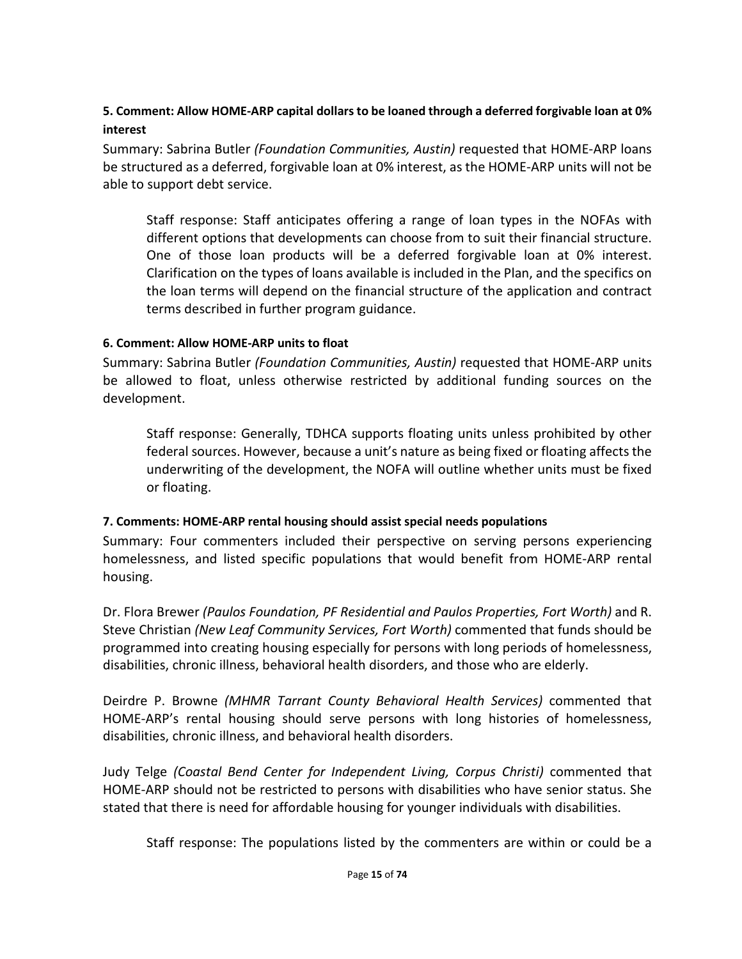## **5. Comment: Allow HOME-ARP capital dollars to be loaned through a deferred forgivable loan at 0% interest**

Summary: Sabrina Butler *(Foundation Communities, Austin)* requested that HOME-ARP loans be structured as a deferred, forgivable loan at 0% interest, as the HOME-ARP units will not be able to support debt service.

Staff response: Staff anticipates offering a range of loan types in the NOFAs with different options that developments can choose from to suit their financial structure. One of those loan products will be a deferred forgivable loan at 0% interest. Clarification on the types of loans available is included in the Plan, and the specifics on the loan terms will depend on the financial structure of the application and contract terms described in further program guidance.

### **6. Comment: Allow HOME-ARP units to float**

Summary: Sabrina Butler *(Foundation Communities, Austin)* requested that HOME-ARP units be allowed to float, unless otherwise restricted by additional funding sources on the development.

Staff response: Generally, TDHCA supports floating units unless prohibited by other federal sources. However, because a unit's nature as being fixed or floating affects the underwriting of the development, the NOFA will outline whether units must be fixed or floating.

#### **7. Comments: HOME-ARP rental housing should assist special needs populations**

Summary: Four commenters included their perspective on serving persons experiencing homelessness, and listed specific populations that would benefit from HOME-ARP rental housing.

Dr. Flora Brewer *(Paulos Foundation, PF Residential and Paulos Properties, Fort Worth)* and R. Steve Christian *(New Leaf Community Services, Fort Worth)* commented that funds should be programmed into creating housing especially for persons with long periods of homelessness, disabilities, chronic illness, behavioral health disorders, and those who are elderly.

Deirdre P. Browne *(MHMR Tarrant County Behavioral Health Services)* commented that HOME-ARP's rental housing should serve persons with long histories of homelessness, disabilities, chronic illness, and behavioral health disorders.

Judy Telge *(Coastal Bend Center for Independent Living, Corpus Christi)* commented that HOME-ARP should not be restricted to persons with disabilities who have senior status. She stated that there is need for affordable housing for younger individuals with disabilities.

Staff response: The populations listed by the commenters are within or could be a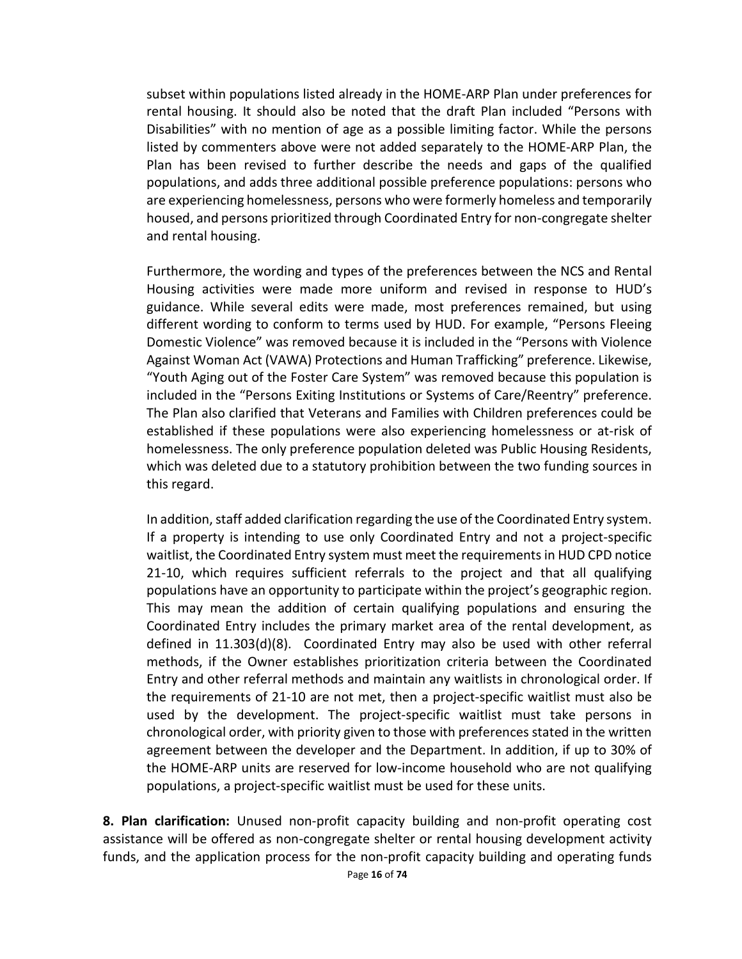subset within populations listed already in the HOME-ARP Plan under preferences for rental housing. It should also be noted that the draft Plan included "Persons with Disabilities" with no mention of age as a possible limiting factor. While the persons listed by commenters above were not added separately to the HOME-ARP Plan, the Plan has been revised to further describe the needs and gaps of the qualified populations, and adds three additional possible preference populations: persons who are experiencing homelessness, persons who were formerly homeless and temporarily housed, and persons prioritized through Coordinated Entry for non-congregate shelter and rental housing.

Furthermore, the wording and types of the preferences between the NCS and Rental Housing activities were made more uniform and revised in response to HUD's guidance. While several edits were made, most preferences remained, but using different wording to conform to terms used by HUD. For example, "Persons Fleeing Domestic Violence" was removed because it is included in the "Persons with Violence Against Woman Act (VAWA) Protections and Human Trafficking" preference. Likewise, "Youth Aging out of the Foster Care System" was removed because this population is included in the "Persons Exiting Institutions or Systems of Care/Reentry" preference. The Plan also clarified that Veterans and Families with Children preferences could be established if these populations were also experiencing homelessness or at-risk of homelessness. The only preference population deleted was Public Housing Residents, which was deleted due to a statutory prohibition between the two funding sources in this regard.

In addition, staff added clarification regarding the use of the Coordinated Entry system. If a property is intending to use only Coordinated Entry and not a project-specific waitlist, the Coordinated Entry system must meet the requirements in HUD CPD notice 21-10, which requires sufficient referrals to the project and that all qualifying populations have an opportunity to participate within the project's geographic region. This may mean the addition of certain qualifying populations and ensuring the Coordinated Entry includes the primary market area of the rental development, as defined in 11.303(d)(8). Coordinated Entry may also be used with other referral methods, if the Owner establishes prioritization criteria between the Coordinated Entry and other referral methods and maintain any waitlists in chronological order. If the requirements of 21-10 are not met, then a project-specific waitlist must also be used by the development. The project-specific waitlist must take persons in chronological order, with priority given to those with preferences stated in the written agreement between the developer and the Department. In addition, if up to 30% of the HOME-ARP units are reserved for low-income household who are not qualifying populations, a project-specific waitlist must be used for these units.

**8. Plan clarification:** Unused non-profit capacity building and non-profit operating cost assistance will be offered as non-congregate shelter or rental housing development activity funds, and the application process for the non-profit capacity building and operating funds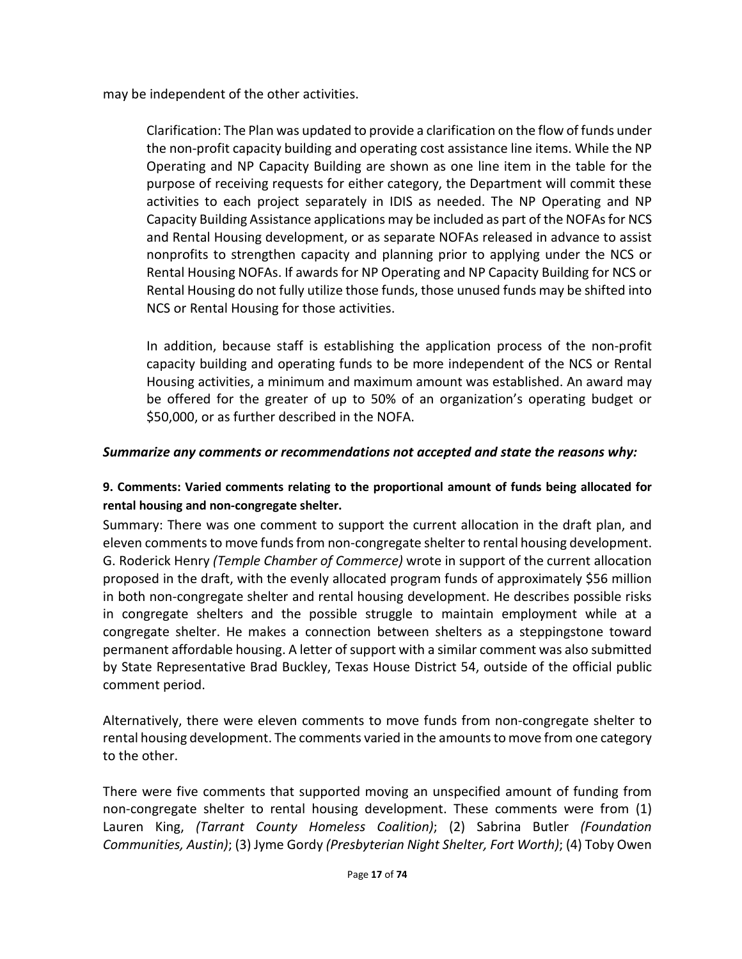may be independent of the other activities.

Clarification: The Plan was updated to provide a clarification on the flow of funds under the non-profit capacity building and operating cost assistance line items. While the NP Operating and NP Capacity Building are shown as one line item in the table for the purpose of receiving requests for either category, the Department will commit these activities to each project separately in IDIS as needed. The NP Operating and NP Capacity Building Assistance applications may be included as part of the NOFAs for NCS and Rental Housing development, or as separate NOFAs released in advance to assist nonprofits to strengthen capacity and planning prior to applying under the NCS or Rental Housing NOFAs. If awards for NP Operating and NP Capacity Building for NCS or Rental Housing do not fully utilize those funds, those unused funds may be shifted into NCS or Rental Housing for those activities.

In addition, because staff is establishing the application process of the non-profit capacity building and operating funds to be more independent of the NCS or Rental Housing activities, a minimum and maximum amount was established. An award may be offered for the greater of up to 50% of an organization's operating budget or \$50,000, or as further described in the NOFA.

## *Summarize any comments or recommendations not accepted and state the reasons why:*

## **9. Comments: Varied comments relating to the proportional amount of funds being allocated for rental housing and non-congregate shelter.**

Summary: There was one comment to support the current allocation in the draft plan, and eleven comments to move funds from non-congregate shelter to rental housing development. G. Roderick Henry *(Temple Chamber of Commerce)* wrote in support of the current allocation proposed in the draft, with the evenly allocated program funds of approximately \$56 million in both non-congregate shelter and rental housing development. He describes possible risks in congregate shelters and the possible struggle to maintain employment while at a congregate shelter. He makes a connection between shelters as a steppingstone toward permanent affordable housing. A letter of support with a similar comment was also submitted by State Representative Brad Buckley, Texas House District 54, outside of the official public comment period.

Alternatively, there were eleven comments to move funds from non-congregate shelter to rental housing development. The comments varied in the amounts to move from one category to the other.

There were five comments that supported moving an unspecified amount of funding from non-congregate shelter to rental housing development. These comments were from (1) Lauren King, *(Tarrant County Homeless Coalition)*; (2) Sabrina Butler *(Foundation Communities, Austin)*; (3) Jyme Gordy *(Presbyterian Night Shelter, Fort Worth)*; (4) Toby Owen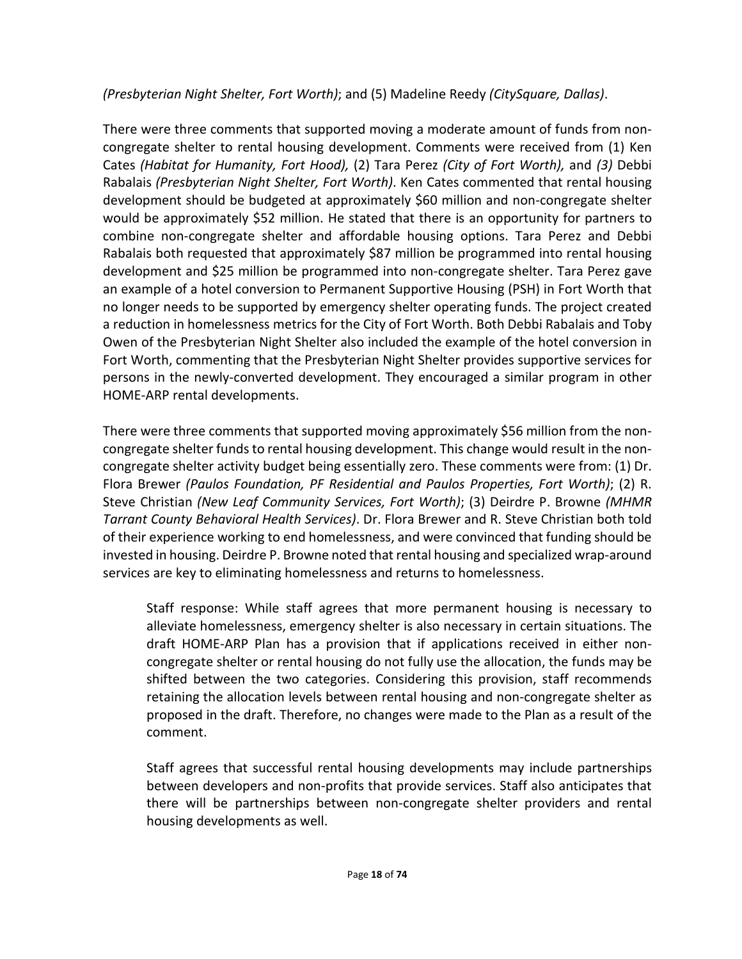*(Presbyterian Night Shelter, Fort Worth)*; and (5) Madeline Reedy *(CitySquare, Dallas)*.

There were three comments that supported moving a moderate amount of funds from noncongregate shelter to rental housing development. Comments were received from (1) Ken Cates *(Habitat for Humanity, Fort Hood),* (2) Tara Perez *(City of Fort Worth),* and *(3)* Debbi Rabalais *(Presbyterian Night Shelter, Fort Worth)*. Ken Cates commented that rental housing development should be budgeted at approximately \$60 million and non-congregate shelter would be approximately \$52 million. He stated that there is an opportunity for partners to combine non-congregate shelter and affordable housing options. Tara Perez and Debbi Rabalais both requested that approximately \$87 million be programmed into rental housing development and \$25 million be programmed into non-congregate shelter. Tara Perez gave an example of a hotel conversion to Permanent Supportive Housing (PSH) in Fort Worth that no longer needs to be supported by emergency shelter operating funds. The project created a reduction in homelessness metrics for the City of Fort Worth. Both Debbi Rabalais and Toby Owen of the Presbyterian Night Shelter also included the example of the hotel conversion in Fort Worth, commenting that the Presbyterian Night Shelter provides supportive services for persons in the newly-converted development. They encouraged a similar program in other HOME-ARP rental developments.

There were three comments that supported moving approximately \$56 million from the noncongregate shelter funds to rental housing development. This change would result in the noncongregate shelter activity budget being essentially zero. These comments were from: (1) Dr. Flora Brewer *(Paulos Foundation, PF Residential and Paulos Properties, Fort Worth)*; (2) R. Steve Christian *(New Leaf Community Services, Fort Worth)*; (3) Deirdre P. Browne *(MHMR Tarrant County Behavioral Health Services)*. Dr. Flora Brewer and R. Steve Christian both told of their experience working to end homelessness, and were convinced that funding should be invested in housing. Deirdre P. Browne noted that rental housing and specialized wrap-around services are key to eliminating homelessness and returns to homelessness.

Staff response: While staff agrees that more permanent housing is necessary to alleviate homelessness, emergency shelter is also necessary in certain situations. The draft HOME-ARP Plan has a provision that if applications received in either noncongregate shelter or rental housing do not fully use the allocation, the funds may be shifted between the two categories. Considering this provision, staff recommends retaining the allocation levels between rental housing and non-congregate shelter as proposed in the draft. Therefore, no changes were made to the Plan as a result of the comment.

Staff agrees that successful rental housing developments may include partnerships between developers and non-profits that provide services. Staff also anticipates that there will be partnerships between non-congregate shelter providers and rental housing developments as well.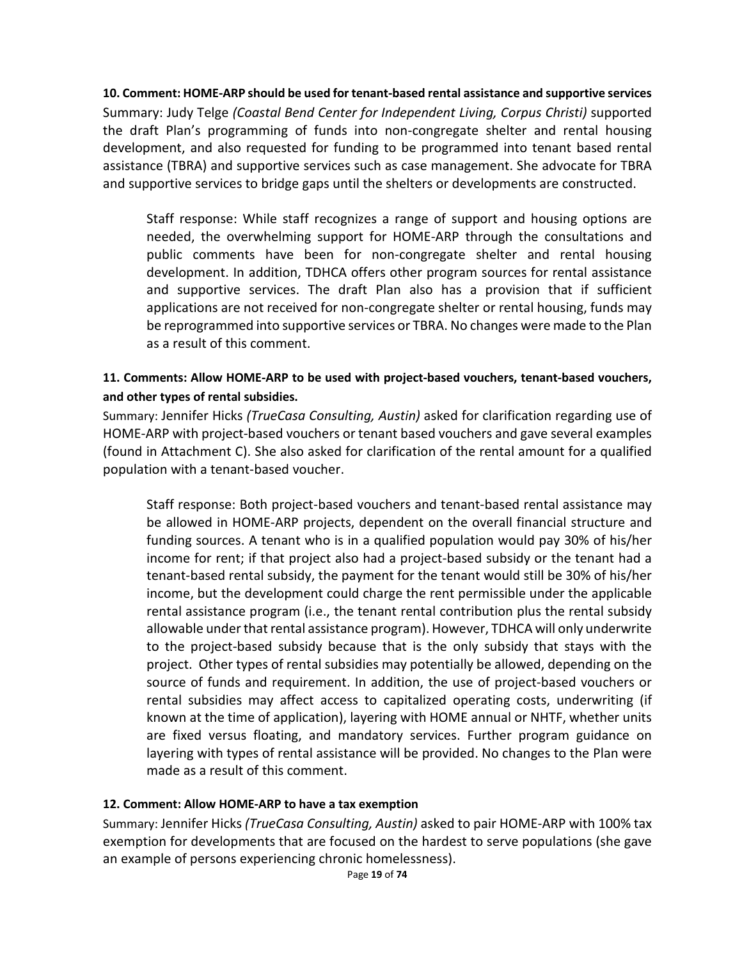**10. Comment: HOME-ARP should be used for tenant-based rental assistance and supportive services** Summary: Judy Telge *(Coastal Bend Center for Independent Living, Corpus Christi)* supported the draft Plan's programming of funds into non-congregate shelter and rental housing development, and also requested for funding to be programmed into tenant based rental assistance (TBRA) and supportive services such as case management. She advocate for TBRA and supportive services to bridge gaps until the shelters or developments are constructed.

Staff response: While staff recognizes a range of support and housing options are needed, the overwhelming support for HOME-ARP through the consultations and public comments have been for non-congregate shelter and rental housing development. In addition, TDHCA offers other program sources for rental assistance and supportive services. The draft Plan also has a provision that if sufficient applications are not received for non-congregate shelter or rental housing, funds may be reprogrammed into supportive services or TBRA. No changes were made to the Plan as a result of this comment.

### **11. Comments: Allow HOME-ARP to be used with project-based vouchers, tenant-based vouchers, and other types of rental subsidies.**

Summary: Jennifer Hicks *(TrueCasa Consulting, Austin)* asked for clarification regarding use of HOME-ARP with project-based vouchers or tenant based vouchers and gave several examples (found in Attachment C). She also asked for clarification of the rental amount for a qualified population with a tenant-based voucher.

Staff response: Both project-based vouchers and tenant-based rental assistance may be allowed in HOME-ARP projects, dependent on the overall financial structure and funding sources. A tenant who is in a qualified population would pay 30% of his/her income for rent; if that project also had a project-based subsidy or the tenant had a tenant-based rental subsidy, the payment for the tenant would still be 30% of his/her income, but the development could charge the rent permissible under the applicable rental assistance program (i.e., the tenant rental contribution plus the rental subsidy allowable under that rental assistance program). However, TDHCA will only underwrite to the project-based subsidy because that is the only subsidy that stays with the project. Other types of rental subsidies may potentially be allowed, depending on the source of funds and requirement. In addition, the use of project-based vouchers or rental subsidies may affect access to capitalized operating costs, underwriting (if known at the time of application), layering with HOME annual or NHTF, whether units are fixed versus floating, and mandatory services. Further program guidance on layering with types of rental assistance will be provided. No changes to the Plan were made as a result of this comment.

#### **12. Comment: Allow HOME-ARP to have a tax exemption**

Summary: Jennifer Hicks *(TrueCasa Consulting, Austin)* asked to pair HOME-ARP with 100% tax exemption for developments that are focused on the hardest to serve populations (she gave an example of persons experiencing chronic homelessness).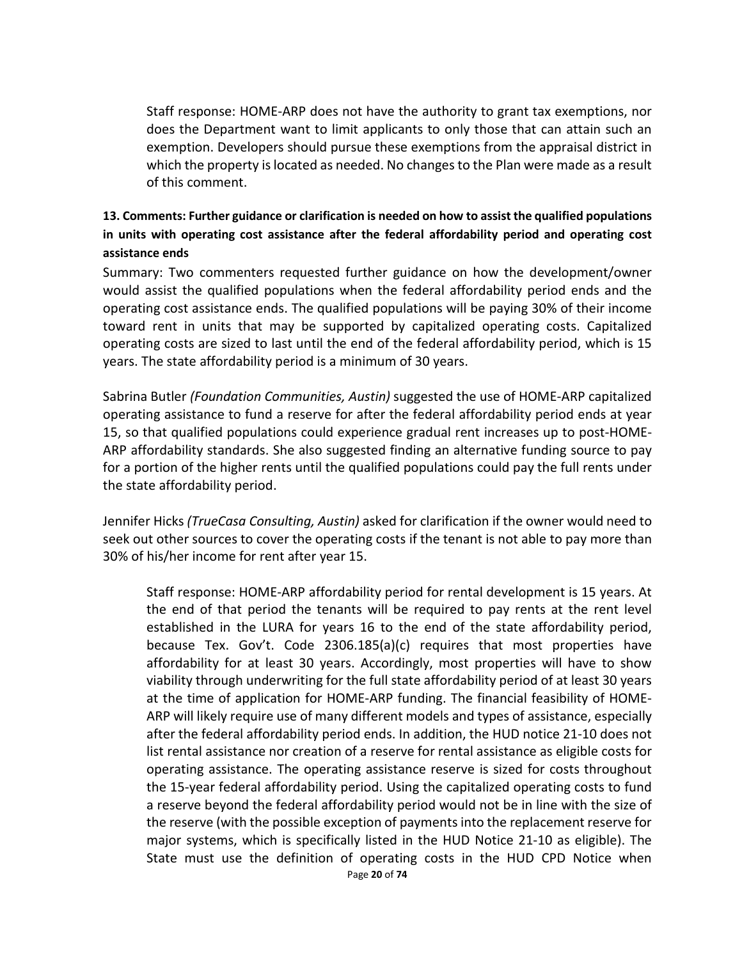Staff response: HOME-ARP does not have the authority to grant tax exemptions, nor does the Department want to limit applicants to only those that can attain such an exemption. Developers should pursue these exemptions from the appraisal district in which the property is located as needed. No changes to the Plan were made as a result of this comment.

## **13. Comments: Further guidance or clarification is needed on how to assist the qualified populations in units with operating cost assistance after the federal affordability period and operating cost assistance ends**

Summary: Two commenters requested further guidance on how the development/owner would assist the qualified populations when the federal affordability period ends and the operating cost assistance ends. The qualified populations will be paying 30% of their income toward rent in units that may be supported by capitalized operating costs. Capitalized operating costs are sized to last until the end of the federal affordability period, which is 15 years. The state affordability period is a minimum of 30 years.

Sabrina Butler *(Foundation Communities, Austin)* suggested the use of HOME-ARP capitalized operating assistance to fund a reserve for after the federal affordability period ends at year 15, so that qualified populations could experience gradual rent increases up to post-HOME-ARP affordability standards. She also suggested finding an alternative funding source to pay for a portion of the higher rents until the qualified populations could pay the full rents under the state affordability period.

Jennifer Hicks *(TrueCasa Consulting, Austin)* asked for clarification if the owner would need to seek out other sources to cover the operating costs if the tenant is not able to pay more than 30% of his/her income for rent after year 15.

Page **20** of **74** Staff response: HOME-ARP affordability period for rental development is 15 years. At the end of that period the tenants will be required to pay rents at the rent level established in the LURA for years 16 to the end of the state affordability period, because Tex. Gov't. Code 2306.185(a)(c) requires that most properties have affordability for at least 30 years. Accordingly, most properties will have to show viability through underwriting for the full state affordability period of at least 30 years at the time of application for HOME-ARP funding. The financial feasibility of HOME-ARP will likely require use of many different models and types of assistance, especially after the federal affordability period ends. In addition, the HUD notice 21-10 does not list rental assistance nor creation of a reserve for rental assistance as eligible costs for operating assistance. The operating assistance reserve is sized for costs throughout the 15-year federal affordability period. Using the capitalized operating costs to fund a reserve beyond the federal affordability period would not be in line with the size of the reserve (with the possible exception of payments into the replacement reserve for major systems, which is specifically listed in the HUD Notice 21-10 as eligible). The State must use the definition of operating costs in the HUD CPD Notice when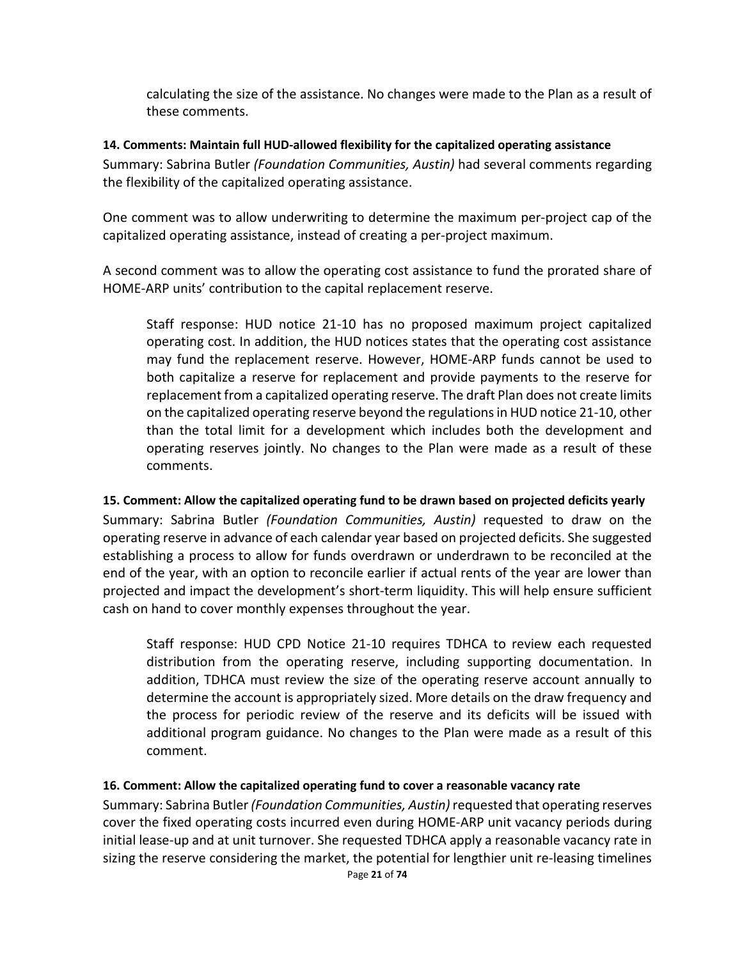calculating the size of the assistance. No changes were made to the Plan as a result of these comments.

#### **14. Comments: Maintain full HUD-allowed flexibility for the capitalized operating assistance**

Summary: Sabrina Butler *(Foundation Communities, Austin)* had several comments regarding the flexibility of the capitalized operating assistance.

One comment was to allow underwriting to determine the maximum per-project cap of the capitalized operating assistance, instead of creating a per-project maximum.

A second comment was to allow the operating cost assistance to fund the prorated share of HOME-ARP units' contribution to the capital replacement reserve.

Staff response: HUD notice 21-10 has no proposed maximum project capitalized operating cost. In addition, the HUD notices states that the operating cost assistance may fund the replacement reserve. However, HOME-ARP funds cannot be used to both capitalize a reserve for replacement and provide payments to the reserve for replacement from a capitalized operating reserve. The draft Plan does not create limits on the capitalized operating reserve beyond the regulations in HUD notice 21-10, other than the total limit for a development which includes both the development and operating reserves jointly. No changes to the Plan were made as a result of these comments.

### **15. Comment: Allow the capitalized operating fund to be drawn based on projected deficits yearly**

Summary: Sabrina Butler *(Foundation Communities, Austin)* requested to draw on the operating reserve in advance of each calendar year based on projected deficits. She suggested establishing a process to allow for funds overdrawn or underdrawn to be reconciled at the end of the year, with an option to reconcile earlier if actual rents of the year are lower than projected and impact the development's short-term liquidity. This will help ensure sufficient cash on hand to cover monthly expenses throughout the year.

Staff response: HUD CPD Notice 21-10 requires TDHCA to review each requested distribution from the operating reserve, including supporting documentation. In addition, TDHCA must review the size of the operating reserve account annually to determine the account is appropriately sized. More details on the draw frequency and the process for periodic review of the reserve and its deficits will be issued with additional program guidance. No changes to the Plan were made as a result of this comment.

### **16. Comment: Allow the capitalized operating fund to cover a reasonable vacancy rate**

Summary: Sabrina Butler *(Foundation Communities, Austin)* requested that operating reserves cover the fixed operating costs incurred even during HOME-ARP unit vacancy periods during initial lease-up and at unit turnover. She requested TDHCA apply a reasonable vacancy rate in sizing the reserve considering the market, the potential for lengthier unit re-leasing timelines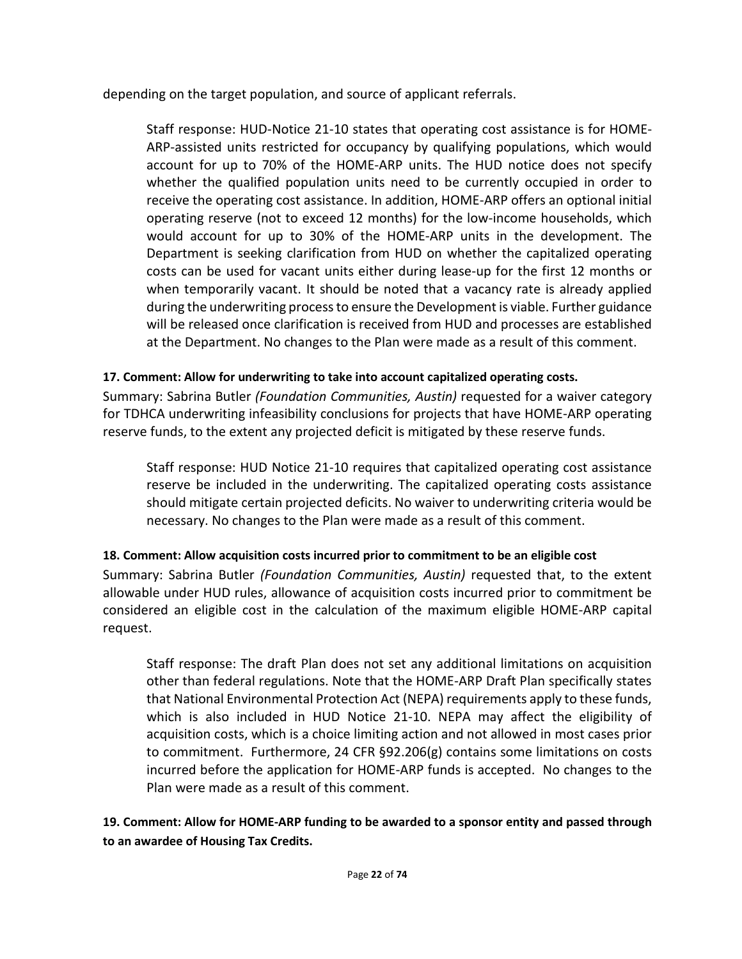depending on the target population, and source of applicant referrals.

Staff response: HUD-Notice 21-10 states that operating cost assistance is for HOME-ARP-assisted units restricted for occupancy by qualifying populations, which would account for up to 70% of the HOME-ARP units. The HUD notice does not specify whether the qualified population units need to be currently occupied in order to receive the operating cost assistance. In addition, HOME-ARP offers an optional initial operating reserve (not to exceed 12 months) for the low-income households, which would account for up to 30% of the HOME-ARP units in the development. The Department is seeking clarification from HUD on whether the capitalized operating costs can be used for vacant units either during lease-up for the first 12 months or when temporarily vacant. It should be noted that a vacancy rate is already applied during the underwriting process to ensure the Development is viable. Further guidance will be released once clarification is received from HUD and processes are established at the Department. No changes to the Plan were made as a result of this comment.

## **17. Comment: Allow for underwriting to take into account capitalized operating costs.**

Summary: Sabrina Butler *(Foundation Communities, Austin)* requested for a waiver category for TDHCA underwriting infeasibility conclusions for projects that have HOME-ARP operating reserve funds, to the extent any projected deficit is mitigated by these reserve funds.

Staff response: HUD Notice 21-10 requires that capitalized operating cost assistance reserve be included in the underwriting. The capitalized operating costs assistance should mitigate certain projected deficits. No waiver to underwriting criteria would be necessary. No changes to the Plan were made as a result of this comment.

## **18. Comment: Allow acquisition costs incurred prior to commitment to be an eligible cost**

Summary: Sabrina Butler *(Foundation Communities, Austin)* requested that, to the extent allowable under HUD rules, allowance of acquisition costs incurred prior to commitment be considered an eligible cost in the calculation of the maximum eligible HOME-ARP capital request.

Staff response: The draft Plan does not set any additional limitations on acquisition other than federal regulations. Note that the HOME-ARP Draft Plan specifically states that National Environmental Protection Act (NEPA) requirements apply to these funds, which is also included in HUD Notice 21-10. NEPA may affect the eligibility of acquisition costs, which is a choice limiting action and not allowed in most cases prior to commitment. Furthermore, 24 CFR §92.206(g) contains some limitations on costs incurred before the application for HOME-ARP funds is accepted. No changes to the Plan were made as a result of this comment.

**19. Comment: Allow for HOME-ARP funding to be awarded to a sponsor entity and passed through to an awardee of Housing Tax Credits.**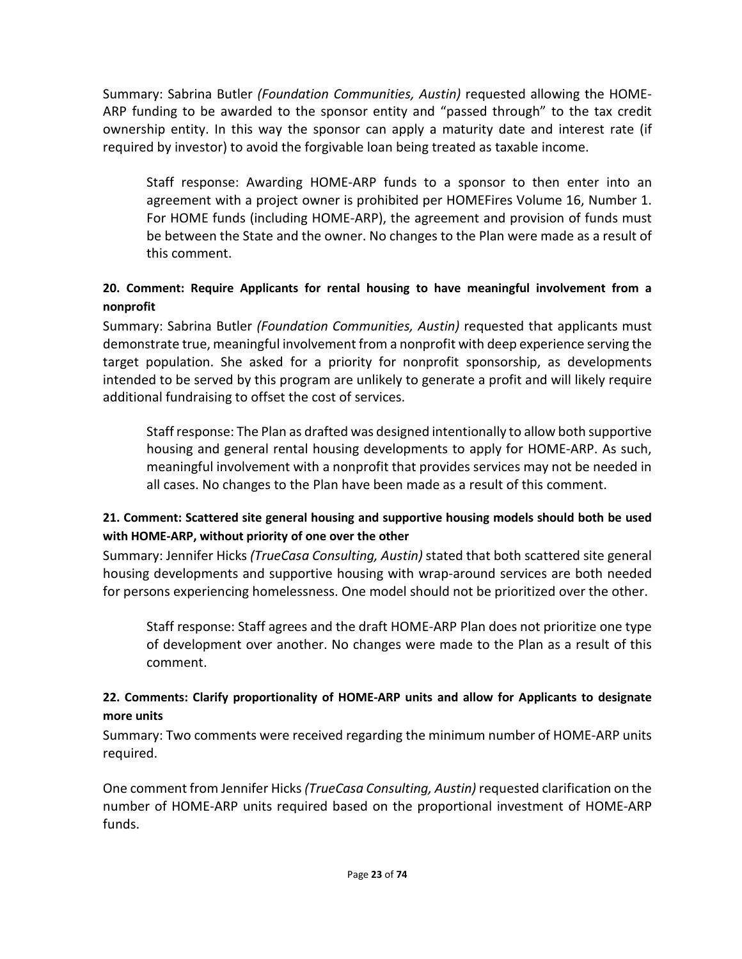Summary: Sabrina Butler *(Foundation Communities, Austin)* requested allowing the HOME-ARP funding to be awarded to the sponsor entity and "passed through" to the tax credit ownership entity. In this way the sponsor can apply a maturity date and interest rate (if required by investor) to avoid the forgivable loan being treated as taxable income.

Staff response: Awarding HOME-ARP funds to a sponsor to then enter into an agreement with a project owner is prohibited per HOMEFires Volume 16, Number 1. For HOME funds (including HOME-ARP), the agreement and provision of funds must be between the State and the owner. No changes to the Plan were made as a result of this comment.

## **20. Comment: Require Applicants for rental housing to have meaningful involvement from a nonprofit**

Summary: Sabrina Butler *(Foundation Communities, Austin)* requested that applicants must demonstrate true, meaningful involvement from a nonprofit with deep experience serving the target population. She asked for a priority for nonprofit sponsorship, as developments intended to be served by this program are unlikely to generate a profit and will likely require additional fundraising to offset the cost of services.

Staff response: The Plan as drafted was designed intentionally to allow both supportive housing and general rental housing developments to apply for HOME-ARP. As such, meaningful involvement with a nonprofit that provides services may not be needed in all cases. No changes to the Plan have been made as a result of this comment.

## **21. Comment: Scattered site general housing and supportive housing models should both be used with HOME-ARP, without priority of one over the other**

Summary: Jennifer Hicks *(TrueCasa Consulting, Austin)* stated that both scattered site general housing developments and supportive housing with wrap-around services are both needed for persons experiencing homelessness. One model should not be prioritized over the other.

Staff response: Staff agrees and the draft HOME-ARP Plan does not prioritize one type of development over another. No changes were made to the Plan as a result of this comment.

## **22. Comments: Clarify proportionality of HOME-ARP units and allow for Applicants to designate more units**

Summary: Two comments were received regarding the minimum number of HOME-ARP units required.

One comment from Jennifer Hicks *(TrueCasa Consulting, Austin)* requested clarification on the number of HOME-ARP units required based on the proportional investment of HOME-ARP funds.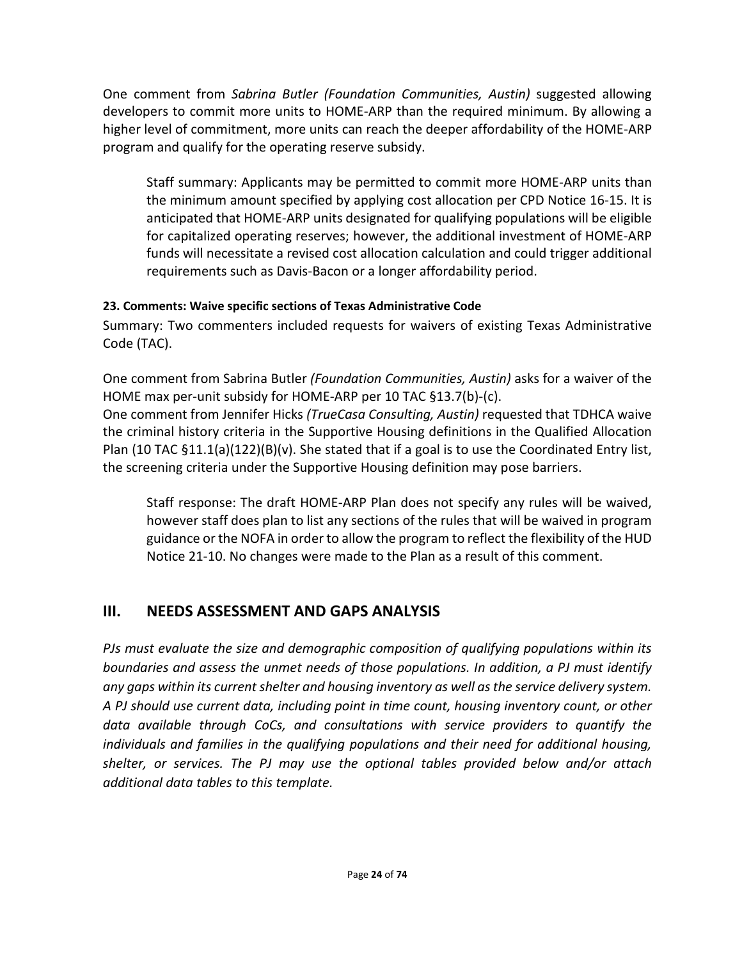One comment from *Sabrina Butler (Foundation Communities, Austin)* suggested allowing developers to commit more units to HOME-ARP than the required minimum. By allowing a higher level of commitment, more units can reach the deeper affordability of the HOME-ARP program and qualify for the operating reserve subsidy.

Staff summary: Applicants may be permitted to commit more HOME-ARP units than the minimum amount specified by applying cost allocation per CPD Notice 16-15. It is anticipated that HOME-ARP units designated for qualifying populations will be eligible for capitalized operating reserves; however, the additional investment of HOME-ARP funds will necessitate a revised cost allocation calculation and could trigger additional requirements such as Davis-Bacon or a longer affordability period.

### **23. Comments: Waive specific sections of Texas Administrative Code**

Summary: Two commenters included requests for waivers of existing Texas Administrative Code (TAC).

One comment from Sabrina Butler *(Foundation Communities, Austin)* asks for a waiver of the HOME max per-unit subsidy for HOME-ARP per 10 TAC §13.7(b)-(c).

One comment from Jennifer Hicks *(TrueCasa Consulting, Austin)* requested that TDHCA waive the criminal history criteria in the Supportive Housing definitions in the Qualified Allocation Plan (10 TAC  $\S 11.1(a)(122)(B)(v)$ . She stated that if a goal is to use the Coordinated Entry list, the screening criteria under the Supportive Housing definition may pose barriers.

Staff response: The draft HOME-ARP Plan does not specify any rules will be waived, however staff does plan to list any sections of the rules that will be waived in program guidance or the NOFA in order to allow the program to reflect the flexibility of the HUD Notice 21-10. No changes were made to the Plan as a result of this comment.

# **III. NEEDS ASSESSMENT AND GAPS ANALYSIS**

*PJs must evaluate the size and demographic composition of qualifying populations within its boundaries and assess the unmet needs of those populations. In addition, a PJ must identify any gaps within its current shelter and housing inventory as well as the service delivery system. A PJ should use current data, including point in time count, housing inventory count, or other data available through CoCs, and consultations with service providers to quantify the individuals and families in the qualifying populations and their need for additional housing, shelter, or services. The PJ may use the optional tables provided below and/or attach additional data tables to this template.*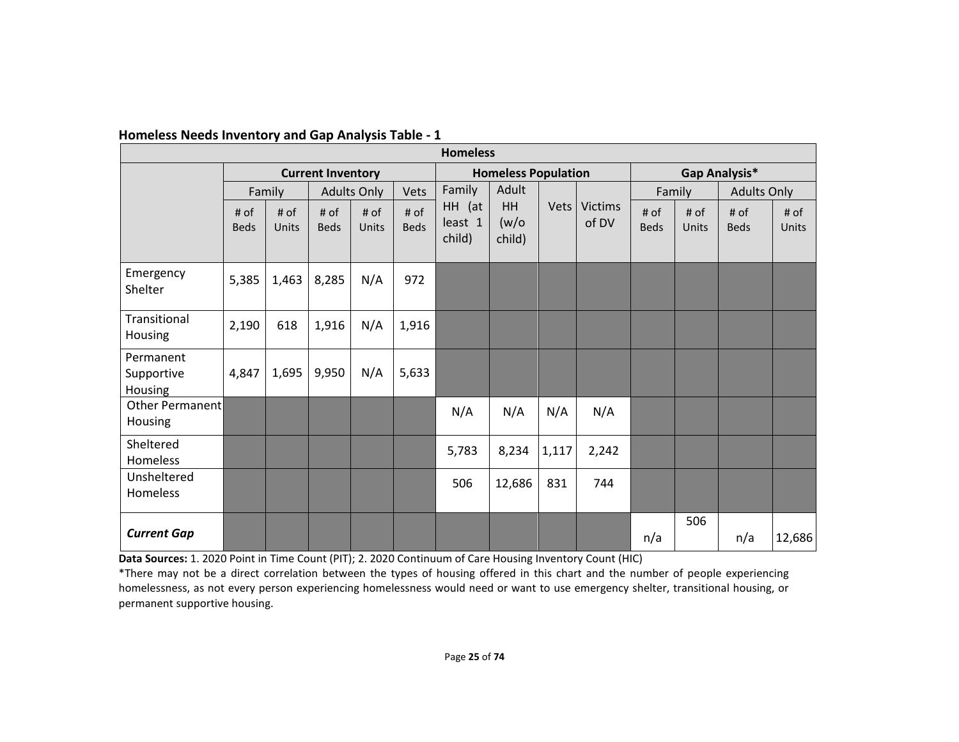| <b>Homeless</b>                    |                          |               |                     |                            |                     |                             |                              |             |                         |                     |               |                     |                      |
|------------------------------------|--------------------------|---------------|---------------------|----------------------------|---------------------|-----------------------------|------------------------------|-------------|-------------------------|---------------------|---------------|---------------------|----------------------|
|                                    | <b>Current Inventory</b> |               |                     | <b>Homeless Population</b> |                     |                             | Gap Analysis*                |             |                         |                     |               |                     |                      |
|                                    |                          | Family        |                     | <b>Adults Only</b>         | Vets                | Family                      | Adult                        |             |                         |                     | Family        | <b>Adults Only</b>  |                      |
|                                    | # of<br><b>Beds</b>      | # of<br>Units | # of<br><b>Beds</b> | # of<br>Units              | # of<br><b>Beds</b> | HH (at<br>least 1<br>child) | <b>HH</b><br>(w/o)<br>child) | <b>Vets</b> | <b>Victims</b><br>of DV | # of<br><b>Beds</b> | # of<br>Units | # of<br><b>Beds</b> | # of<br><b>Units</b> |
| Emergency<br>Shelter               | 5,385                    | 1,463         | 8,285               | N/A                        | 972                 |                             |                              |             |                         |                     |               |                     |                      |
| Transitional<br>Housing            | 2,190                    | 618           | 1,916               | N/A                        | 1,916               |                             |                              |             |                         |                     |               |                     |                      |
| Permanent<br>Supportive<br>Housing | 4,847                    | 1,695         | 9,950               | N/A                        | 5,633               |                             |                              |             |                         |                     |               |                     |                      |
| Other Permanent<br>Housing         |                          |               |                     |                            |                     | N/A                         | N/A                          | N/A         | N/A                     |                     |               |                     |                      |
| Sheltered<br>Homeless              |                          |               |                     |                            |                     | 5,783                       | 8,234                        | 1,117       | 2,242                   |                     |               |                     |                      |
| Unsheltered<br>Homeless            |                          |               |                     |                            |                     | 506                         | 12,686                       | 831         | 744                     |                     |               |                     |                      |
| <b>Current Gap</b>                 |                          |               |                     |                            |                     |                             |                              |             |                         | n/a                 | 506           | n/a                 | 12,686               |

#### **Homeless Needs Inventory and Gap Analysis Table - 1**

Data Sources: 1. 2020 Point in Time Count (PIT); 2. 2020 Continuum of Care Housing Inventory Count (HIC)

\*There may not be a direct correlation between the types of housing offered in this chart and the number of people experiencing homelessness, as not every person experiencing homelessness would need or want to use emergency shelter, transitional housing, or permanent supportive housing.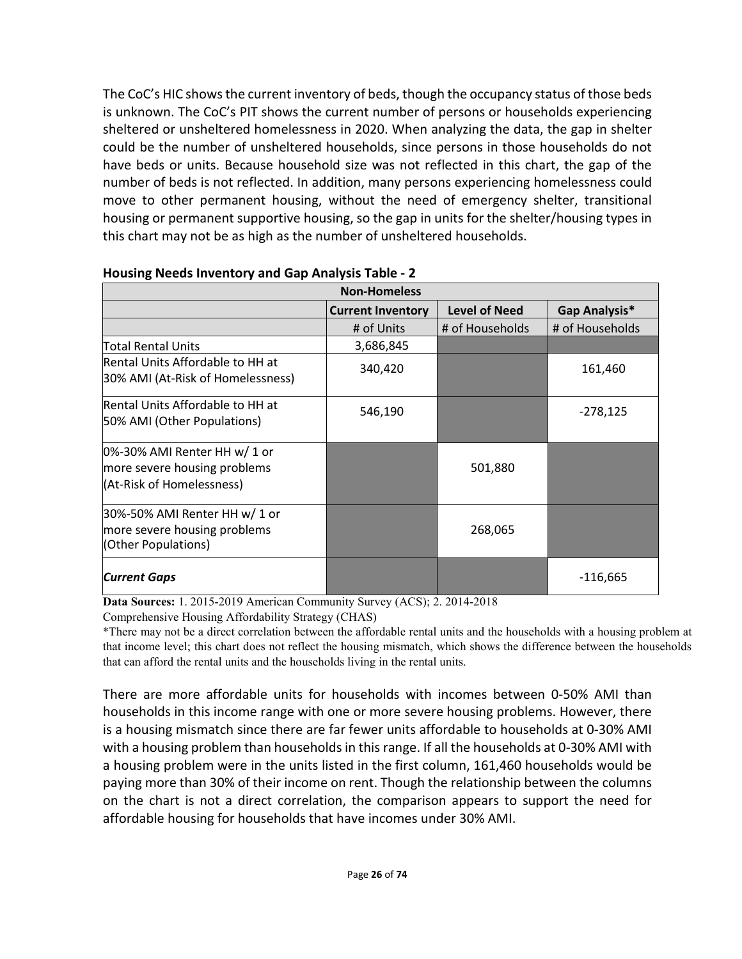The CoC's HIC shows the current inventory of beds, though the occupancy status of those beds is unknown. The CoC's PIT shows the current number of persons or households experiencing sheltered or unsheltered homelessness in 2020. When analyzing the data, the gap in shelter could be the number of unsheltered households, since persons in those households do not have beds or units. Because household size was not reflected in this chart, the gap of the number of beds is not reflected. In addition, many persons experiencing homelessness could move to other permanent housing, without the need of emergency shelter, transitional housing or permanent supportive housing, so the gap in units for the shelter/housing types in this chart may not be as high as the number of unsheltered households.

| <b>Non-Homeless</b>                                                                       |                          |                      |                 |  |  |  |  |
|-------------------------------------------------------------------------------------------|--------------------------|----------------------|-----------------|--|--|--|--|
|                                                                                           | <b>Current Inventory</b> | <b>Level of Need</b> | Gap Analysis*   |  |  |  |  |
|                                                                                           | # of Units               | # of Households      | # of Households |  |  |  |  |
| Total Rental Units                                                                        | 3,686,845                |                      |                 |  |  |  |  |
| Rental Units Affordable to HH at<br>30% AMI (At-Risk of Homelessness)                     | 340,420                  |                      | 161,460         |  |  |  |  |
| Rental Units Affordable to HH at<br>50% AMI (Other Populations)                           | 546,190                  |                      | $-278,125$      |  |  |  |  |
| 0%-30% AMI Renter HH w/ 1 or<br>more severe housing problems<br>(At-Risk of Homelessness) |                          | 501,880              |                 |  |  |  |  |
| 30%-50% AMI Renter HH w/ 1 or<br>more severe housing problems<br>(Other Populations)      |                          | 268,065              |                 |  |  |  |  |
| <b>Current Gaps</b>                                                                       |                          |                      | $-116,665$      |  |  |  |  |

#### **Housing Needs Inventory and Gap Analysis Table - 2**

**Data Sources:** 1. 2015-2019 American Community Survey (ACS); 2. 2014-2018

Comprehensive Housing Affordability Strategy (CHAS)

\*There may not be a direct correlation between the affordable rental units and the households with a housing problem at that income level; this chart does not reflect the housing mismatch, which shows the difference between the households that can afford the rental units and the households living in the rental units.

There are more affordable units for households with incomes between 0-50% AMI than households in this income range with one or more severe housing problems. However, there is a housing mismatch since there are far fewer units affordable to households at 0-30% AMI with a housing problem than households in this range. If all the households at 0-30% AMI with a housing problem were in the units listed in the first column, 161,460 households would be paying more than 30% of their income on rent. Though the relationship between the columns on the chart is not a direct correlation, the comparison appears to support the need for affordable housing for households that have incomes under 30% AMI.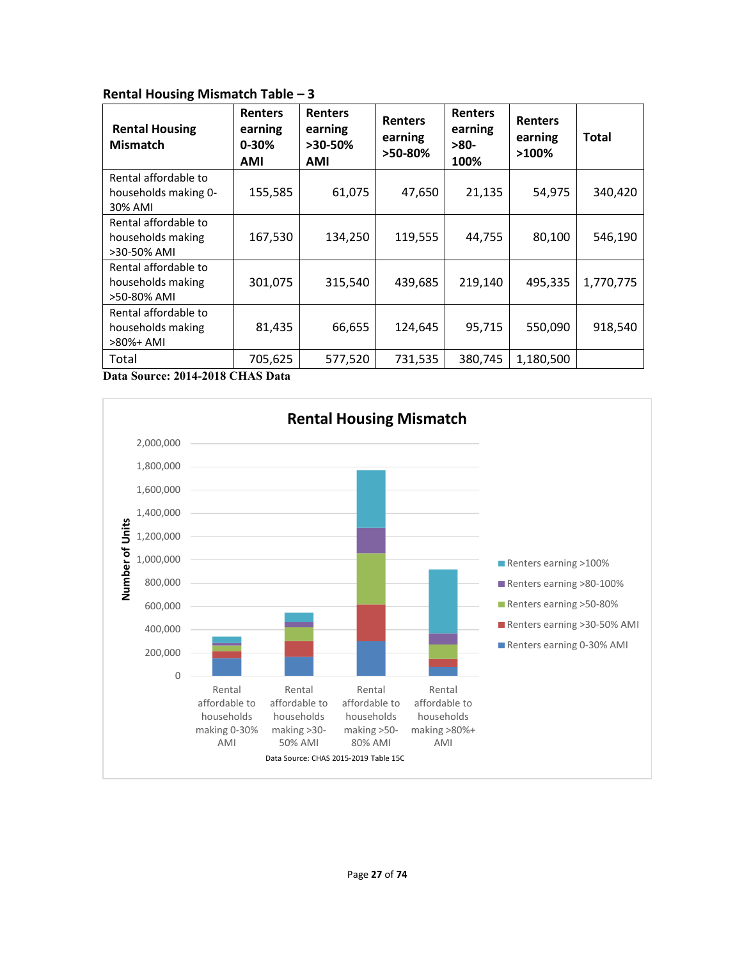#### **Rental Housing Mismatch Table – 3**

| <b>Rental Housing</b><br><b>Mismatch</b>                 | <b>Renters</b><br>earning<br>$0 - 30%$<br><b>AMI</b> | <b>Renters</b><br>earning<br>>30-50%<br>AMI | <b>Renters</b><br>earning<br>>50-80% | <b>Renters</b><br>earning<br>-80-<br>100% | <b>Renters</b><br>earning<br>$>100\%$ | Total     |
|----------------------------------------------------------|------------------------------------------------------|---------------------------------------------|--------------------------------------|-------------------------------------------|---------------------------------------|-----------|
| Rental affordable to<br>households making 0-<br>30% AMI  | 155,585                                              | 61,075                                      | 47,650                               | 21,135                                    | 54,975                                | 340,420   |
| Rental affordable to<br>households making<br>>30-50% AMI | 167,530                                              | 134,250                                     | 119,555                              | 44,755                                    | 80,100                                | 546,190   |
| Rental affordable to<br>households making<br>>50-80% AMI | 301,075                                              | 315,540                                     | 439,685                              | 219,140                                   | 495,335                               | 1,770,775 |
| Rental affordable to<br>households making<br>>80%+ AMI   | 81,435                                               | 66,655                                      | 124,645                              | 95,715                                    | 550,090                               | 918,540   |
| Total                                                    | 705,625                                              | 577,520                                     | 731,535                              | 380,745                                   | 1,180,500                             |           |

**Data Source: 2014-2018 CHAS Data**

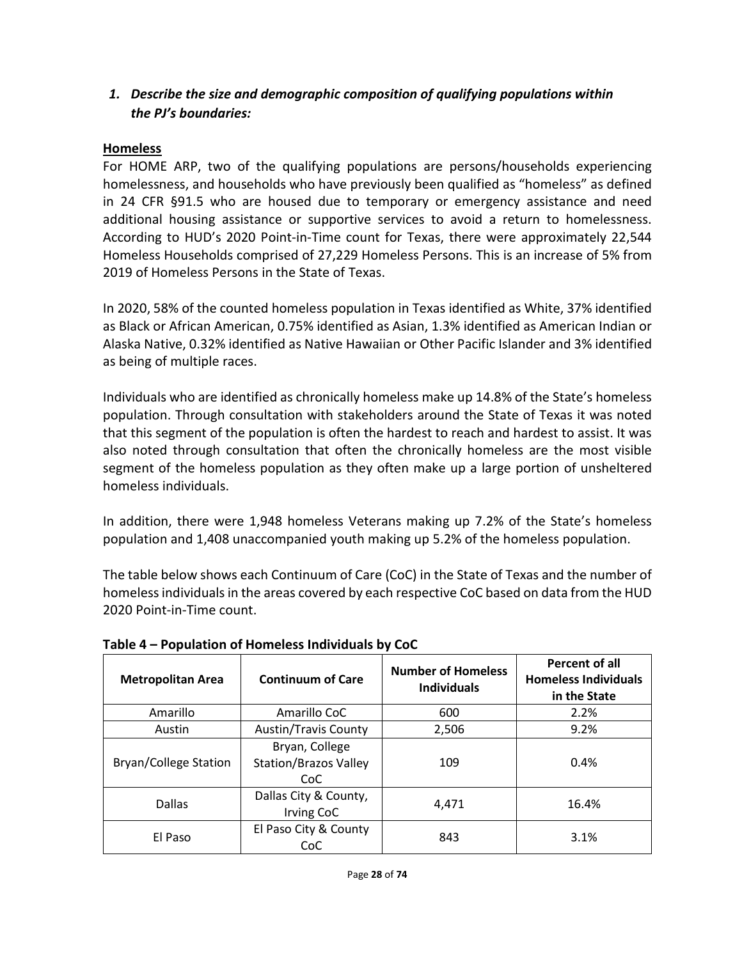# *1. Describe the size and demographic composition of qualifying populations within the PJ's boundaries:*

## **Homeless**

For HOME ARP, two of the qualifying populations are persons/households experiencing homelessness, and households who have previously been qualified as "homeless" as defined in 24 CFR §91.5 who are housed due to temporary or emergency assistance and need additional housing assistance or supportive services to avoid a return to homelessness. According to HUD's 2020 Point-in-Time count for Texas, there were approximately 22,544 Homeless Households comprised of 27,229 Homeless Persons. This is an increase of 5% from 2019 of Homeless Persons in the State of Texas.

In 2020, 58% of the counted homeless population in Texas identified as White, 37% identified as Black or African American, 0.75% identified as Asian, 1.3% identified as American Indian or Alaska Native, 0.32% identified as Native Hawaiian or Other Pacific Islander and 3% identified as being of multiple races.

Individuals who are identified as chronically homeless make up 14.8% of the State's homeless population. Through consultation with stakeholders around the State of Texas it was noted that this segment of the population is often the hardest to reach and hardest to assist. It was also noted through consultation that often the chronically homeless are the most visible segment of the homeless population as they often make up a large portion of unsheltered homeless individuals.

In addition, there were 1,948 homeless Veterans making up 7.2% of the State's homeless population and 1,408 unaccompanied youth making up 5.2% of the homeless population.

The table below shows each Continuum of Care (CoC) in the State of Texas and the number of homeless individuals in the areas covered by each respective CoC based on data from the HUD 2020 Point-in-Time count.

| <b>Metropolitan Area</b>     | <b>Continuum of Care</b>                              | <b>Number of Homeless</b><br><b>Individuals</b> | Percent of all<br><b>Homeless Individuals</b><br>in the State |
|------------------------------|-------------------------------------------------------|-------------------------------------------------|---------------------------------------------------------------|
| Amarillo                     | Amarillo CoC                                          | 600                                             | 2.2%                                                          |
| Austin                       | <b>Austin/Travis County</b>                           | 2,506                                           | 9.2%                                                          |
| <b>Bryan/College Station</b> | Bryan, College<br><b>Station/Brazos Valley</b><br>CoC | 109                                             | 0.4%                                                          |
| Dallas                       | Dallas City & County,<br>Irving CoC                   | 4.471                                           | 16.4%                                                         |
| El Paso                      | El Paso City & County<br>CoC                          | 843                                             | 3.1%                                                          |

**Table 4 – Population of Homeless Individuals by CoC**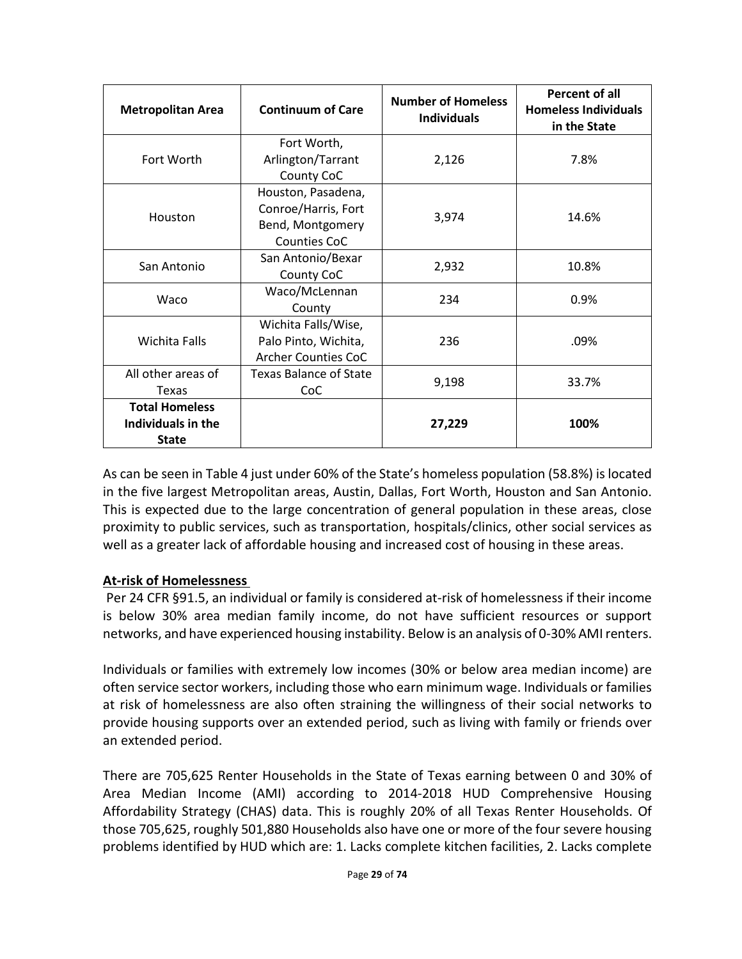| <b>Metropolitan Area</b>                                    | <b>Continuum of Care</b>                                                      | <b>Number of Homeless</b><br><b>Individuals</b> | Percent of all<br><b>Homeless Individuals</b><br>in the State |  |
|-------------------------------------------------------------|-------------------------------------------------------------------------------|-------------------------------------------------|---------------------------------------------------------------|--|
| Fort Worth                                                  | Fort Worth,<br>Arlington/Tarrant<br>County CoC                                | 2,126                                           | 7.8%                                                          |  |
| Houston                                                     | Houston, Pasadena,<br>Conroe/Harris, Fort<br>Bend, Montgomery<br>Counties CoC | 3,974                                           | 14.6%                                                         |  |
| San Antonio                                                 | San Antonio/Bexar<br>County CoC                                               | 2,932                                           | 10.8%                                                         |  |
| Waco                                                        | Waco/McLennan<br>County                                                       | 234                                             | 0.9%                                                          |  |
| <b>Wichita Falls</b>                                        | Wichita Falls/Wise,<br>Palo Pinto, Wichita,<br><b>Archer Counties CoC</b>     | 236                                             | .09%                                                          |  |
| All other areas of<br>Texas                                 | Texas Balance of State<br>CoC                                                 | 9,198                                           | 33.7%                                                         |  |
| <b>Total Homeless</b><br>Individuals in the<br><b>State</b> |                                                                               | 27,229                                          | 100%                                                          |  |

As can be seen in Table 4 just under 60% of the State's homeless population (58.8%) is located in the five largest Metropolitan areas, Austin, Dallas, Fort Worth, Houston and San Antonio. This is expected due to the large concentration of general population in these areas, close proximity to public services, such as transportation, hospitals/clinics, other social services as well as a greater lack of affordable housing and increased cost of housing in these areas.

### **At-risk of Homelessness**

Per 24 CFR §91.5, an individual or family is considered at-risk of homelessness if their income is below 30% area median family income, do not have sufficient resources or support networks, and have experienced housing instability. Below is an analysis of 0-30% AMI renters.

Individuals or families with extremely low incomes (30% or below area median income) are often service sector workers, including those who earn minimum wage. Individuals or families at risk of homelessness are also often straining the willingness of their social networks to provide housing supports over an extended period, such as living with family or friends over an extended period.

There are 705,625 Renter Households in the State of Texas earning between 0 and 30% of Area Median Income (AMI) according to 2014-2018 HUD Comprehensive Housing Affordability Strategy (CHAS) data. This is roughly 20% of all Texas Renter Households. Of those 705,625, roughly 501,880 Households also have one or more of the four severe housing problems identified by HUD which are: 1. Lacks complete kitchen facilities, 2. Lacks complete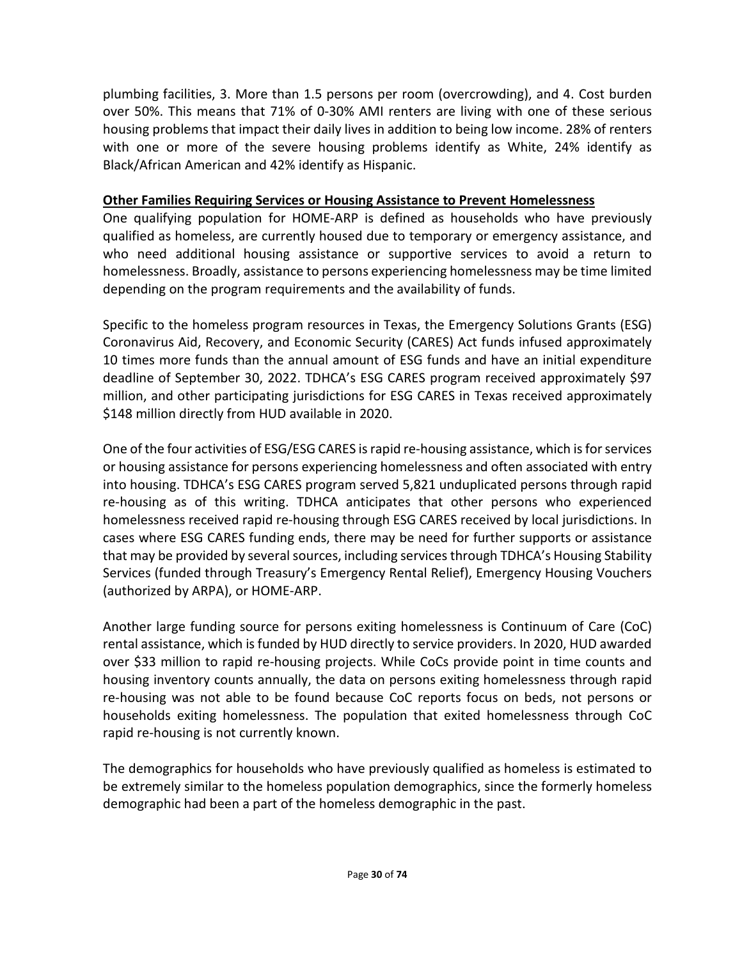plumbing facilities, 3. More than 1.5 persons per room (overcrowding), and 4. Cost burden over 50%. This means that 71% of 0-30% AMI renters are living with one of these serious housing problems that impact their daily lives in addition to being low income. 28% of renters with one or more of the severe housing problems identify as White, 24% identify as Black/African American and 42% identify as Hispanic.

### **Other Families Requiring Services or Housing Assistance to Prevent Homelessness**

One qualifying population for HOME-ARP is defined as households who have previously qualified as homeless, are currently housed due to temporary or emergency assistance, and who need additional housing assistance or supportive services to avoid a return to homelessness. Broadly, assistance to persons experiencing homelessness may be time limited depending on the program requirements and the availability of funds.

Specific to the homeless program resources in Texas, the Emergency Solutions Grants (ESG) Coronavirus Aid, Recovery, and Economic Security (CARES) Act funds infused approximately 10 times more funds than the annual amount of ESG funds and have an initial expenditure deadline of September 30, 2022. TDHCA's ESG CARES program received approximately \$97 million, and other participating jurisdictions for ESG CARES in Texas received approximately \$148 million directly from HUD available in 2020.

One of the four activities of ESG/ESG CARES is rapid re-housing assistance, which is for services or housing assistance for persons experiencing homelessness and often associated with entry into housing. TDHCA's ESG CARES program served 5,821 unduplicated persons through rapid re-housing as of this writing. TDHCA anticipates that other persons who experienced homelessness received rapid re-housing through ESG CARES received by local jurisdictions. In cases where ESG CARES funding ends, there may be need for further supports or assistance that may be provided by several sources, including services through TDHCA's Housing Stability Services (funded through Treasury's Emergency Rental Relief), Emergency Housing Vouchers (authorized by ARPA), or HOME-ARP.

Another large funding source for persons exiting homelessness is Continuum of Care (CoC) rental assistance, which is funded by HUD directly to service providers. In 2020, HUD awarded over \$33 million to rapid re-housing projects. While CoCs provide point in time counts and housing inventory counts annually, the data on persons exiting homelessness through rapid re-housing was not able to be found because CoC reports focus on beds, not persons or households exiting homelessness. The population that exited homelessness through CoC rapid re-housing is not currently known.

The demographics for households who have previously qualified as homeless is estimated to be extremely similar to the homeless population demographics, since the formerly homeless demographic had been a part of the homeless demographic in the past.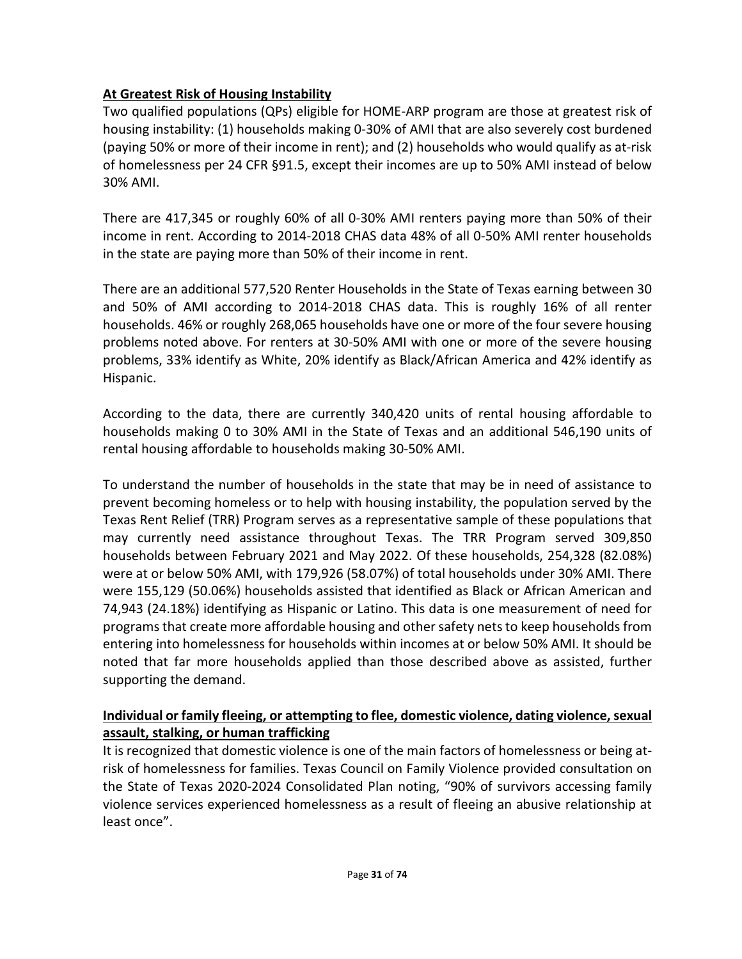## **At Greatest Risk of Housing Instability**

Two qualified populations (QPs) eligible for HOME-ARP program are those at greatest risk of housing instability: (1) households making 0-30% of AMI that are also severely cost burdened (paying 50% or more of their income in rent); and (2) households who would qualify as at-risk of homelessness per 24 CFR §91.5, except their incomes are up to 50% AMI instead of below 30% AMI.

There are 417,345 or roughly 60% of all 0-30% AMI renters paying more than 50% of their income in rent. According to 2014-2018 CHAS data 48% of all 0-50% AMI renter households in the state are paying more than 50% of their income in rent.

There are an additional 577,520 Renter Households in the State of Texas earning between 30 and 50% of AMI according to 2014-2018 CHAS data. This is roughly 16% of all renter households. 46% or roughly 268,065 households have one or more of the four severe housing problems noted above. For renters at 30-50% AMI with one or more of the severe housing problems, 33% identify as White, 20% identify as Black/African America and 42% identify as Hispanic.

According to the data, there are currently 340,420 units of rental housing affordable to households making 0 to 30% AMI in the State of Texas and an additional 546,190 units of rental housing affordable to households making 30-50% AMI.

To understand the number of households in the state that may be in need of assistance to prevent becoming homeless or to help with housing instability, the population served by the Texas Rent Relief (TRR) Program serves as a representative sample of these populations that may currently need assistance throughout Texas. The TRR Program served 309,850 households between February 2021 and May 2022. Of these households, 254,328 (82.08%) were at or below 50% AMI, with 179,926 (58.07%) of total households under 30% AMI. There were 155,129 (50.06%) households assisted that identified as Black or African American and 74,943 (24.18%) identifying as Hispanic or Latino. This data is one measurement of need for programsthat create more affordable housing and other safety nets to keep households from entering into homelessness for households within incomes at or below 50% AMI. It should be noted that far more households applied than those described above as assisted, further supporting the demand.

## **Individual or family fleeing, or attempting to flee, domestic violence, dating violence, sexual assault, stalking, or human trafficking**

It is recognized that domestic violence is one of the main factors of homelessness or being atrisk of homelessness for families. Texas Council on Family Violence provided consultation on the State of Texas 2020-2024 Consolidated Plan noting, "90% of survivors accessing family violence services experienced homelessness as a result of fleeing an abusive relationship at least once".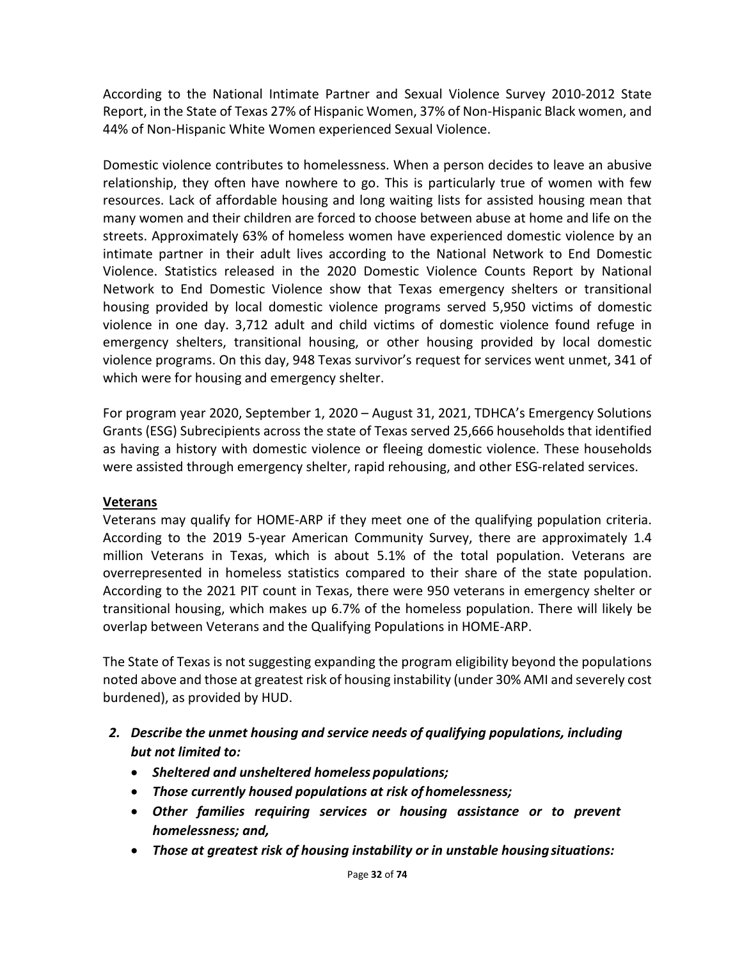According to the National Intimate Partner and Sexual Violence Survey 2010-2012 State Report, in the State of Texas 27% of Hispanic Women, 37% of Non-Hispanic Black women, and 44% of Non-Hispanic White Women experienced Sexual Violence.

Domestic violence contributes to homelessness. When a person decides to leave an abusive relationship, they often have nowhere to go. This is particularly true of women with few resources. Lack of affordable housing and long waiting lists for assisted housing mean that many women and their children are forced to choose between abuse at home and life on the streets. Approximately 63% of homeless women have experienced domestic violence by an intimate partner in their adult lives according to the National Network to End Domestic Violence. Statistics released in the 2020 Domestic Violence Counts Report by National Network to End Domestic Violence show that Texas emergency shelters or transitional housing provided by local domestic violence programs served 5,950 victims of domestic violence in one day. 3,712 adult and child victims of domestic violence found refuge in emergency shelters, transitional housing, or other housing provided by local domestic violence programs. On this day, 948 Texas survivor's request for services went unmet, 341 of which were for housing and emergency shelter.

For program year 2020, September 1, 2020 – August 31, 2021, TDHCA's Emergency Solutions Grants (ESG) Subrecipients across the state of Texas served 25,666 households that identified as having a history with domestic violence or fleeing domestic violence. These households were assisted through emergency shelter, rapid rehousing, and other ESG-related services.

### **Veterans**

Veterans may qualify for HOME-ARP if they meet one of the qualifying population criteria. According to the 2019 5-year American Community Survey, there are approximately 1.4 million Veterans in Texas, which is about 5.1% of the total population. Veterans are overrepresented in homeless statistics compared to their share of the state population. According to the 2021 PIT count in Texas, there were 950 veterans in emergency shelter or transitional housing, which makes up 6.7% of the homeless population. There will likely be overlap between Veterans and the Qualifying Populations in HOME-ARP.

The State of Texas is not suggesting expanding the program eligibility beyond the populations noted above and those at greatest risk of housing instability (under 30% AMI and severely cost burdened), as provided by HUD.

- *2. Describe the unmet housing and service needs of qualifying populations, including but not limited to:*
	- *Sheltered and unsheltered homeless populations;*
	- *Those currently housed populations at risk of homelessness;*
	- *Other families requiring services or housing assistance or to prevent homelessness; and,*
	- *Those at greatest risk of housing instability or in unstable housingsituations:*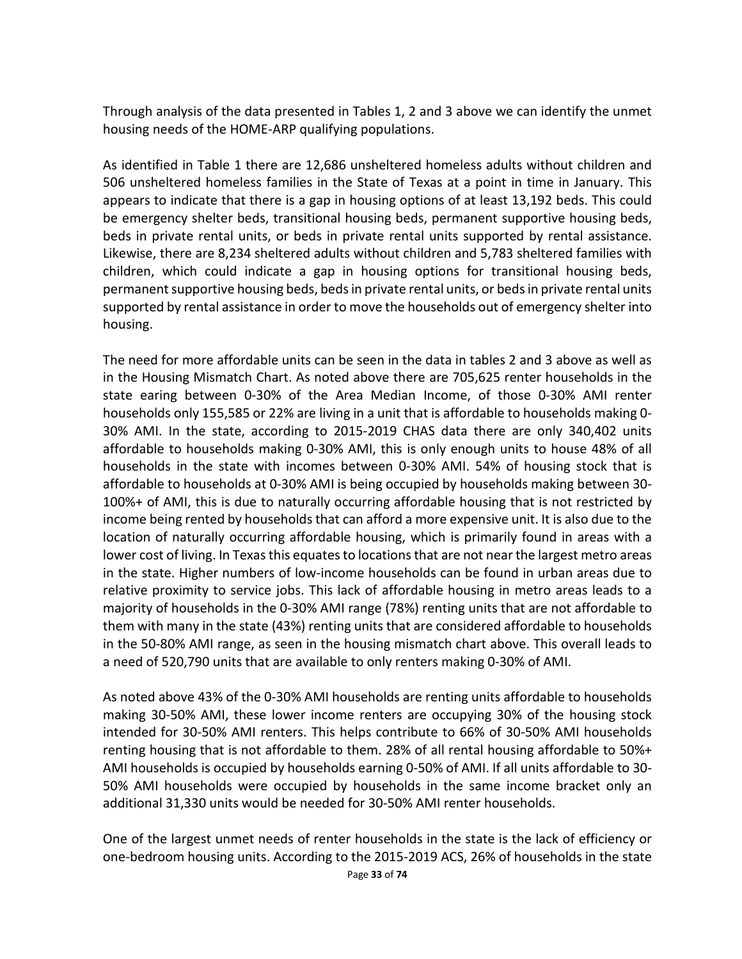Through analysis of the data presented in Tables 1, 2 and 3 above we can identify the unmet housing needs of the HOME-ARP qualifying populations.

As identified in Table 1 there are 12,686 unsheltered homeless adults without children and 506 unsheltered homeless families in the State of Texas at a point in time in January. This appears to indicate that there is a gap in housing options of at least 13,192 beds. This could be emergency shelter beds, transitional housing beds, permanent supportive housing beds, beds in private rental units, or beds in private rental units supported by rental assistance. Likewise, there are 8,234 sheltered adults without children and 5,783 sheltered families with children, which could indicate a gap in housing options for transitional housing beds, permanent supportive housing beds, beds in private rental units, or beds in private rental units supported by rental assistance in order to move the households out of emergency shelter into housing.

The need for more affordable units can be seen in the data in tables 2 and 3 above as well as in the Housing Mismatch Chart. As noted above there are 705,625 renter households in the state earing between 0-30% of the Area Median Income, of those 0-30% AMI renter households only 155,585 or 22% are living in a unit that is affordable to households making 0- 30% AMI. In the state, according to 2015-2019 CHAS data there are only 340,402 units affordable to households making 0-30% AMI, this is only enough units to house 48% of all households in the state with incomes between 0-30% AMI. 54% of housing stock that is affordable to households at 0-30% AMI is being occupied by households making between 30- 100%+ of AMI, this is due to naturally occurring affordable housing that is not restricted by income being rented by households that can afford a more expensive unit. It is also due to the location of naturally occurring affordable housing, which is primarily found in areas with a lower cost of living. In Texas this equates to locations that are not near the largest metro areas in the state. Higher numbers of low-income households can be found in urban areas due to relative proximity to service jobs. This lack of affordable housing in metro areas leads to a majority of households in the 0-30% AMI range (78%) renting units that are not affordable to them with many in the state (43%) renting units that are considered affordable to households in the 50-80% AMI range, as seen in the housing mismatch chart above. This overall leads to a need of 520,790 units that are available to only renters making 0-30% of AMI.

As noted above 43% of the 0-30% AMI households are renting units affordable to households making 30-50% AMI, these lower income renters are occupying 30% of the housing stock intended for 30-50% AMI renters. This helps contribute to 66% of 30-50% AMI households renting housing that is not affordable to them. 28% of all rental housing affordable to 50%+ AMI households is occupied by households earning 0-50% of AMI. If all units affordable to 30- 50% AMI households were occupied by households in the same income bracket only an additional 31,330 units would be needed for 30-50% AMI renter households.

One of the largest unmet needs of renter households in the state is the lack of efficiency or one-bedroom housing units. According to the 2015-2019 ACS, 26% of households in the state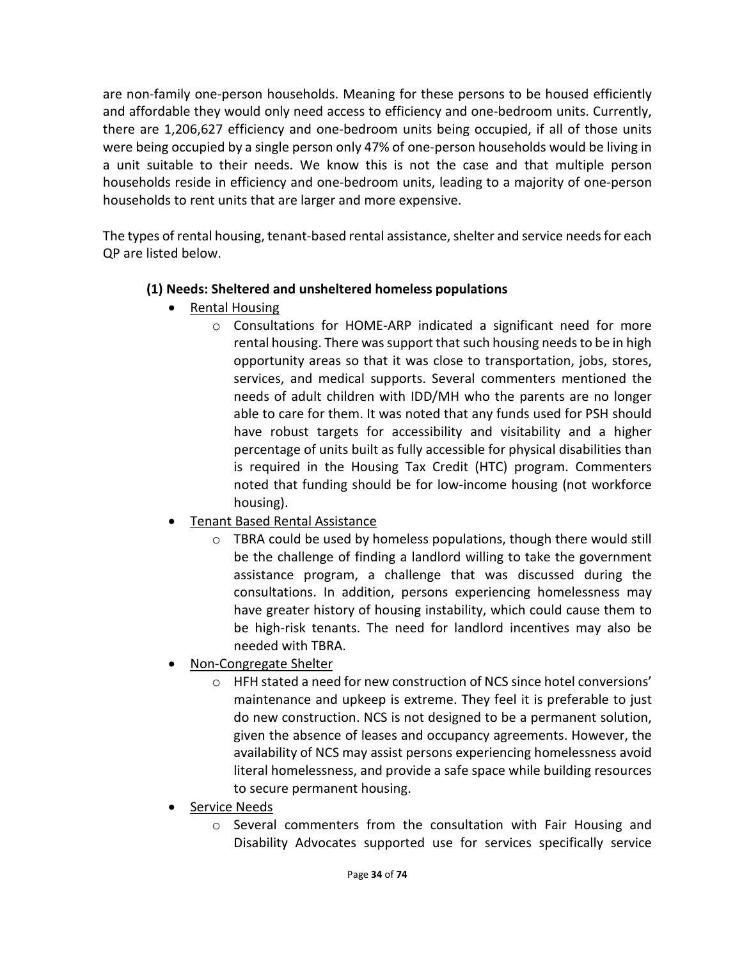are non-family one-person households. Meaning for these persons to be housed efficiently and affordable they would only need access to efficiency and one-bedroom units. Currently, there are 1,206,627 efficiency and one-bedroom units being occupied, if all of those units were being occupied by a single person only 47% of one-person households would be living in a unit suitable to their needs. We know this is not the case and that multiple person households reside in efficiency and one-bedroom units, leading to a majority of one-person households to rent units that are larger and more expensive.

The types of rental housing, tenant-based rental assistance, shelter and service needs for each QP are listed below.

## **(1) Needs: Sheltered and unsheltered homeless populations**

- Rental Housing
	- o Consultations for HOME-ARP indicated a significant need for more rental housing. There was support that such housing needs to be in high opportunity areas so that it was close to transportation, jobs, stores, services, and medical supports. Several commenters mentioned the needs of adult children with IDD/MH who the parents are no longer able to care for them. It was noted that any funds used for PSH should have robust targets for accessibility and visitability and a higher percentage of units built as fully accessible for physical disabilities than is required in the Housing Tax Credit (HTC) program. Commenters noted that funding should be for low-income housing (not workforce housing).
- Tenant Based Rental Assistance
	- o TBRA could be used by homeless populations, though there would still be the challenge of finding a landlord willing to take the government assistance program, a challenge that was discussed during the consultations. In addition, persons experiencing homelessness may have greater history of housing instability, which could cause them to be high-risk tenants. The need for landlord incentives may also be needed with TBRA.
- Non-Congregate Shelter
	- o HFH stated a need for new construction of NCS since hotel conversions' maintenance and upkeep is extreme. They feel it is preferable to just do new construction. NCS is not designed to be a permanent solution, given the absence of leases and occupancy agreements. However, the availability of NCS may assist persons experiencing homelessness avoid literal homelessness, and provide a safe space while building resources to secure permanent housing.
- Service Needs
	- o Several commenters from the consultation with Fair Housing and Disability Advocates supported use for services specifically service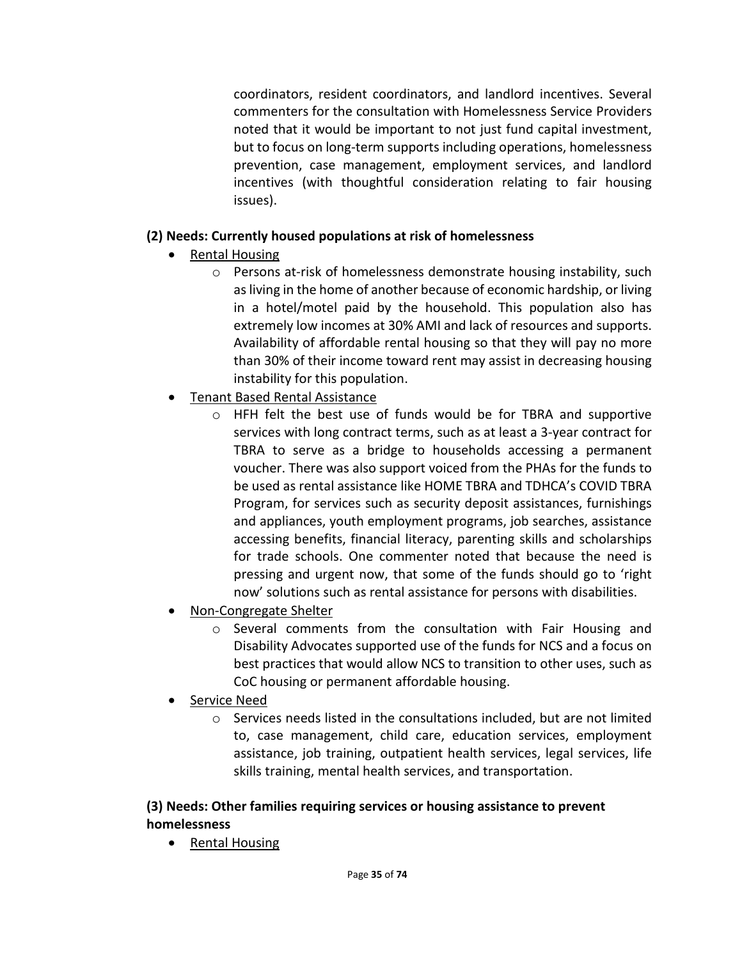coordinators, resident coordinators, and landlord incentives. Several commenters for the consultation with Homelessness Service Providers noted that it would be important to not just fund capital investment, but to focus on long-term supports including operations, homelessness prevention, case management, employment services, and landlord incentives (with thoughtful consideration relating to fair housing issues).

## **(2) Needs: Currently housed populations at risk of homelessness**

- Rental Housing
	- o Persons at-risk of homelessness demonstrate housing instability, such as living in the home of another because of economic hardship, or living in a hotel/motel paid by the household. This population also has extremely low incomes at 30% AMI and lack of resources and supports. Availability of affordable rental housing so that they will pay no more than 30% of their income toward rent may assist in decreasing housing instability for this population.
- Tenant Based Rental Assistance
	- o HFH felt the best use of funds would be for TBRA and supportive services with long contract terms, such as at least a 3-year contract for TBRA to serve as a bridge to households accessing a permanent voucher. There was also support voiced from the PHAs for the funds to be used as rental assistance like HOME TBRA and TDHCA's COVID TBRA Program, for services such as security deposit assistances, furnishings and appliances, youth employment programs, job searches, assistance accessing benefits, financial literacy, parenting skills and scholarships for trade schools. One commenter noted that because the need is pressing and urgent now, that some of the funds should go to 'right now' solutions such as rental assistance for persons with disabilities.
- Non-Congregate Shelter
	- $\circ$  Several comments from the consultation with Fair Housing and Disability Advocates supported use of the funds for NCS and a focus on best practices that would allow NCS to transition to other uses, such as CoC housing or permanent affordable housing.
- Service Need
	- $\circ$  Services needs listed in the consultations included, but are not limited to, case management, child care, education services, employment assistance, job training, outpatient health services, legal services, life skills training, mental health services, and transportation.

## **(3) Needs: Other families requiring services or housing assistance to prevent homelessness**

• Rental Housing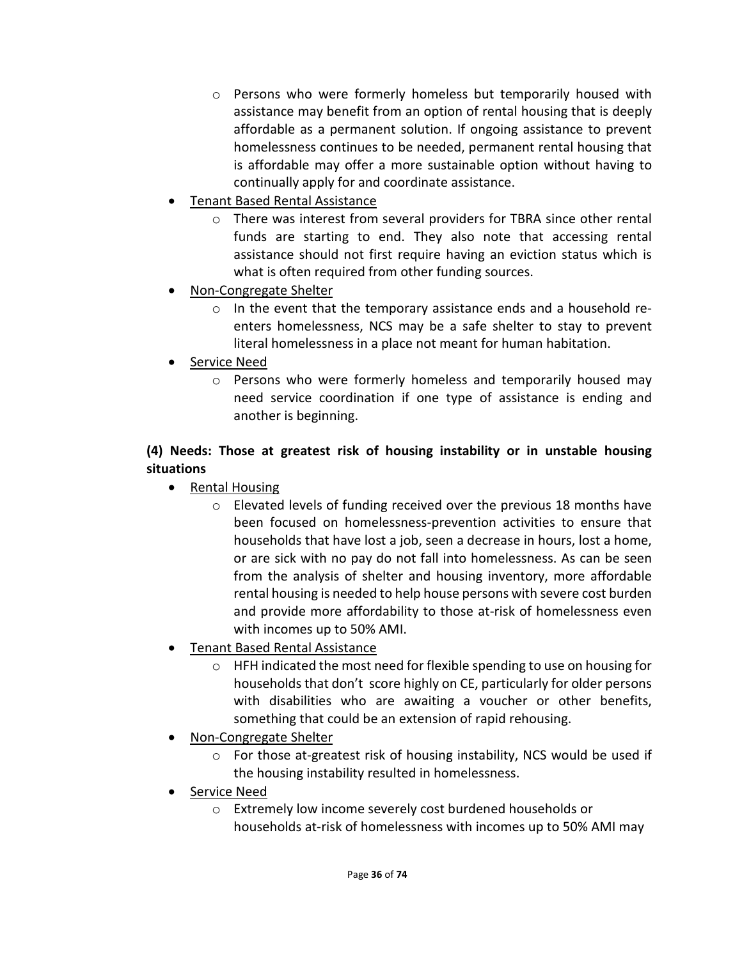- o Persons who were formerly homeless but temporarily housed with assistance may benefit from an option of rental housing that is deeply affordable as a permanent solution. If ongoing assistance to prevent homelessness continues to be needed, permanent rental housing that is affordable may offer a more sustainable option without having to continually apply for and coordinate assistance.
- Tenant Based Rental Assistance
	- o There was interest from several providers for TBRA since other rental funds are starting to end. They also note that accessing rental assistance should not first require having an eviction status which is what is often required from other funding sources.
- Non-Congregate Shelter
	- $\circ$  In the event that the temporary assistance ends and a household reenters homelessness, NCS may be a safe shelter to stay to prevent literal homelessness in a place not meant for human habitation.
- Service Need
	- $\circ$  Persons who were formerly homeless and temporarily housed may need service coordination if one type of assistance is ending and another is beginning.

## **(4) Needs: Those at greatest risk of housing instability or in unstable housing situations**

- Rental Housing
	- o Elevated levels of funding received over the previous 18 months have been focused on homelessness-prevention activities to ensure that households that have lost a job, seen a decrease in hours, lost a home, or are sick with no pay do not fall into homelessness. As can be seen from the analysis of shelter and housing inventory, more affordable rental housing is needed to help house persons with severe cost burden and provide more affordability to those at-risk of homelessness even with incomes up to 50% AMI.
- Tenant Based Rental Assistance
	- o HFH indicated the most need for flexible spending to use on housing for households that don't score highly on CE, particularly for older persons with disabilities who are awaiting a voucher or other benefits, something that could be an extension of rapid rehousing.
- Non-Congregate Shelter
	- o For those at-greatest risk of housing instability, NCS would be used if the housing instability resulted in homelessness.
- Service Need
	- o Extremely low income severely cost burdened households or households at-risk of homelessness with incomes up to 50% AMI may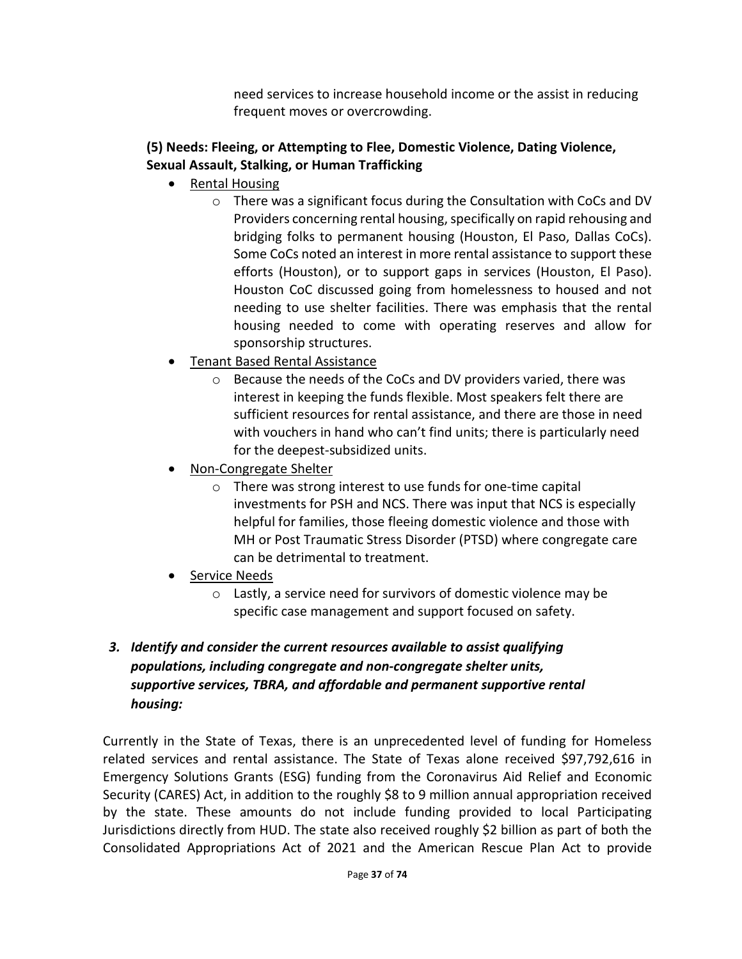need services to increase household income or the assist in reducing frequent moves or overcrowding.

## **(5) Needs: Fleeing, or Attempting to Flee, Domestic Violence, Dating Violence, Sexual Assault, Stalking, or Human Trafficking**

- Rental Housing
	- $\circ$  There was a significant focus during the Consultation with CoCs and DV Providers concerning rental housing, specifically on rapid rehousing and bridging folks to permanent housing (Houston, El Paso, Dallas CoCs). Some CoCs noted an interest in more rental assistance to support these efforts (Houston), or to support gaps in services (Houston, El Paso). Houston CoC discussed going from homelessness to housed and not needing to use shelter facilities. There was emphasis that the rental housing needed to come with operating reserves and allow for sponsorship structures.
- Tenant Based Rental Assistance
	- o Because the needs of the CoCs and DV providers varied, there was interest in keeping the funds flexible. Most speakers felt there are sufficient resources for rental assistance, and there are those in need with vouchers in hand who can't find units; there is particularly need for the deepest-subsidized units.
- Non-Congregate Shelter
	- o There was strong interest to use funds for one-time capital investments for PSH and NCS. There was input that NCS is especially helpful for families, those fleeing domestic violence and those with MH or Post Traumatic Stress Disorder (PTSD) where congregate care can be detrimental to treatment.
- Service Needs
	- o Lastly, a service need for survivors of domestic violence may be specific case management and support focused on safety.

## *3. Identify and consider the current resources available to assist qualifying populations, including congregate and non-congregate shelter units, supportive services, TBRA, and affordable and permanent supportive rental housing:*

Currently in the State of Texas, there is an unprecedented level of funding for Homeless related services and rental assistance. The State of Texas alone received \$97,792,616 in Emergency Solutions Grants (ESG) funding from the Coronavirus Aid Relief and Economic Security (CARES) Act, in addition to the roughly \$8 to 9 million annual appropriation received by the state. These amounts do not include funding provided to local Participating Jurisdictions directly from HUD. The state also received roughly \$2 billion as part of both the Consolidated Appropriations Act of 2021 and the American Rescue Plan Act to provide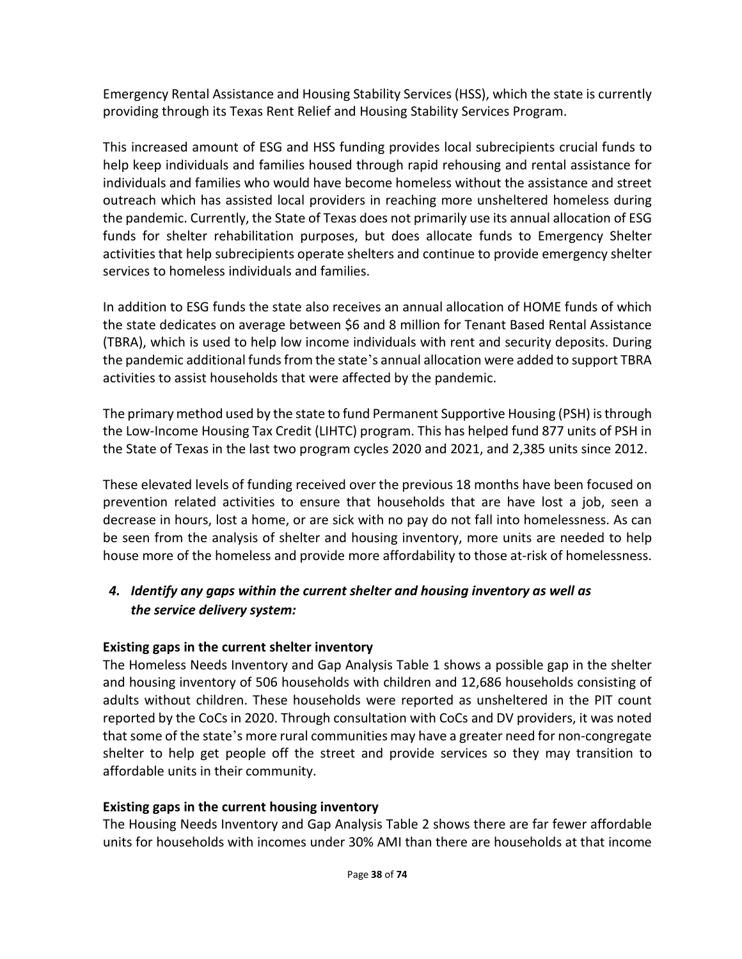Emergency Rental Assistance and Housing Stability Services (HSS), which the state is currently providing through its Texas Rent Relief and Housing Stability Services Program.

This increased amount of ESG and HSS funding provides local subrecipients crucial funds to help keep individuals and families housed through rapid rehousing and rental assistance for individuals and families who would have become homeless without the assistance and street outreach which has assisted local providers in reaching more unsheltered homeless during the pandemic. Currently, the State of Texas does not primarily use its annual allocation of ESG funds for shelter rehabilitation purposes, but does allocate funds to Emergency Shelter activities that help subrecipients operate shelters and continue to provide emergency shelter services to homeless individuals and families.

In addition to ESG funds the state also receives an annual allocation of HOME funds of which the state dedicates on average between \$6 and 8 million for Tenant Based Rental Assistance (TBRA), which is used to help low income individuals with rent and security deposits. During the pandemic additional funds from the state's annual allocation were added to support TBRA activities to assist households that were affected by the pandemic.

The primary method used by the state to fund Permanent Supportive Housing (PSH) is through the Low-Income Housing Tax Credit (LIHTC) program. This has helped fund 877 units of PSH in the State of Texas in the last two program cycles 2020 and 2021, and 2,385 units since 2012.

These elevated levels of funding received over the previous 18 months have been focused on prevention related activities to ensure that households that are have lost a job, seen a decrease in hours, lost a home, or are sick with no pay do not fall into homelessness. As can be seen from the analysis of shelter and housing inventory, more units are needed to help house more of the homeless and provide more affordability to those at-risk of homelessness.

## *4. Identify any gaps within the current shelter and housing inventory as well as the service delivery system:*

## **Existing gaps in the current shelter inventory**

The Homeless Needs Inventory and Gap Analysis Table 1 shows a possible gap in the shelter and housing inventory of 506 households with children and 12,686 households consisting of adults without children. These households were reported as unsheltered in the PIT count reported by the CoCs in 2020. Through consultation with CoCs and DV providers, it was noted that some of the state's more rural communities may have a greater need for non-congregate shelter to help get people off the street and provide services so they may transition to affordable units in their community.

#### **Existing gaps in the current housing inventory**

The Housing Needs Inventory and Gap Analysis Table 2 shows there are far fewer affordable units for households with incomes under 30% AMI than there are households at that income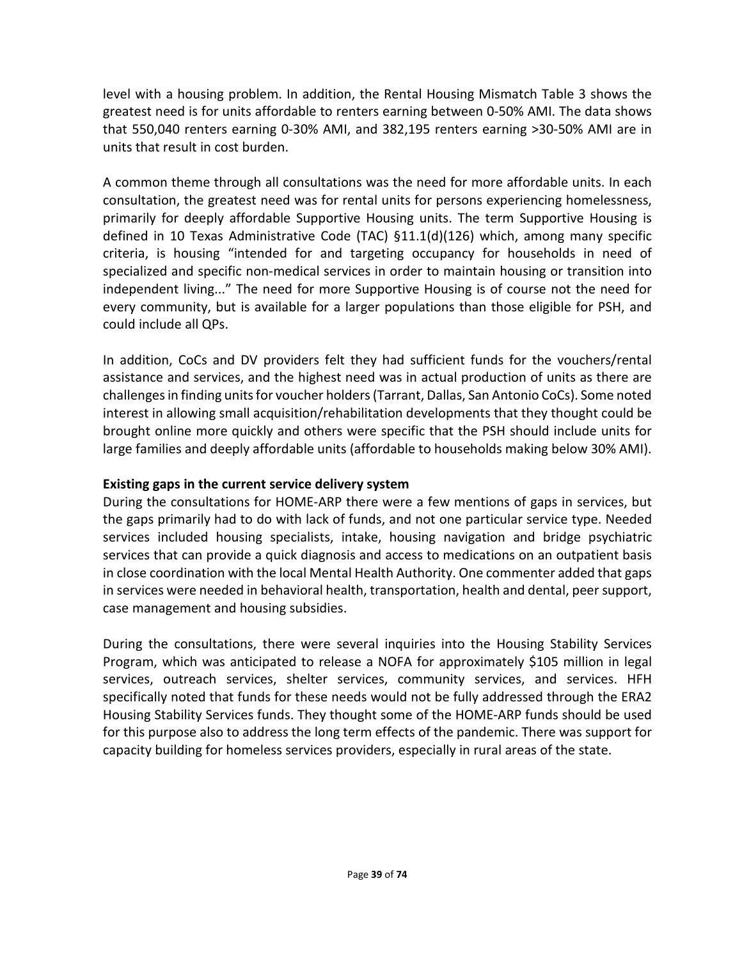level with a housing problem. In addition, the Rental Housing Mismatch Table 3 shows the greatest need is for units affordable to renters earning between 0-50% AMI. The data shows that 550,040 renters earning 0-30% AMI, and 382,195 renters earning >30-50% AMI are in units that result in cost burden.

A common theme through all consultations was the need for more affordable units. In each consultation, the greatest need was for rental units for persons experiencing homelessness, primarily for deeply affordable Supportive Housing units. The term Supportive Housing is defined in 10 Texas Administrative Code (TAC) §11.1(d)(126) which, among many specific criteria, is housing "intended for and targeting occupancy for households in need of specialized and specific non-medical services in order to maintain housing or transition into independent living..." The need for more Supportive Housing is of course not the need for every community, but is available for a larger populations than those eligible for PSH, and could include all QPs.

In addition, CoCs and DV providers felt they had sufficient funds for the vouchers/rental assistance and services, and the highest need was in actual production of units as there are challenges in finding units for voucher holders (Tarrant, Dallas, San Antonio CoCs). Some noted interest in allowing small acquisition/rehabilitation developments that they thought could be brought online more quickly and others were specific that the PSH should include units for large families and deeply affordable units (affordable to households making below 30% AMI).

#### **Existing gaps in the current service delivery system**

During the consultations for HOME-ARP there were a few mentions of gaps in services, but the gaps primarily had to do with lack of funds, and not one particular service type. Needed services included housing specialists, intake, housing navigation and bridge psychiatric services that can provide a quick diagnosis and access to medications on an outpatient basis in close coordination with the local Mental Health Authority. One commenter added that gaps in services were needed in behavioral health, transportation, health and dental, peer support, case management and housing subsidies.

During the consultations, there were several inquiries into the Housing Stability Services Program, which was anticipated to release a NOFA for approximately \$105 million in legal services, outreach services, shelter services, community services, and services. HFH specifically noted that funds for these needs would not be fully addressed through the ERA2 Housing Stability Services funds. They thought some of the HOME-ARP funds should be used for this purpose also to address the long term effects of the pandemic. There was support for capacity building for homeless services providers, especially in rural areas of the state.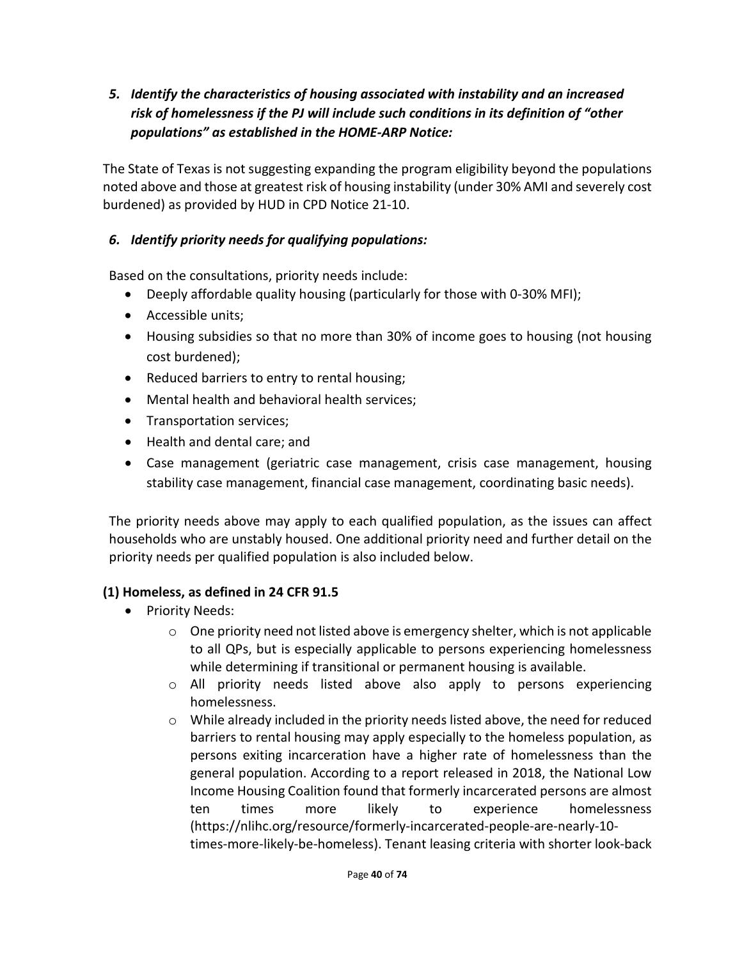*5. Identify the characteristics of housing associated with instability and an increased risk of homelessness if the PJ will include such conditions in its definition of "other populations" as established in the HOME-ARP Notice:*

The State of Texas is not suggesting expanding the program eligibility beyond the populations noted above and those at greatest risk of housing instability (under 30% AMI and severely cost burdened) as provided by HUD in CPD Notice 21-10.

## *6. Identify priority needs for qualifying populations:*

Based on the consultations, priority needs include:

- Deeply affordable quality housing (particularly for those with 0-30% MFI);
- Accessible units;
- Housing subsidies so that no more than 30% of income goes to housing (not housing cost burdened);
- Reduced barriers to entry to rental housing;
- Mental health and behavioral health services;
- Transportation services;
- Health and dental care; and
- Case management (geriatric case management, crisis case management, housing stability case management, financial case management, coordinating basic needs).

The priority needs above may apply to each qualified population, as the issues can affect households who are unstably housed. One additional priority need and further detail on the priority needs per qualified population is also included below.

#### **(1) Homeless, as defined in 24 CFR 91.5**

- Priority Needs:
	- $\circ$  One priority need not listed above is emergency shelter, which is not applicable to all QPs, but is especially applicable to persons experiencing homelessness while determining if transitional or permanent housing is available.
	- o All priority needs listed above also apply to persons experiencing homelessness.
	- $\circ$  While already included in the priority needs listed above, the need for reduced barriers to rental housing may apply especially to the homeless population, as persons exiting incarceration have a higher rate of homelessness than the general population. According to a report released in 2018, the National Low Income Housing Coalition found that formerly incarcerated persons are almost ten times more likely to experience homelessness (https://nlihc.org/resource/formerly-incarcerated-people-are-nearly-10 times-more-likely-be-homeless). Tenant leasing criteria with shorter look-back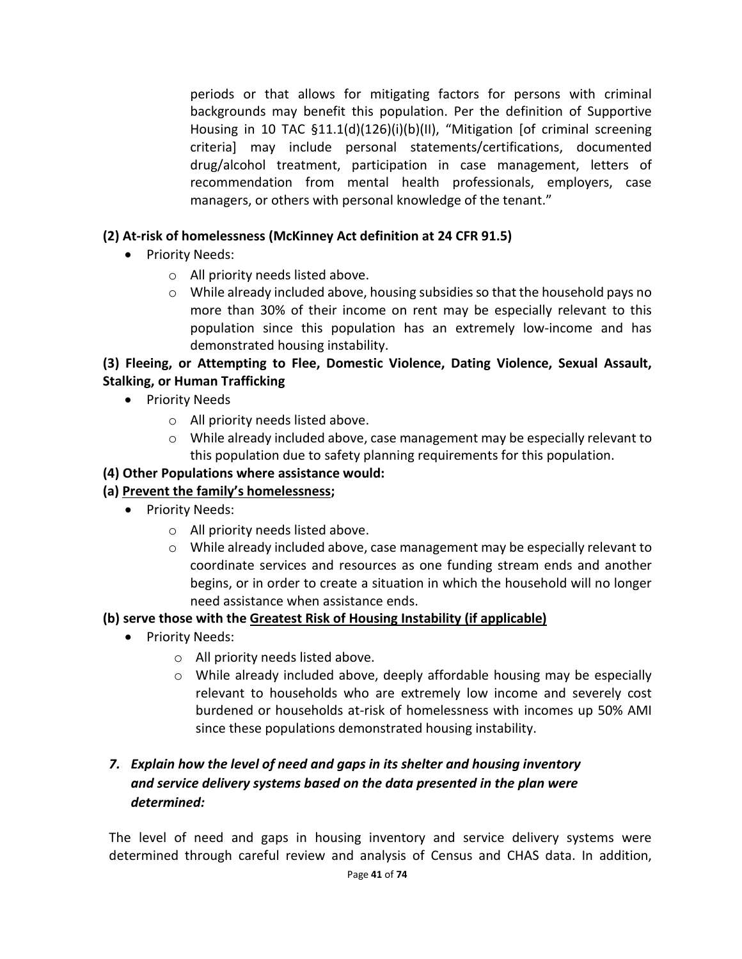periods or that allows for mitigating factors for persons with criminal backgrounds may benefit this population. Per the definition of Supportive Housing in 10 TAC §11.1(d)(126)(i)(b)(II), "Mitigation [of criminal screening criteria] may include personal statements/certifications, documented drug/alcohol treatment, participation in case management, letters of recommendation from mental health professionals, employers, case managers, or others with personal knowledge of the tenant."

### **(2) At-risk of homelessness (McKinney Act definition at 24 CFR 91.5)**

- Priority Needs:
	- o All priority needs listed above.
	- o While already included above, housing subsidies so that the household pays no more than 30% of their income on rent may be especially relevant to this population since this population has an extremely low-income and has demonstrated housing instability.

### **(3) Fleeing, or Attempting to Flee, Domestic Violence, Dating Violence, Sexual Assault, Stalking, or Human Trafficking**

- Priority Needs
	- o All priority needs listed above.
	- o While already included above, case management may be especially relevant to this population due to safety planning requirements for this population.

### **(4) Other Populations where assistance would:**

#### **(a) Prevent the family's homelessness;**

- Priority Needs:
	- o All priority needs listed above.
	- $\circ$  While already included above, case management may be especially relevant to coordinate services and resources as one funding stream ends and another begins, or in order to create a situation in which the household will no longer need assistance when assistance ends.

#### **(b) serve those with the Greatest Risk of Housing Instability (if applicable)**

- Priority Needs:
	- o All priority needs listed above.
	- o While already included above, deeply affordable housing may be especially relevant to households who are extremely low income and severely cost burdened or households at-risk of homelessness with incomes up 50% AMI since these populations demonstrated housing instability.

## *7. Explain how the level of need and gaps in its shelter and housing inventory and service delivery systems based on the data presented in the plan were determined:*

The level of need and gaps in housing inventory and service delivery systems were determined through careful review and analysis of Census and CHAS data. In addition,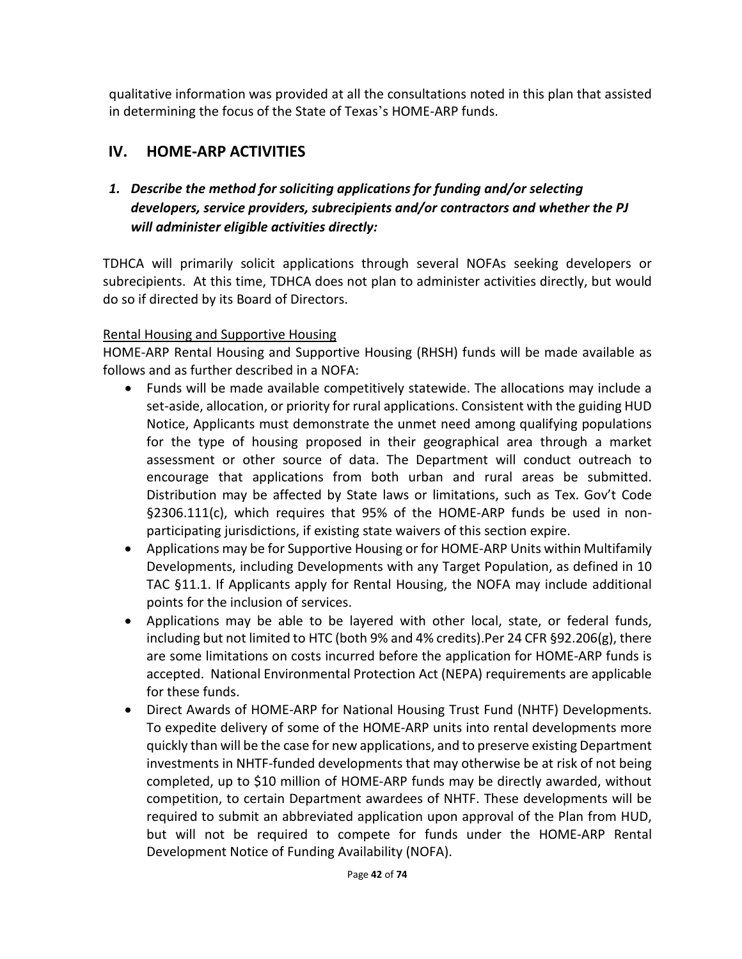qualitative information was provided at all the consultations noted in this plan that assisted in determining the focus of the State of Texas's HOME-ARP funds.

# **IV. HOME-ARP ACTIVITIES**

## *1. Describe the method for soliciting applications for funding and/or selecting developers, service providers, subrecipients and/or contractors and whether the PJ will administer eligible activities directly:*

TDHCA will primarily solicit applications through several NOFAs seeking developers or subrecipients. At this time, TDHCA does not plan to administer activities directly, but would do so if directed by its Board of Directors.

### Rental Housing and Supportive Housing

HOME-ARP Rental Housing and Supportive Housing (RHSH) funds will be made available as follows and as further described in a NOFA:

- Funds will be made available competitively statewide. The allocations may include a set-aside, allocation, or priority for rural applications. Consistent with the guiding HUD Notice, Applicants must demonstrate the unmet need among qualifying populations for the type of housing proposed in their geographical area through a market assessment or other source of data. The Department will conduct outreach to encourage that applications from both urban and rural areas be submitted. Distribution may be affected by State laws or limitations, such as Tex. Gov't Code §2306.111(c), which requires that 95% of the HOME-ARP funds be used in nonparticipating jurisdictions, if existing state waivers of this section expire.
- Applications may be for Supportive Housing or for HOME-ARP Units within Multifamily Developments, including Developments with any Target Population, as defined in 10 TAC §11.1. If Applicants apply for Rental Housing, the NOFA may include additional points for the inclusion of services.
- Applications may be able to be layered with other local, state, or federal funds, including but not limited to HTC (both 9% and 4% credits).Per 24 CFR §92.206(g), there are some limitations on costs incurred before the application for HOME-ARP funds is accepted. National Environmental Protection Act (NEPA) requirements are applicable for these funds.
- Direct Awards of HOME-ARP for National Housing Trust Fund (NHTF) Developments. To expedite delivery of some of the HOME-ARP units into rental developments more quickly than will be the case for new applications, and to preserve existing Department investments in NHTF-funded developments that may otherwise be at risk of not being completed, up to \$10 million of HOME-ARP funds may be directly awarded, without competition, to certain Department awardees of NHTF. These developments will be required to submit an abbreviated application upon approval of the Plan from HUD, but will not be required to compete for funds under the HOME-ARP Rental Development Notice of Funding Availability (NOFA).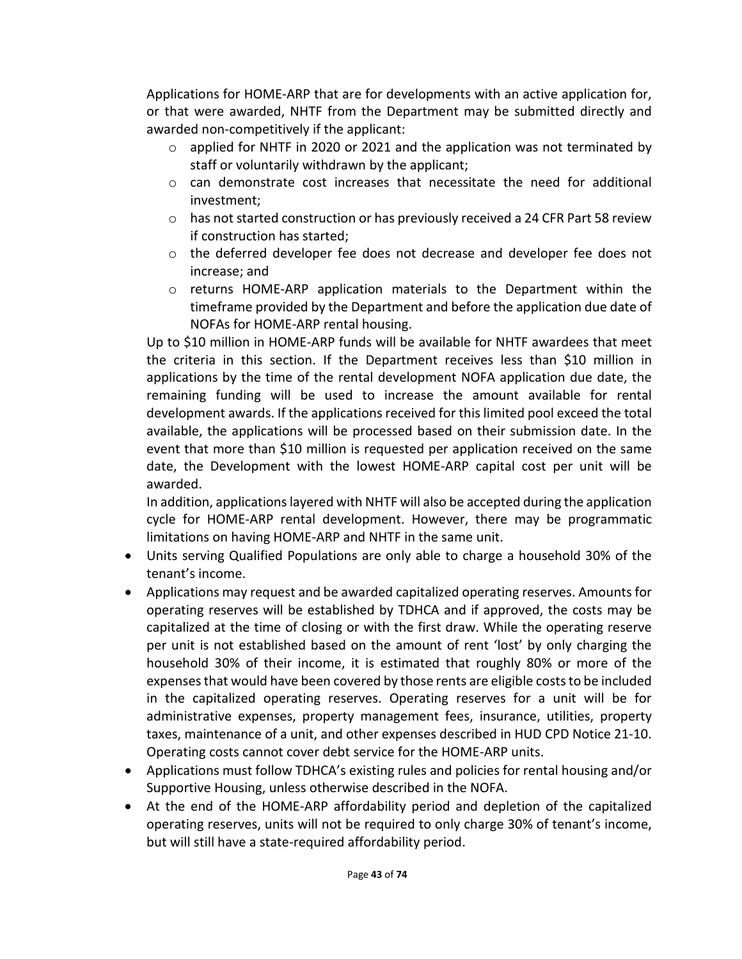Applications for HOME-ARP that are for developments with an active application for, or that were awarded, NHTF from the Department may be submitted directly and awarded non-competitively if the applicant:

- $\circ$  applied for NHTF in 2020 or 2021 and the application was not terminated by staff or voluntarily withdrawn by the applicant;
- $\circ$  can demonstrate cost increases that necessitate the need for additional investment;
- $\circ$  has not started construction or has previously received a 24 CFR Part 58 review if construction has started;
- $\circ$  the deferred developer fee does not decrease and developer fee does not increase; and
- o returns HOME-ARP application materials to the Department within the timeframe provided by the Department and before the application due date of NOFAs for HOME-ARP rental housing.

Up to \$10 million in HOME-ARP funds will be available for NHTF awardees that meet the criteria in this section. If the Department receives less than \$10 million in applications by the time of the rental development NOFA application due date, the remaining funding will be used to increase the amount available for rental development awards. If the applications received for this limited pool exceed the total available, the applications will be processed based on their submission date. In the event that more than \$10 million is requested per application received on the same date, the Development with the lowest HOME-ARP capital cost per unit will be awarded.

In addition, applications layered with NHTF will also be accepted during the application cycle for HOME-ARP rental development. However, there may be programmatic limitations on having HOME-ARP and NHTF in the same unit.

- Units serving Qualified Populations are only able to charge a household 30% of the tenant's income.
- Applications may request and be awarded capitalized operating reserves. Amounts for operating reserves will be established by TDHCA and if approved, the costs may be capitalized at the time of closing or with the first draw. While the operating reserve per unit is not established based on the amount of rent 'lost' by only charging the household 30% of their income, it is estimated that roughly 80% or more of the expenses that would have been covered by those rents are eligible costs to be included in the capitalized operating reserves. Operating reserves for a unit will be for administrative expenses, property management fees, insurance, utilities, property taxes, maintenance of a unit, and other expenses described in HUD CPD Notice 21-10. Operating costs cannot cover debt service for the HOME-ARP units.
- Applications must follow TDHCA's existing rules and policies for rental housing and/or Supportive Housing, unless otherwise described in the NOFA.
- At the end of the HOME-ARP affordability period and depletion of the capitalized operating reserves, units will not be required to only charge 30% of tenant's income, but will still have a state-required affordability period.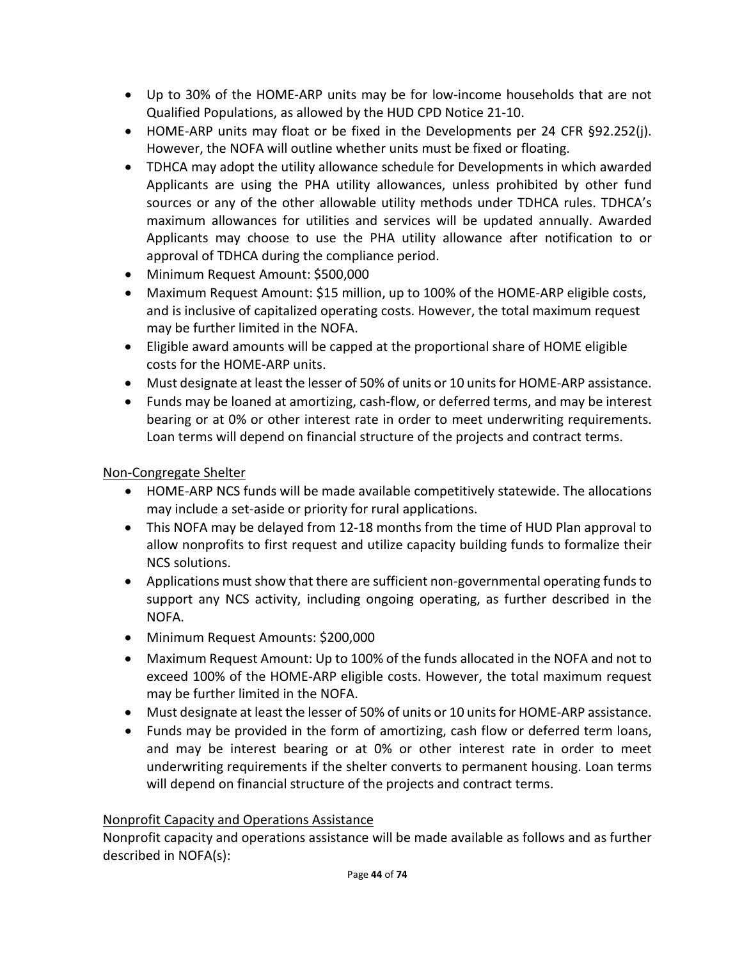- Up to 30% of the HOME-ARP units may be for low-income households that are not Qualified Populations, as allowed by the HUD CPD Notice 21-10.
- HOME-ARP units may float or be fixed in the Developments per 24 CFR §92.252(j). However, the NOFA will outline whether units must be fixed or floating.
- TDHCA may adopt the utility allowance schedule for Developments in which awarded Applicants are using the PHA utility allowances, unless prohibited by other fund sources or any of the other allowable utility methods under TDHCA rules. TDHCA's maximum allowances for utilities and services will be updated annually. Awarded Applicants may choose to use the PHA utility allowance after notification to or approval of TDHCA during the compliance period.
- Minimum Request Amount: \$500,000
- Maximum Request Amount: \$15 million, up to 100% of the HOME-ARP eligible costs, and is inclusive of capitalized operating costs. However, the total maximum request may be further limited in the NOFA.
- Eligible award amounts will be capped at the proportional share of HOME eligible costs for the HOME-ARP units.
- Must designate at least the lesser of 50% of units or 10 units for HOME-ARP assistance.
- Funds may be loaned at amortizing, cash-flow, or deferred terms, and may be interest bearing or at 0% or other interest rate in order to meet underwriting requirements. Loan terms will depend on financial structure of the projects and contract terms.

### Non-Congregate Shelter

- HOME-ARP NCS funds will be made available competitively statewide. The allocations may include a set-aside or priority for rural applications.
- This NOFA may be delayed from 12-18 months from the time of HUD Plan approval to allow nonprofits to first request and utilize capacity building funds to formalize their NCS solutions.
- Applications must show that there are sufficient non-governmental operating funds to support any NCS activity, including ongoing operating, as further described in the NOFA.
- Minimum Request Amounts: \$200,000
- Maximum Request Amount: Up to 100% of the funds allocated in the NOFA and not to exceed 100% of the HOME-ARP eligible costs. However, the total maximum request may be further limited in the NOFA.
- Must designate at least the lesser of 50% of units or 10 units for HOME-ARP assistance.
- Funds may be provided in the form of amortizing, cash flow or deferred term loans, and may be interest bearing or at 0% or other interest rate in order to meet underwriting requirements if the shelter converts to permanent housing. Loan terms will depend on financial structure of the projects and contract terms.

#### Nonprofit Capacity and Operations Assistance

Nonprofit capacity and operations assistance will be made available as follows and as further described in NOFA(s):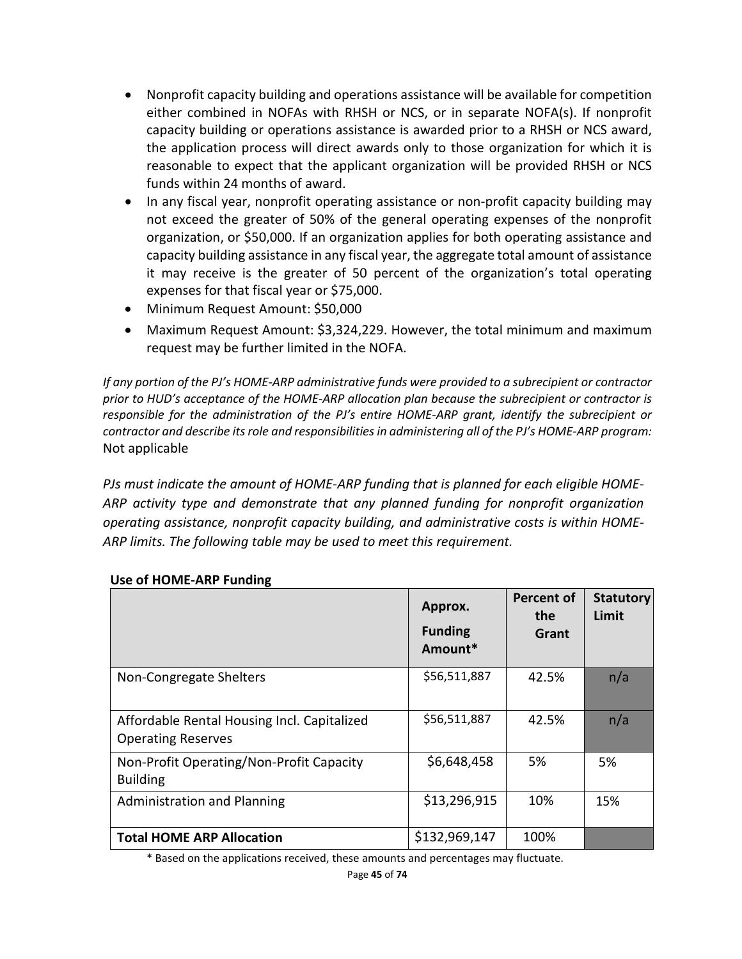- Nonprofit capacity building and operations assistance will be available for competition either combined in NOFAs with RHSH or NCS, or in separate NOFA(s). If nonprofit capacity building or operations assistance is awarded prior to a RHSH or NCS award, the application process will direct awards only to those organization for which it is reasonable to expect that the applicant organization will be provided RHSH or NCS funds within 24 months of award.
- In any fiscal year, nonprofit operating assistance or non-profit capacity building may not exceed the greater of 50% of the general operating expenses of the nonprofit organization, or \$50,000. If an organization applies for both operating assistance and capacity building assistance in any fiscal year, the aggregate total amount of assistance it may receive is the greater of 50 percent of the organization's total operating expenses for that fiscal year or \$75,000.
- Minimum Request Amount: \$50,000
- Maximum Request Amount: \$3,324,229. However, the total minimum and maximum request may be further limited in the NOFA.

*If any portion of the PJ's HOME-ARP administrative funds were provided to a subrecipient or contractor prior to HUD's acceptance of the HOME-ARP allocation plan because the subrecipient or contractor is responsible for the administration of the PJ's entire HOME-ARP grant, identify the subrecipient or contractor and describe its role and responsibilities in administering all of the PJ's HOME-ARP program:* Not applicable

*PJs must indicate the amount of HOME-ARP funding that is planned for each eligible HOME-ARP activity type and demonstrate that any planned funding for nonprofit organization operating assistance, nonprofit capacity building, and administrative costs is within HOME-ARP limits. The following table may be used to meet this requirement.*

|                                                                          | Approx.<br><b>Funding</b><br>Amount* | <b>Percent of</b><br>the<br>Grant | <b>Statutory</b><br>Limit |
|--------------------------------------------------------------------------|--------------------------------------|-----------------------------------|---------------------------|
| Non-Congregate Shelters                                                  | \$56,511,887                         | 42.5%                             | n/a                       |
| Affordable Rental Housing Incl. Capitalized<br><b>Operating Reserves</b> | \$56,511,887                         | 42.5%                             | n/a                       |
| Non-Profit Operating/Non-Profit Capacity<br><b>Building</b>              | \$6,648,458                          | 5%                                | 5%                        |
| <b>Administration and Planning</b>                                       | \$13,296,915                         | 10%                               | 15%                       |
| <b>Total HOME ARP Allocation</b>                                         | \$132,969,147                        | 100%                              |                           |

#### **Use of HOME-ARP Funding**

\* Based on the applications received, these amounts and percentages may fluctuate.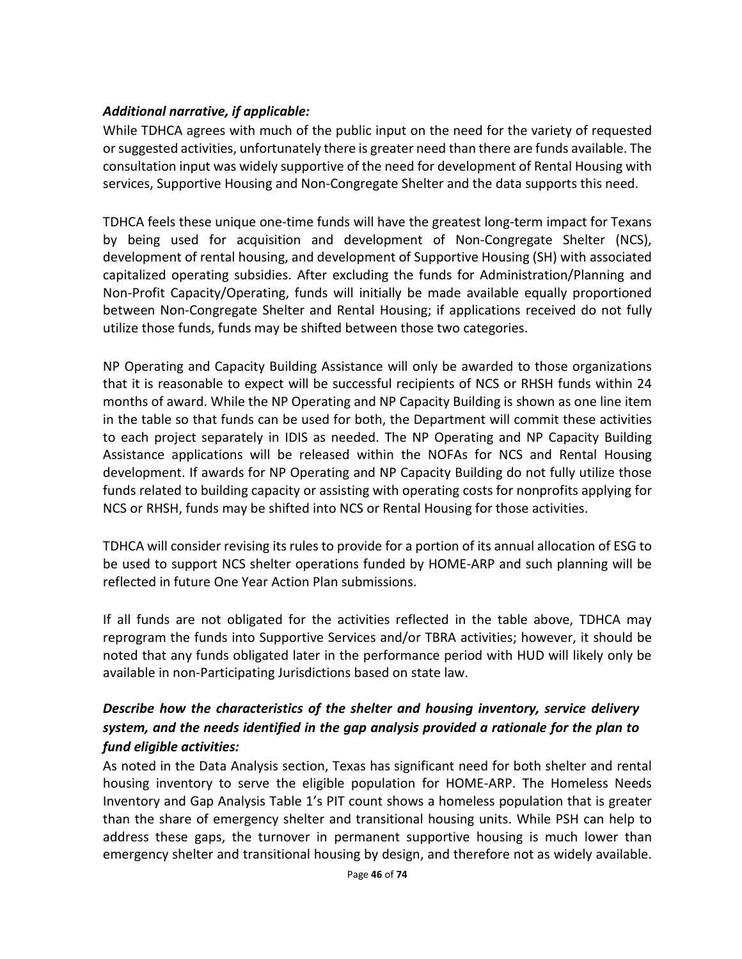### *Additional narrative, if applicable:*

While TDHCA agrees with much of the public input on the need for the variety of requested or suggested activities, unfortunately there is greater need than there are funds available. The consultation input was widely supportive of the need for development of Rental Housing with services, Supportive Housing and Non-Congregate Shelter and the data supports this need.

TDHCA feels these unique one-time funds will have the greatest long-term impact for Texans by being used for acquisition and development of Non-Congregate Shelter (NCS), development of rental housing, and development of Supportive Housing (SH) with associated capitalized operating subsidies. After excluding the funds for Administration/Planning and Non-Profit Capacity/Operating, funds will initially be made available equally proportioned between Non-Congregate Shelter and Rental Housing; if applications received do not fully utilize those funds, funds may be shifted between those two categories.

NP Operating and Capacity Building Assistance will only be awarded to those organizations that it is reasonable to expect will be successful recipients of NCS or RHSH funds within 24 months of award. While the NP Operating and NP Capacity Building is shown as one line item in the table so that funds can be used for both, the Department will commit these activities to each project separately in IDIS as needed. The NP Operating and NP Capacity Building Assistance applications will be released within the NOFAs for NCS and Rental Housing development. If awards for NP Operating and NP Capacity Building do not fully utilize those funds related to building capacity or assisting with operating costs for nonprofits applying for NCS or RHSH, funds may be shifted into NCS or Rental Housing for those activities.

TDHCA will consider revising its rules to provide for a portion of its annual allocation of ESG to be used to support NCS shelter operations funded by HOME-ARP and such planning will be reflected in future One Year Action Plan submissions.

If all funds are not obligated for the activities reflected in the table above, TDHCA may reprogram the funds into Supportive Services and/or TBRA activities; however, it should be noted that any funds obligated later in the performance period with HUD will likely only be available in non-Participating Jurisdictions based on state law.

## *Describe how the characteristics of the shelter and housing inventory, service delivery system, and the needs identified in the gap analysis provided a rationale for the plan to fund eligible activities:*

As noted in the Data Analysis section, Texas has significant need for both shelter and rental housing inventory to serve the eligible population for HOME-ARP. The Homeless Needs Inventory and Gap Analysis Table 1's PIT count shows a homeless population that is greater than the share of emergency shelter and transitional housing units. While PSH can help to address these gaps, the turnover in permanent supportive housing is much lower than emergency shelter and transitional housing by design, and therefore not as widely available.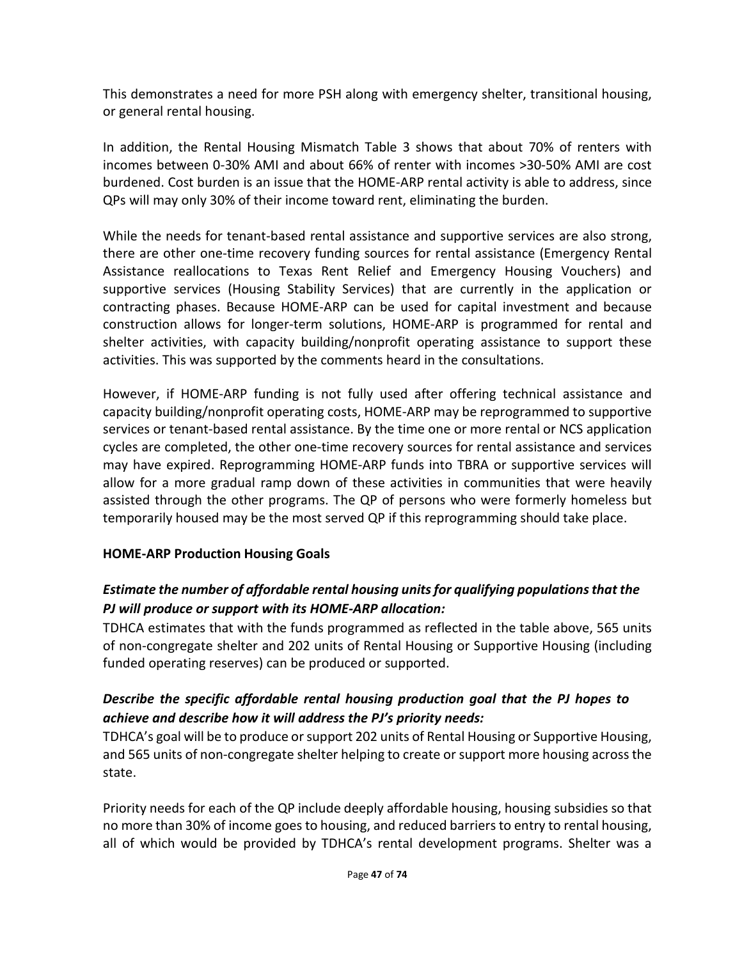This demonstrates a need for more PSH along with emergency shelter, transitional housing, or general rental housing.

In addition, the Rental Housing Mismatch Table 3 shows that about 70% of renters with incomes between 0-30% AMI and about 66% of renter with incomes >30-50% AMI are cost burdened. Cost burden is an issue that the HOME-ARP rental activity is able to address, since QPs will may only 30% of their income toward rent, eliminating the burden.

While the needs for tenant-based rental assistance and supportive services are also strong, there are other one-time recovery funding sources for rental assistance (Emergency Rental Assistance reallocations to Texas Rent Relief and Emergency Housing Vouchers) and supportive services (Housing Stability Services) that are currently in the application or contracting phases. Because HOME-ARP can be used for capital investment and because construction allows for longer-term solutions, HOME-ARP is programmed for rental and shelter activities, with capacity building/nonprofit operating assistance to support these activities. This was supported by the comments heard in the consultations.

However, if HOME-ARP funding is not fully used after offering technical assistance and capacity building/nonprofit operating costs, HOME-ARP may be reprogrammed to supportive services or tenant-based rental assistance. By the time one or more rental or NCS application cycles are completed, the other one-time recovery sources for rental assistance and services may have expired. Reprogramming HOME-ARP funds into TBRA or supportive services will allow for a more gradual ramp down of these activities in communities that were heavily assisted through the other programs. The QP of persons who were formerly homeless but temporarily housed may be the most served QP if this reprogramming should take place.

#### **HOME-ARP Production Housing Goals**

## *Estimate the number of affordable rental housing units for qualifying populations that the PJ will produce or support with its HOME-ARP allocation:*

TDHCA estimates that with the funds programmed as reflected in the table above, 565 units of non-congregate shelter and 202 units of Rental Housing or Supportive Housing (including funded operating reserves) can be produced or supported.

## *Describe the specific affordable rental housing production goal that the PJ hopes to achieve and describe how it will address the PJ's priority needs:*

TDHCA's goal will be to produce or support 202 units of Rental Housing or Supportive Housing, and 565 units of non-congregate shelter helping to create or support more housing across the state.

Priority needs for each of the QP include deeply affordable housing, housing subsidies so that no more than 30% of income goes to housing, and reduced barriers to entry to rental housing, all of which would be provided by TDHCA's rental development programs. Shelter was a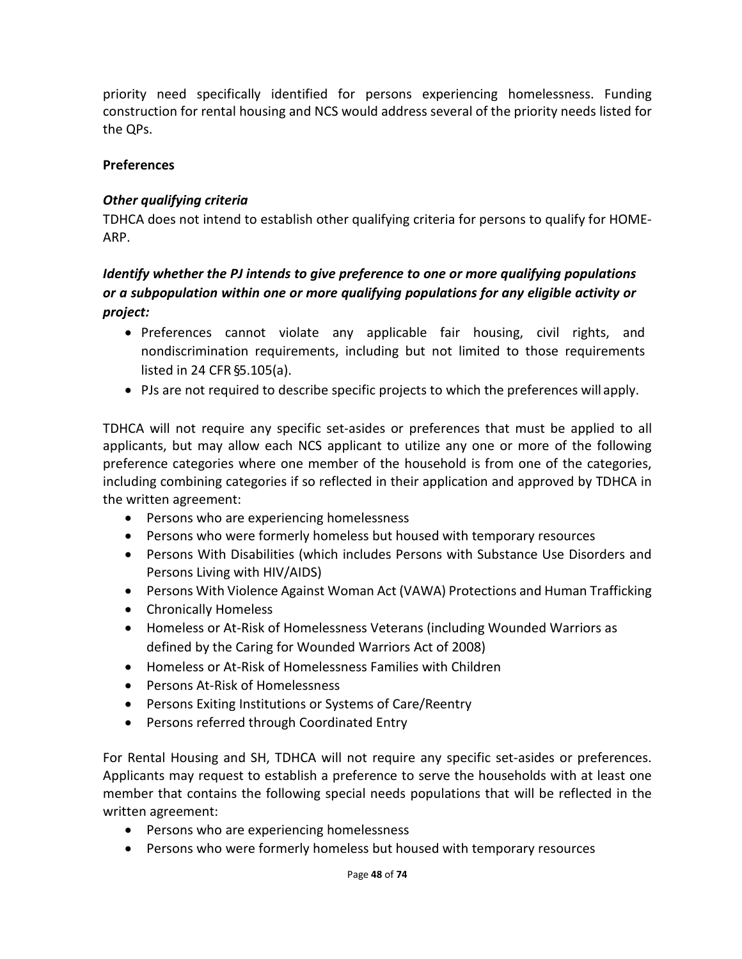priority need specifically identified for persons experiencing homelessness. Funding construction for rental housing and NCS would address several of the priority needs listed for the QPs.

### **Preferences**

### *Other qualifying criteria*

TDHCA does not intend to establish other qualifying criteria for persons to qualify for HOME-ARP.

## *Identify whether the PJ intends to give preference to one or more qualifying populations or a subpopulation within one or more qualifying populations for any eligible activity or project:*

- Preferences cannot violate any applicable fair housing, civil rights, and nondiscrimination requirements, including but not limited to those requirements listed in 24 CFR §5.105(a).
- PJs are not required to describe specific projects to which the preferences will apply.

TDHCA will not require any specific set-asides or preferences that must be applied to all applicants, but may allow each NCS applicant to utilize any one or more of the following preference categories where one member of the household is from one of the categories, including combining categories if so reflected in their application and approved by TDHCA in the written agreement:

- Persons who are experiencing homelessness
- Persons who were formerly homeless but housed with temporary resources
- Persons With Disabilities (which includes Persons with Substance Use Disorders and Persons Living with HIV/AIDS)
- Persons With Violence Against Woman Act (VAWA) Protections and Human Trafficking
- Chronically Homeless
- Homeless or At-Risk of Homelessness Veterans (including Wounded Warriors as defined by the Caring for Wounded Warriors Act of 2008)
- Homeless or At-Risk of Homelessness Families with Children
- Persons At-Risk of Homelessness
- Persons Exiting Institutions or Systems of Care/Reentry
- Persons referred through Coordinated Entry

For Rental Housing and SH, TDHCA will not require any specific set-asides or preferences. Applicants may request to establish a preference to serve the households with at least one member that contains the following special needs populations that will be reflected in the written agreement:

- Persons who are experiencing homelessness
- Persons who were formerly homeless but housed with temporary resources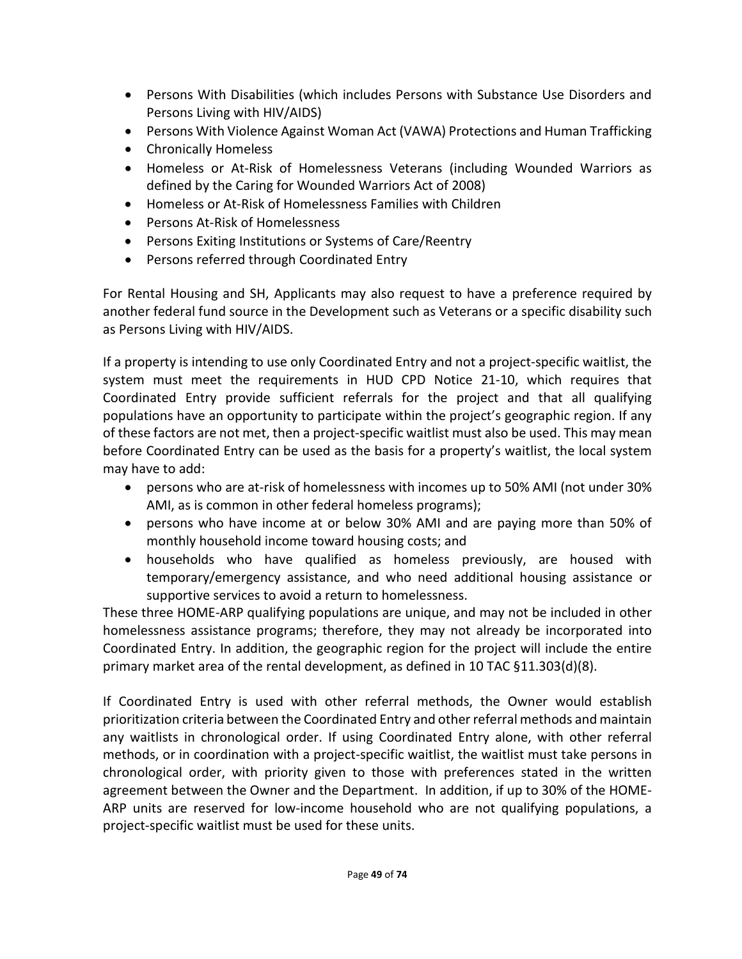- Persons With Disabilities (which includes Persons with Substance Use Disorders and Persons Living with HIV/AIDS)
- Persons With Violence Against Woman Act (VAWA) Protections and Human Trafficking
- Chronically Homeless
- Homeless or At-Risk of Homelessness Veterans (including Wounded Warriors as defined by the Caring for Wounded Warriors Act of 2008)
- Homeless or At-Risk of Homelessness Families with Children
- Persons At-Risk of Homelessness
- Persons Exiting Institutions or Systems of Care/Reentry
- Persons referred through Coordinated Entry

For Rental Housing and SH, Applicants may also request to have a preference required by another federal fund source in the Development such as Veterans or a specific disability such as Persons Living with HIV/AIDS.

If a property is intending to use only Coordinated Entry and not a project-specific waitlist, the system must meet the requirements in HUD CPD Notice 21-10, which requires that Coordinated Entry provide sufficient referrals for the project and that all qualifying populations have an opportunity to participate within the project's geographic region. If any of these factors are not met, then a project-specific waitlist must also be used. This may mean before Coordinated Entry can be used as the basis for a property's waitlist, the local system may have to add:

- persons who are at-risk of homelessness with incomes up to 50% AMI (not under 30% AMI, as is common in other federal homeless programs);
- persons who have income at or below 30% AMI and are paying more than 50% of monthly household income toward housing costs; and
- households who have qualified as homeless previously, are housed with temporary/emergency assistance, and who need additional housing assistance or supportive services to avoid a return to homelessness.

These three HOME-ARP qualifying populations are unique, and may not be included in other homelessness assistance programs; therefore, they may not already be incorporated into Coordinated Entry. In addition, the geographic region for the project will include the entire primary market area of the rental development, as defined in 10 TAC §11.303(d)(8).

If Coordinated Entry is used with other referral methods, the Owner would establish prioritization criteria between the Coordinated Entry and other referral methods and maintain any waitlists in chronological order. If using Coordinated Entry alone, with other referral methods, or in coordination with a project-specific waitlist, the waitlist must take persons in chronological order, with priority given to those with preferences stated in the written agreement between the Owner and the Department. In addition, if up to 30% of the HOME-ARP units are reserved for low-income household who are not qualifying populations, a project-specific waitlist must be used for these units.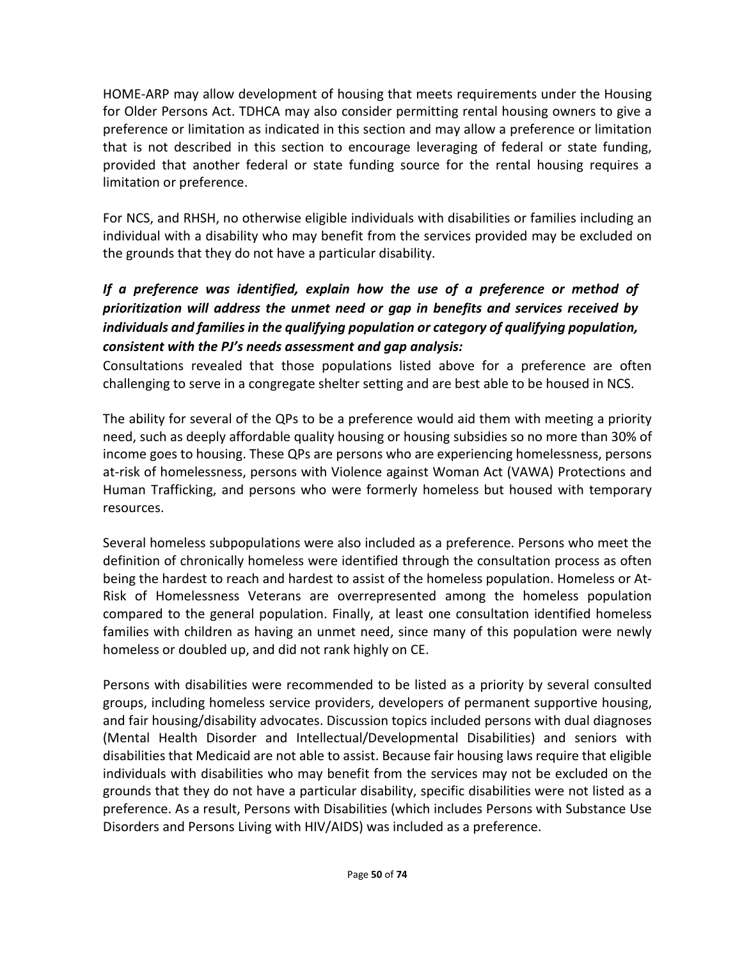HOME-ARP may allow development of housing that meets requirements under the Housing for Older Persons Act. TDHCA may also consider permitting rental housing owners to give a preference or limitation as indicated in this section and may allow a preference or limitation that is not described in this section to encourage leveraging of federal or state funding, provided that another federal or state funding source for the rental housing requires a limitation or preference.

For NCS, and RHSH, no otherwise eligible individuals with disabilities or families including an individual with a disability who may benefit from the services provided may be excluded on the grounds that they do not have a particular disability.

## *If a preference was identified, explain how the use of a preference or method of prioritization will address the unmet need or gap in benefits and services received by individuals and families in the qualifying population or category of qualifying population, consistent with the PJ's needs assessment and gap analysis:*

Consultations revealed that those populations listed above for a preference are often challenging to serve in a congregate shelter setting and are best able to be housed in NCS.

The ability for several of the QPs to be a preference would aid them with meeting a priority need, such as deeply affordable quality housing or housing subsidies so no more than 30% of income goes to housing. These QPs are persons who are experiencing homelessness, persons at-risk of homelessness, persons with Violence against Woman Act (VAWA) Protections and Human Trafficking, and persons who were formerly homeless but housed with temporary resources.

Several homeless subpopulations were also included as a preference. Persons who meet the definition of chronically homeless were identified through the consultation process as often being the hardest to reach and hardest to assist of the homeless population. Homeless or At-Risk of Homelessness Veterans are overrepresented among the homeless population compared to the general population. Finally, at least one consultation identified homeless families with children as having an unmet need, since many of this population were newly homeless or doubled up, and did not rank highly on CE.

Persons with disabilities were recommended to be listed as a priority by several consulted groups, including homeless service providers, developers of permanent supportive housing, and fair housing/disability advocates. Discussion topics included persons with dual diagnoses (Mental Health Disorder and Intellectual/Developmental Disabilities) and seniors with disabilities that Medicaid are not able to assist. Because fair housing laws require that eligible individuals with disabilities who may benefit from the services may not be excluded on the grounds that they do not have a particular disability, specific disabilities were not listed as a preference. As a result, Persons with Disabilities (which includes Persons with Substance Use Disorders and Persons Living with HIV/AIDS) was included as a preference.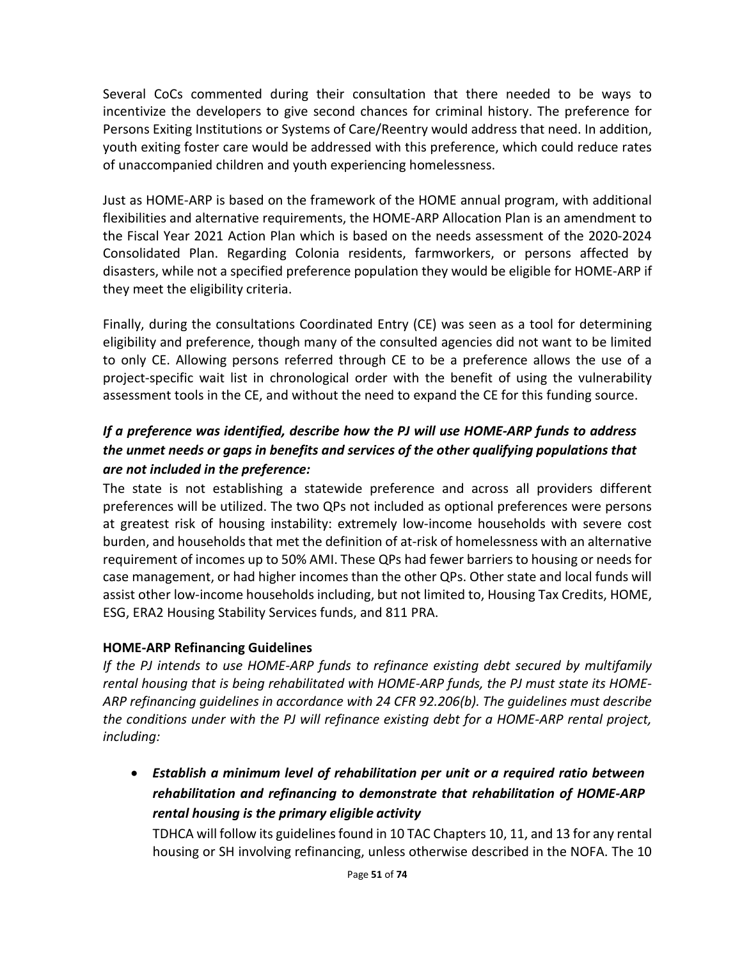Several CoCs commented during their consultation that there needed to be ways to incentivize the developers to give second chances for criminal history. The preference for Persons Exiting Institutions or Systems of Care/Reentry would address that need. In addition, youth exiting foster care would be addressed with this preference, which could reduce rates of unaccompanied children and youth experiencing homelessness.

Just as HOME-ARP is based on the framework of the HOME annual program, with additional flexibilities and alternative requirements, the HOME-ARP Allocation Plan is an amendment to the Fiscal Year 2021 Action Plan which is based on the needs assessment of the 2020-2024 Consolidated Plan. Regarding Colonia residents, farmworkers, or persons affected by disasters, while not a specified preference population they would be eligible for HOME-ARP if they meet the eligibility criteria.

Finally, during the consultations Coordinated Entry (CE) was seen as a tool for determining eligibility and preference, though many of the consulted agencies did not want to be limited to only CE. Allowing persons referred through CE to be a preference allows the use of a project-specific wait list in chronological order with the benefit of using the vulnerability assessment tools in the CE, and without the need to expand the CE for this funding source.

## *If a preference was identified, describe how the PJ will use HOME-ARP funds to address the unmet needs or gaps in benefits and services of the other qualifying populations that are not included in the preference:*

The state is not establishing a statewide preference and across all providers different preferences will be utilized. The two QPs not included as optional preferences were persons at greatest risk of housing instability: extremely low-income households with severe cost burden, and households that met the definition of at-risk of homelessness with an alternative requirement of incomes up to 50% AMI. These QPs had fewer barriers to housing or needs for case management, or had higher incomes than the other QPs. Other state and local funds will assist other low-income households including, but not limited to, Housing Tax Credits, HOME, ESG, ERA2 Housing Stability Services funds, and 811 PRA.

## **HOME-ARP Refinancing Guidelines**

*If the PJ intends to use HOME-ARP funds to refinance existing debt secured by multifamily rental housing that is being rehabilitated with HOME-ARP funds, the PJ must state its HOME-ARP refinancing guidelines in accordance with [24 CFR 92.206\(b\).](https://www.ecfr.gov/cgi-bin/text-idx?SID=273620a3dcadf1c5e247ef949a4fd87c&mc=true&node=se24.1.92_1206&rgn=div8) The guidelines must describe the conditions under with the PJ will refinance existing debt for a HOME-ARP rental project, including:*

• *Establish a minimum level of rehabilitation per unit or a required ratio between rehabilitation and refinancing to demonstrate that rehabilitation of HOME-ARP rental housing is the primary eligible activity*

TDHCA will follow its guidelines found in 10 TAC Chapter[s 10,](https://texreg.sos.state.tx.us/public/readtac$ext.ViewTAC?tac_view=4&ti=10&pt=1&ch=10) [11,](https://texreg.sos.state.tx.us/public/readtac$ext.ViewTAC?tac_view=4&ti=10&pt=1&ch=11) an[d 13](https://texreg.sos.state.tx.us/public/readtac$ext.ViewTAC?tac_view=4&ti=10&pt=1&ch=13&rl=Y) for any rental housing or SH involving refinancing, unless otherwise described in the NOFA. The 10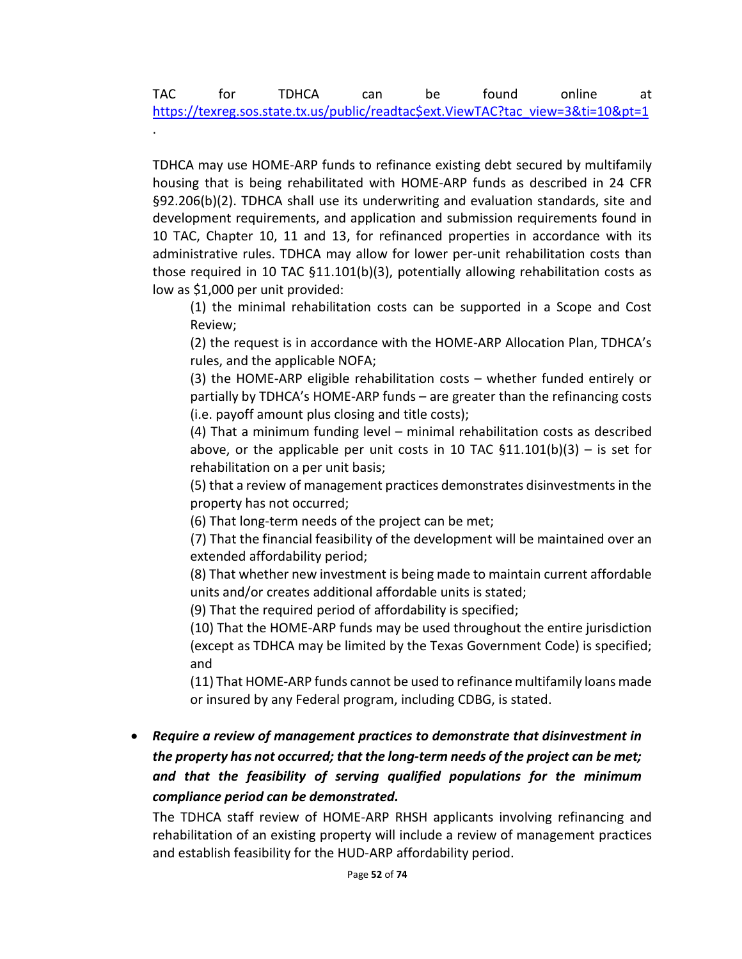.

TDHCA may use HOME-ARP funds to refinance existing debt secured by multifamily housing that is being rehabilitated with HOME-ARP funds as described in 24 CFR §92.206(b)(2). TDHCA shall use its underwriting and evaluation standards, site and development requirements, and application and submission requirements found in 10 TAC, Chapter 10, 11 and 13, for refinanced properties in accordance with its administrative rules. TDHCA may allow for lower per-unit rehabilitation costs than those required in 10 TAC §11.101(b)(3), potentially allowing rehabilitation costs as low as \$1,000 per unit provided:

(1) the minimal rehabilitation costs can be supported in a Scope and Cost Review;

(2) the request is in accordance with the HOME-ARP Allocation Plan, TDHCA's rules, and the applicable NOFA;

(3) the HOME-ARP eligible rehabilitation costs – whether funded entirely or partially by TDHCA's HOME-ARP funds – are greater than the refinancing costs (i.e. payoff amount plus closing and title costs);

(4) That a minimum funding level – minimal rehabilitation costs as described above, or the applicable per unit costs in 10 TAC  $$11.101(b)(3) - is set for$ rehabilitation on a per unit basis;

(5) that a review of management practices demonstrates disinvestments in the property has not occurred;

(6) That long-term needs of the project can be met;

(7) That the financial feasibility of the development will be maintained over an extended affordability period;

(8) That whether new investment is being made to maintain current affordable units and/or creates additional affordable units is stated;

(9) That the required period of affordability is specified;

(10) That the HOME-ARP funds may be used throughout the entire jurisdiction (except as TDHCA may be limited by the Texas Government Code) is specified; and

(11) That HOME-ARP funds cannot be used to refinance multifamily loans made or insured by any Federal program, including CDBG, is stated.

• *Require a review of management practices to demonstrate that disinvestment in the property has not occurred; that the long-term needs of the project can be met; and that the feasibility of serving qualified populations for the minimum compliance period can be demonstrated.*

The TDHCA staff review of HOME-ARP RHSH applicants involving refinancing and rehabilitation of an existing property will include a review of management practices and establish feasibility for the HUD-ARP affordability period.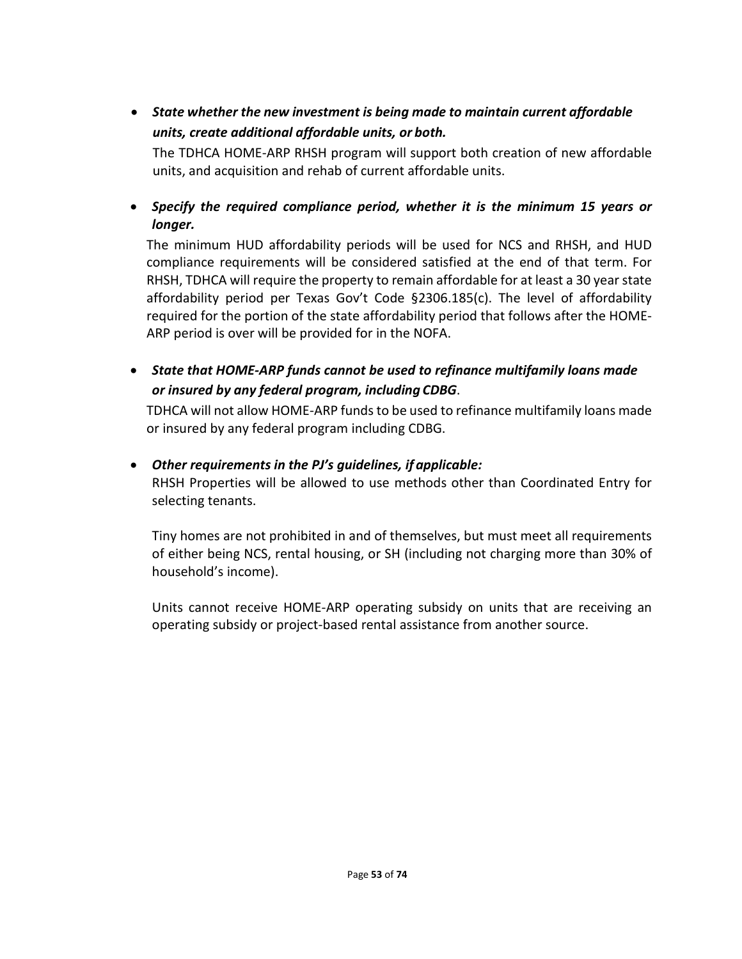• *State whether the new investment is being made to maintain current affordable units, create additional affordable units, or both.*

The TDHCA HOME-ARP RHSH program will support both creation of new affordable units, and acquisition and rehab of current affordable units.

• *Specify the required compliance period, whether it is the minimum 15 years or longer.*

The minimum HUD affordability periods will be used for NCS and RHSH, and HUD compliance requirements will be considered satisfied at the end of that term. For RHSH, TDHCA will require the property to remain affordable for at least a 30 year state affordability period per Texas Gov't Code §2306.185(c). The level of affordability required for the portion of the state affordability period that follows after the HOME-ARP period is over will be provided for in the NOFA.

• *State that HOME-ARP funds cannot be used to refinance multifamily loans made or insured by any federal program, including CDBG*.

TDHCA will not allow HOME-ARP funds to be used to refinance multifamily loans made or insured by any federal program including CDBG.

### • *Other requirements in the PJ's guidelines, if applicable:*

RHSH Properties will be allowed to use methods other than Coordinated Entry for selecting tenants.

Tiny homes are not prohibited in and of themselves, but must meet all requirements of either being NCS, rental housing, or SH (including not charging more than 30% of household's income).

Units cannot receive HOME-ARP operating subsidy on units that are receiving an operating subsidy or project-based rental assistance from another source.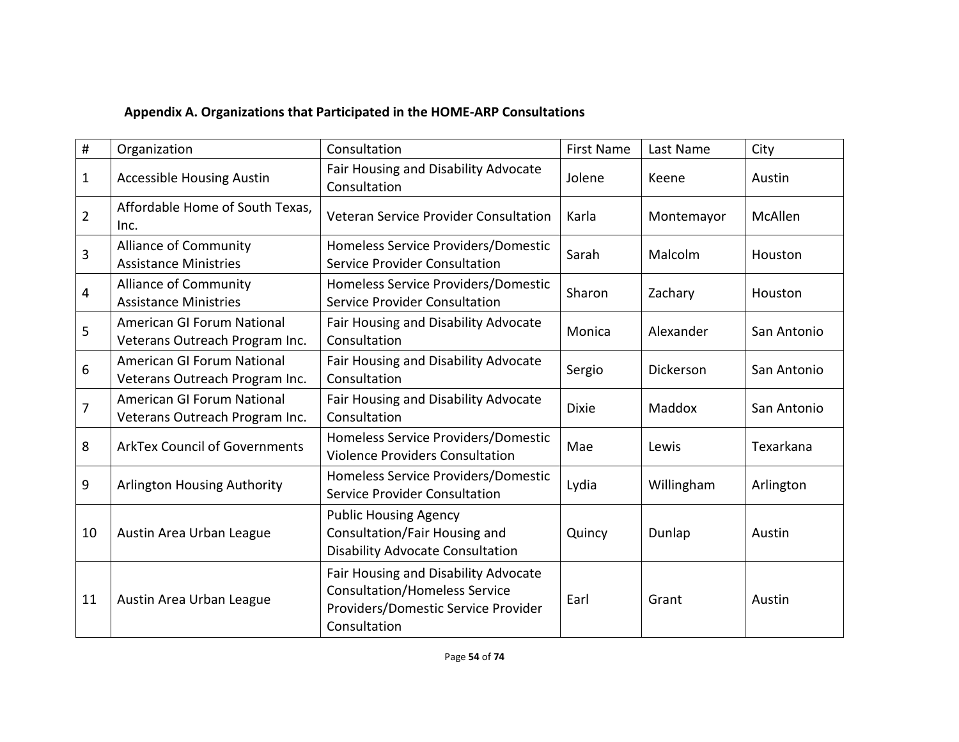# **Appendix A. Organizations that Participated in the HOME-ARP Consultations**

| #              | Organization                                                 | Consultation                                                                                                                        | <b>First Name</b> | Last Name  | City        |
|----------------|--------------------------------------------------------------|-------------------------------------------------------------------------------------------------------------------------------------|-------------------|------------|-------------|
| 1              | <b>Accessible Housing Austin</b>                             | Fair Housing and Disability Advocate<br>Consultation                                                                                | Jolene            | Keene      | Austin      |
| $\overline{2}$ | Affordable Home of South Texas,<br>Inc.                      | Veteran Service Provider Consultation                                                                                               | Karla             | Montemayor | McAllen     |
| 3              | <b>Alliance of Community</b><br><b>Assistance Ministries</b> | Homeless Service Providers/Domestic<br><b>Service Provider Consultation</b>                                                         | Sarah             | Malcolm    | Houston     |
| 4              | <b>Alliance of Community</b><br><b>Assistance Ministries</b> | Homeless Service Providers/Domestic<br>Service Provider Consultation                                                                | Sharon            | Zachary    | Houston     |
| 5              | American GI Forum National<br>Veterans Outreach Program Inc. | Fair Housing and Disability Advocate<br>Consultation                                                                                | Monica            | Alexander  | San Antonio |
| 6              | American GI Forum National<br>Veterans Outreach Program Inc. | Fair Housing and Disability Advocate<br>Consultation                                                                                | Sergio            | Dickerson  | San Antonio |
| $\overline{7}$ | American GI Forum National<br>Veterans Outreach Program Inc. | Fair Housing and Disability Advocate<br>Consultation                                                                                | <b>Dixie</b>      | Maddox     | San Antonio |
| 8              | <b>ArkTex Council of Governments</b>                         | Homeless Service Providers/Domestic<br><b>Violence Providers Consultation</b>                                                       | Mae               | Lewis      | Texarkana   |
| 9              | <b>Arlington Housing Authority</b>                           | Homeless Service Providers/Domestic<br><b>Service Provider Consultation</b>                                                         | Lydia             | Willingham | Arlington   |
| 10             | Austin Area Urban League                                     | <b>Public Housing Agency</b><br>Consultation/Fair Housing and<br><b>Disability Advocate Consultation</b>                            | Quincy            | Dunlap     | Austin      |
| 11             | Austin Area Urban League                                     | Fair Housing and Disability Advocate<br><b>Consultation/Homeless Service</b><br>Providers/Domestic Service Provider<br>Consultation | Earl              | Grant      | Austin      |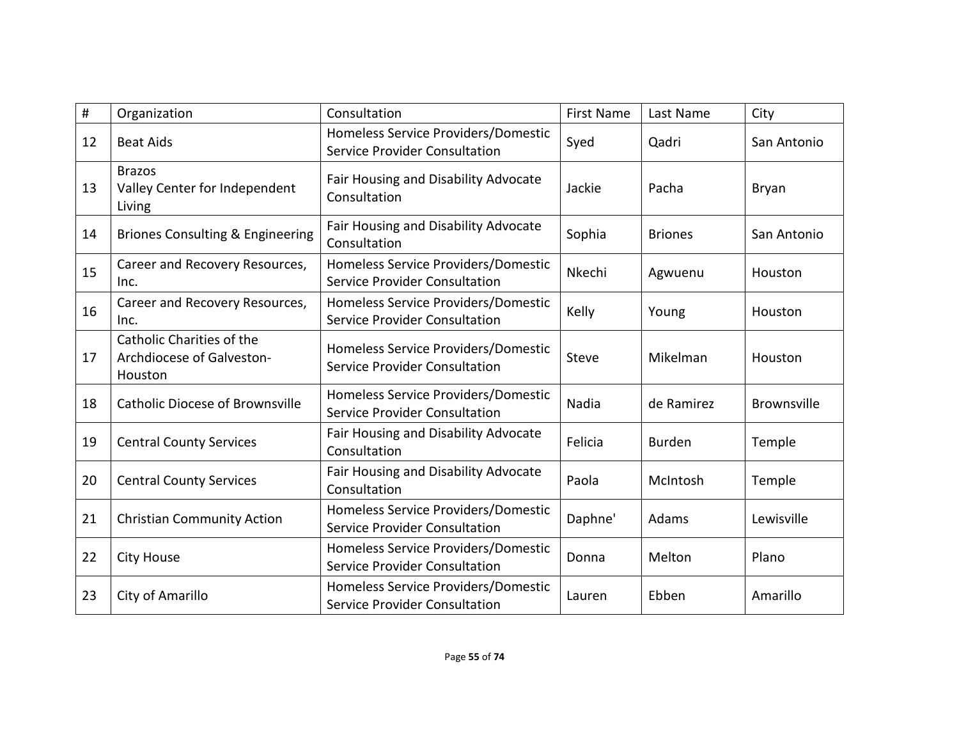| #  | Organization                                                      | Consultation                                                                | <b>First Name</b> | Last Name      | City        |
|----|-------------------------------------------------------------------|-----------------------------------------------------------------------------|-------------------|----------------|-------------|
| 12 | <b>Beat Aids</b>                                                  | Homeless Service Providers/Domestic<br><b>Service Provider Consultation</b> | Syed              | Qadri          | San Antonio |
| 13 | <b>Brazos</b><br>Valley Center for Independent<br>Living          | Fair Housing and Disability Advocate<br>Consultation                        | Jackie            | Pacha          | Bryan       |
| 14 | <b>Briones Consulting &amp; Engineering</b>                       | Fair Housing and Disability Advocate<br>Consultation                        | Sophia            | <b>Briones</b> | San Antonio |
| 15 | Career and Recovery Resources,<br>Inc.                            | Homeless Service Providers/Domestic<br>Service Provider Consultation        | Nkechi            | Agwuenu        | Houston     |
| 16 | Career and Recovery Resources,<br>Inc.                            | Homeless Service Providers/Domestic<br>Service Provider Consultation        | Kelly             | Young          | Houston     |
| 17 | Catholic Charities of the<br>Archdiocese of Galveston-<br>Houston | Homeless Service Providers/Domestic<br>Service Provider Consultation        | Steve             | Mikelman       | Houston     |
| 18 | <b>Catholic Diocese of Brownsville</b>                            | Homeless Service Providers/Domestic<br><b>Service Provider Consultation</b> | Nadia             | de Ramirez     | Brownsville |
| 19 | <b>Central County Services</b>                                    | Fair Housing and Disability Advocate<br>Consultation                        | Felicia           | <b>Burden</b>  | Temple      |
| 20 | <b>Central County Services</b>                                    | Fair Housing and Disability Advocate<br>Consultation                        | Paola             | McIntosh       | Temple      |
| 21 | <b>Christian Community Action</b>                                 | Homeless Service Providers/Domestic<br>Service Provider Consultation        | Daphne'           | Adams          | Lewisville  |
| 22 | <b>City House</b>                                                 | Homeless Service Providers/Domestic<br><b>Service Provider Consultation</b> | Donna             | Melton         | Plano       |
| 23 | City of Amarillo                                                  | Homeless Service Providers/Domestic<br>Service Provider Consultation        | Lauren            | Ebben          | Amarillo    |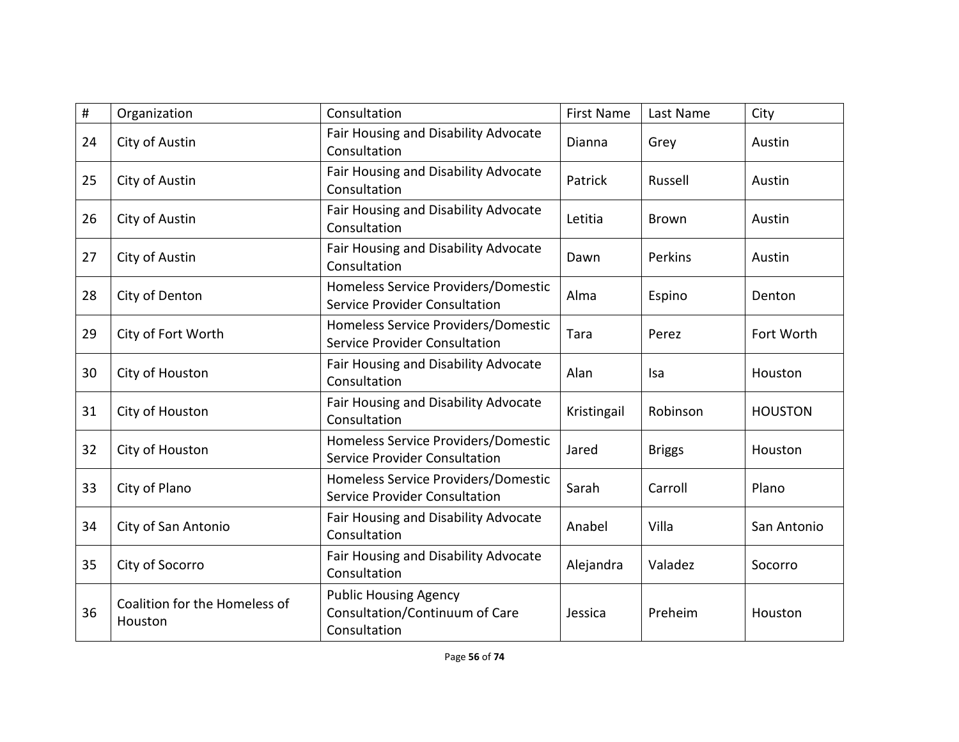| #  | Organization                             | Consultation                                                                   | <b>First Name</b> | Last Name     | City           |
|----|------------------------------------------|--------------------------------------------------------------------------------|-------------------|---------------|----------------|
| 24 | City of Austin                           | Fair Housing and Disability Advocate<br>Consultation                           | Dianna            | Grey          | Austin         |
| 25 | City of Austin                           | Fair Housing and Disability Advocate<br>Consultation                           | Patrick           | Russell       | Austin         |
| 26 | City of Austin                           | Fair Housing and Disability Advocate<br>Consultation                           | Letitia           | <b>Brown</b>  | Austin         |
| 27 | City of Austin                           | Fair Housing and Disability Advocate<br>Consultation                           | Dawn              | Perkins       | Austin         |
| 28 | City of Denton                           | Homeless Service Providers/Domestic<br>Service Provider Consultation           | Alma              | Espino        | Denton         |
| 29 | City of Fort Worth                       | Homeless Service Providers/Domestic<br><b>Service Provider Consultation</b>    | Tara              | Perez         | Fort Worth     |
| 30 | City of Houston                          | Fair Housing and Disability Advocate<br>Consultation                           | <b>Alan</b>       | Isa           | Houston        |
| 31 | City of Houston                          | Fair Housing and Disability Advocate<br>Consultation                           | Kristingail       | Robinson      | <b>HOUSTON</b> |
| 32 | City of Houston                          | Homeless Service Providers/Domestic<br><b>Service Provider Consultation</b>    | Jared             | <b>Briggs</b> | Houston        |
| 33 | City of Plano                            | Homeless Service Providers/Domestic<br>Service Provider Consultation           | Sarah             | Carroll       | Plano          |
| 34 | City of San Antonio                      | Fair Housing and Disability Advocate<br>Consultation                           | Anabel            | Villa         | San Antonio    |
| 35 | City of Socorro                          | Fair Housing and Disability Advocate<br>Consultation                           | Alejandra         | Valadez       | Socorro        |
| 36 | Coalition for the Homeless of<br>Houston | <b>Public Housing Agency</b><br>Consultation/Continuum of Care<br>Consultation | Jessica           | Preheim       | Houston        |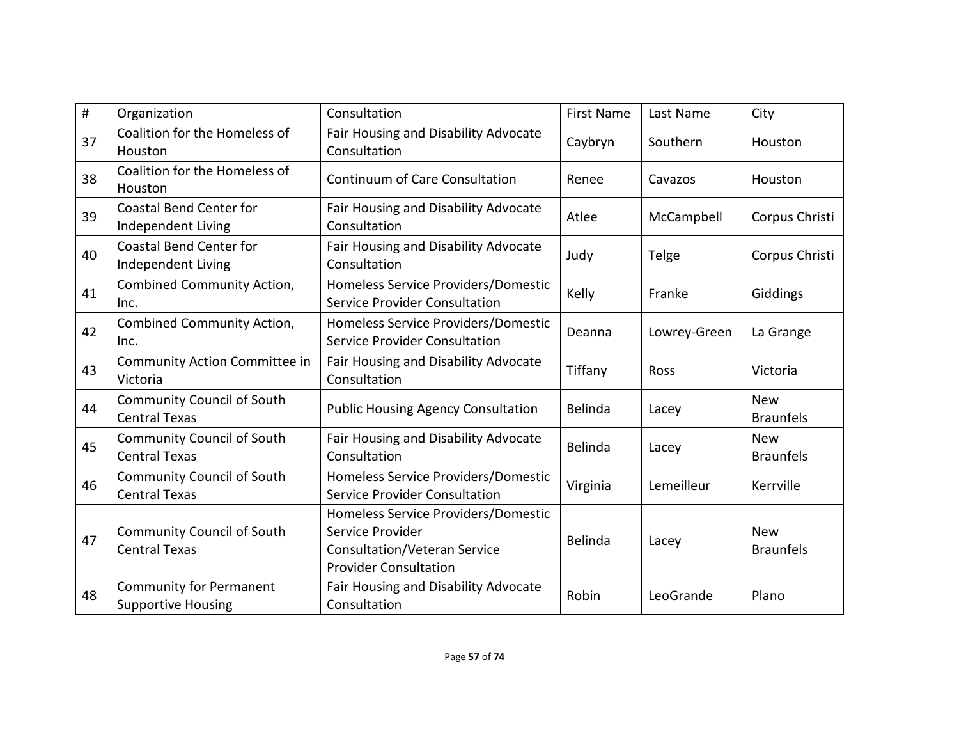| $\#$ | Organization                                                | Consultation                                                                                                                   | <b>First Name</b> | Last Name    | City                           |
|------|-------------------------------------------------------------|--------------------------------------------------------------------------------------------------------------------------------|-------------------|--------------|--------------------------------|
| 37   | Coalition for the Homeless of<br>Houston                    | Fair Housing and Disability Advocate<br>Consultation                                                                           | Caybryn           | Southern     | Houston                        |
| 38   | Coalition for the Homeless of<br>Houston                    | Continuum of Care Consultation                                                                                                 | Renee             | Cavazos      | Houston                        |
| 39   | <b>Coastal Bend Center for</b><br>Independent Living        | Fair Housing and Disability Advocate<br>Consultation                                                                           | Atlee             | McCampbell   | Corpus Christi                 |
| 40   | <b>Coastal Bend Center for</b><br>Independent Living        | Fair Housing and Disability Advocate<br>Consultation                                                                           | Judy              | Telge        | Corpus Christi                 |
| 41   | Combined Community Action,<br>Inc.                          | Homeless Service Providers/Domestic<br><b>Service Provider Consultation</b>                                                    | Kelly             | Franke       | Giddings                       |
| 42   | Combined Community Action,<br>Inc.                          | Homeless Service Providers/Domestic<br>Service Provider Consultation                                                           | Deanna            | Lowrey-Green | La Grange                      |
| 43   | Community Action Committee in<br>Victoria                   | Fair Housing and Disability Advocate<br>Consultation                                                                           | Tiffany           | Ross         | Victoria                       |
| 44   | <b>Community Council of South</b><br><b>Central Texas</b>   | <b>Public Housing Agency Consultation</b>                                                                                      | Belinda           | Lacey        | <b>New</b><br><b>Braunfels</b> |
| 45   | <b>Community Council of South</b><br><b>Central Texas</b>   | Fair Housing and Disability Advocate<br>Consultation                                                                           | Belinda           | Lacey        | <b>New</b><br><b>Braunfels</b> |
| 46   | <b>Community Council of South</b><br><b>Central Texas</b>   | Homeless Service Providers/Domestic<br>Service Provider Consultation                                                           | Virginia          | Lemeilleur   | Kerrville                      |
| 47   | <b>Community Council of South</b><br><b>Central Texas</b>   | Homeless Service Providers/Domestic<br>Service Provider<br><b>Consultation/Veteran Service</b><br><b>Provider Consultation</b> | Belinda           | Lacey        | <b>New</b><br><b>Braunfels</b> |
| 48   | <b>Community for Permanent</b><br><b>Supportive Housing</b> | Fair Housing and Disability Advocate<br>Consultation                                                                           | Robin             | LeoGrande    | Plano                          |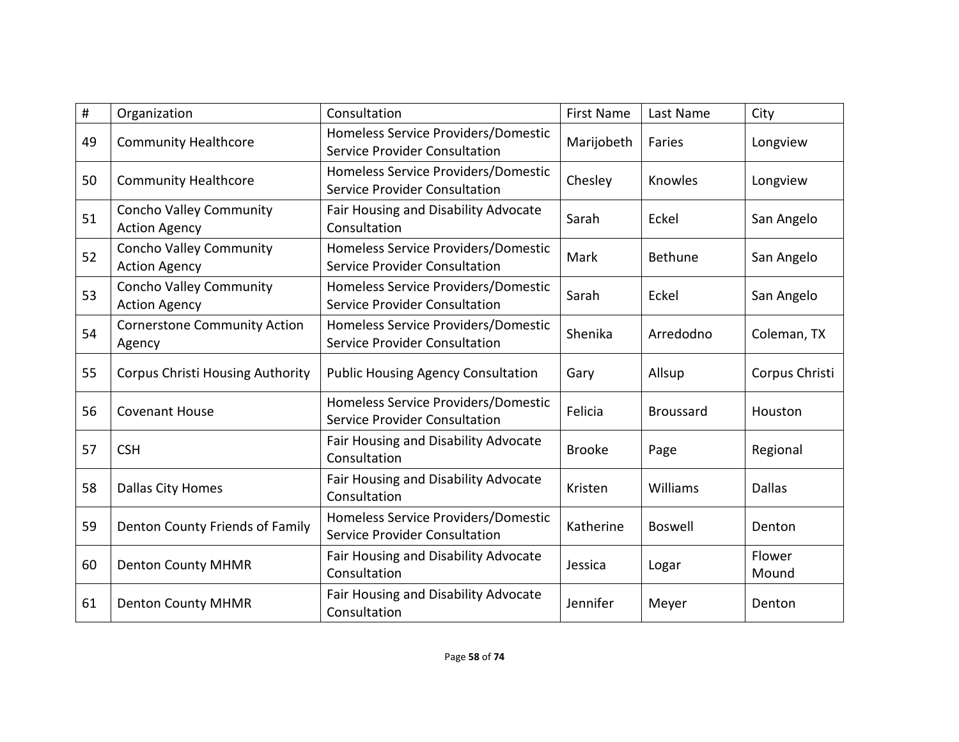| #  | Organization                                           | Consultation                                                                | <b>First Name</b> | Last Name        | City            |
|----|--------------------------------------------------------|-----------------------------------------------------------------------------|-------------------|------------------|-----------------|
| 49 | <b>Community Healthcore</b>                            | Homeless Service Providers/Domestic<br>Service Provider Consultation        | Marijobeth        | Faries           | Longview        |
| 50 | <b>Community Healthcore</b>                            | Homeless Service Providers/Domestic<br><b>Service Provider Consultation</b> | Chesley           | Knowles          | Longview        |
| 51 | <b>Concho Valley Community</b><br><b>Action Agency</b> | Fair Housing and Disability Advocate<br>Consultation                        | Sarah             | Eckel            | San Angelo      |
| 52 | <b>Concho Valley Community</b><br><b>Action Agency</b> | Homeless Service Providers/Domestic<br><b>Service Provider Consultation</b> | Mark              | <b>Bethune</b>   | San Angelo      |
| 53 | <b>Concho Valley Community</b><br><b>Action Agency</b> | Homeless Service Providers/Domestic<br><b>Service Provider Consultation</b> | Sarah             | Eckel            | San Angelo      |
| 54 | <b>Cornerstone Community Action</b><br>Agency          | Homeless Service Providers/Domestic<br><b>Service Provider Consultation</b> | Shenika           | Arredodno        | Coleman, TX     |
| 55 | <b>Corpus Christi Housing Authority</b>                | <b>Public Housing Agency Consultation</b>                                   | Gary              | Allsup           | Corpus Christi  |
| 56 | <b>Covenant House</b>                                  | Homeless Service Providers/Domestic<br><b>Service Provider Consultation</b> | Felicia           | <b>Broussard</b> | Houston         |
| 57 | <b>CSH</b>                                             | Fair Housing and Disability Advocate<br>Consultation                        | <b>Brooke</b>     | Page             | Regional        |
| 58 | <b>Dallas City Homes</b>                               | Fair Housing and Disability Advocate<br>Consultation                        | Kristen           | Williams         | <b>Dallas</b>   |
| 59 | Denton County Friends of Family                        | Homeless Service Providers/Domestic<br><b>Service Provider Consultation</b> | Katherine         | <b>Boswell</b>   | Denton          |
| 60 | <b>Denton County MHMR</b>                              | Fair Housing and Disability Advocate<br>Consultation                        | Jessica           | Logar            | Flower<br>Mound |
| 61 | <b>Denton County MHMR</b>                              | Fair Housing and Disability Advocate<br>Consultation                        | Jennifer          | Meyer            | Denton          |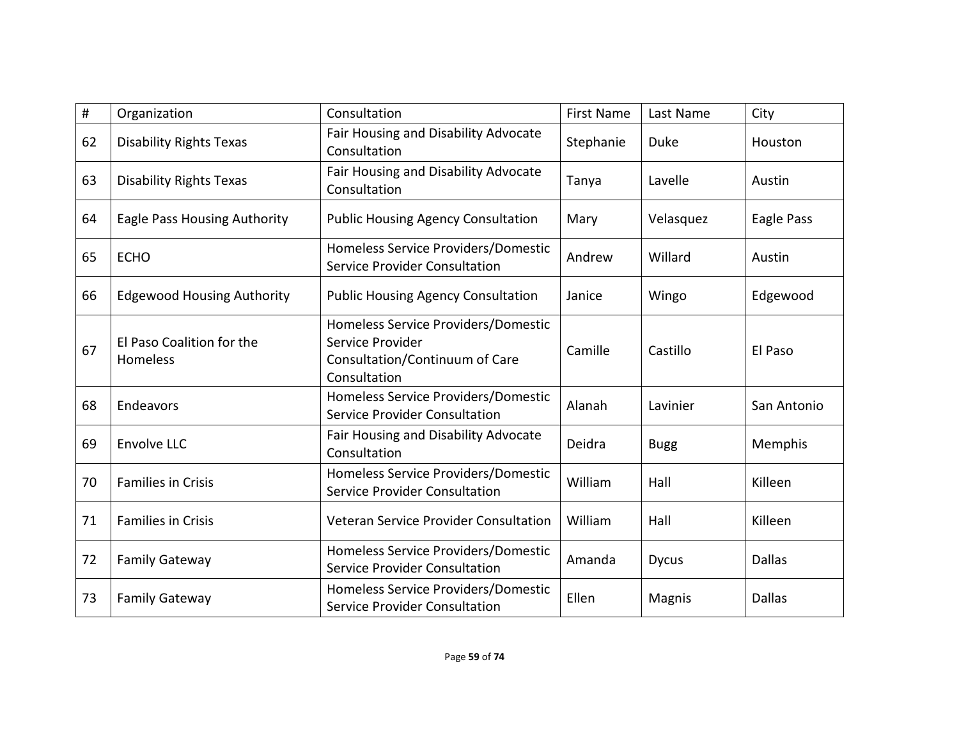| #  | Organization                          | Consultation                                                                                              | <b>First Name</b> | Last Name    | City          |
|----|---------------------------------------|-----------------------------------------------------------------------------------------------------------|-------------------|--------------|---------------|
| 62 | <b>Disability Rights Texas</b>        | Fair Housing and Disability Advocate<br>Consultation                                                      | Stephanie         | <b>Duke</b>  | Houston       |
| 63 | <b>Disability Rights Texas</b>        | Fair Housing and Disability Advocate<br>Consultation                                                      | Tanya             | Lavelle      | Austin        |
| 64 | Eagle Pass Housing Authority          | <b>Public Housing Agency Consultation</b>                                                                 | Mary              | Velasquez    | Eagle Pass    |
| 65 | <b>ECHO</b>                           | Homeless Service Providers/Domestic<br><b>Service Provider Consultation</b>                               | Andrew            | Willard      | Austin        |
| 66 | <b>Edgewood Housing Authority</b>     | <b>Public Housing Agency Consultation</b>                                                                 | Janice            | Wingo        | Edgewood      |
| 67 | El Paso Coalition for the<br>Homeless | Homeless Service Providers/Domestic<br>Service Provider<br>Consultation/Continuum of Care<br>Consultation | Camille           | Castillo     | El Paso       |
| 68 | Endeavors                             | Homeless Service Providers/Domestic<br><b>Service Provider Consultation</b>                               | Alanah            | Lavinier     | San Antonio   |
| 69 | <b>Envolve LLC</b>                    | Fair Housing and Disability Advocate<br>Consultation                                                      | Deidra            | <b>Bugg</b>  | Memphis       |
| 70 | <b>Families in Crisis</b>             | Homeless Service Providers/Domestic<br><b>Service Provider Consultation</b>                               | William           | Hall         | Killeen       |
| 71 | <b>Families in Crisis</b>             | Veteran Service Provider Consultation                                                                     | William           | Hall         | Killeen       |
| 72 | <b>Family Gateway</b>                 | Homeless Service Providers/Domestic<br><b>Service Provider Consultation</b>                               | Amanda            | <b>Dycus</b> | <b>Dallas</b> |
| 73 | <b>Family Gateway</b>                 | Homeless Service Providers/Domestic<br><b>Service Provider Consultation</b>                               | Ellen             | Magnis       | <b>Dallas</b> |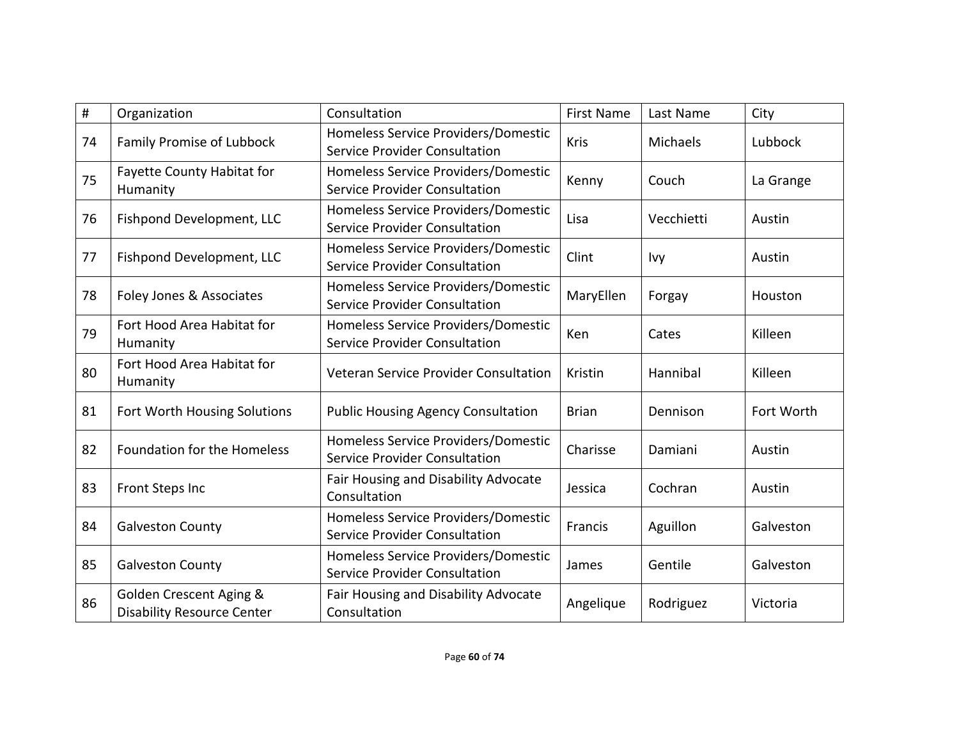| #  | Organization                                                 | Consultation                                                                | <b>First Name</b> | Last Name  | City       |
|----|--------------------------------------------------------------|-----------------------------------------------------------------------------|-------------------|------------|------------|
| 74 | Family Promise of Lubbock                                    | Homeless Service Providers/Domestic<br>Service Provider Consultation        | Kris              | Michaels   | Lubbock    |
| 75 | Fayette County Habitat for<br>Humanity                       | Homeless Service Providers/Domestic<br>Service Provider Consultation        | Kenny             | Couch      | La Grange  |
| 76 | Fishpond Development, LLC                                    | Homeless Service Providers/Domestic<br>Service Provider Consultation        | Lisa              | Vecchietti | Austin     |
| 77 | Fishpond Development, LLC                                    | Homeless Service Providers/Domestic<br><b>Service Provider Consultation</b> | Clint             | Ivy        | Austin     |
| 78 | Foley Jones & Associates                                     | Homeless Service Providers/Domestic<br>Service Provider Consultation        | MaryEllen         | Forgay     | Houston    |
| 79 | Fort Hood Area Habitat for<br>Humanity                       | Homeless Service Providers/Domestic<br><b>Service Provider Consultation</b> | Ken               | Cates      | Killeen    |
| 80 | Fort Hood Area Habitat for<br>Humanity                       | Veteran Service Provider Consultation                                       | Kristin           | Hannibal   | Killeen    |
| 81 | Fort Worth Housing Solutions                                 | <b>Public Housing Agency Consultation</b>                                   | <b>Brian</b>      | Dennison   | Fort Worth |
| 82 | <b>Foundation for the Homeless</b>                           | Homeless Service Providers/Domestic<br>Service Provider Consultation        | Charisse          | Damiani    | Austin     |
| 83 | <b>Front Steps Inc</b>                                       | Fair Housing and Disability Advocate<br>Consultation                        | Jessica           | Cochran    | Austin     |
| 84 | <b>Galveston County</b>                                      | Homeless Service Providers/Domestic<br>Service Provider Consultation        | Francis           | Aguillon   | Galveston  |
| 85 | <b>Galveston County</b>                                      | Homeless Service Providers/Domestic<br><b>Service Provider Consultation</b> | James             | Gentile    | Galveston  |
| 86 | Golden Crescent Aging &<br><b>Disability Resource Center</b> | Fair Housing and Disability Advocate<br>Consultation                        | Angelique         | Rodriguez  | Victoria   |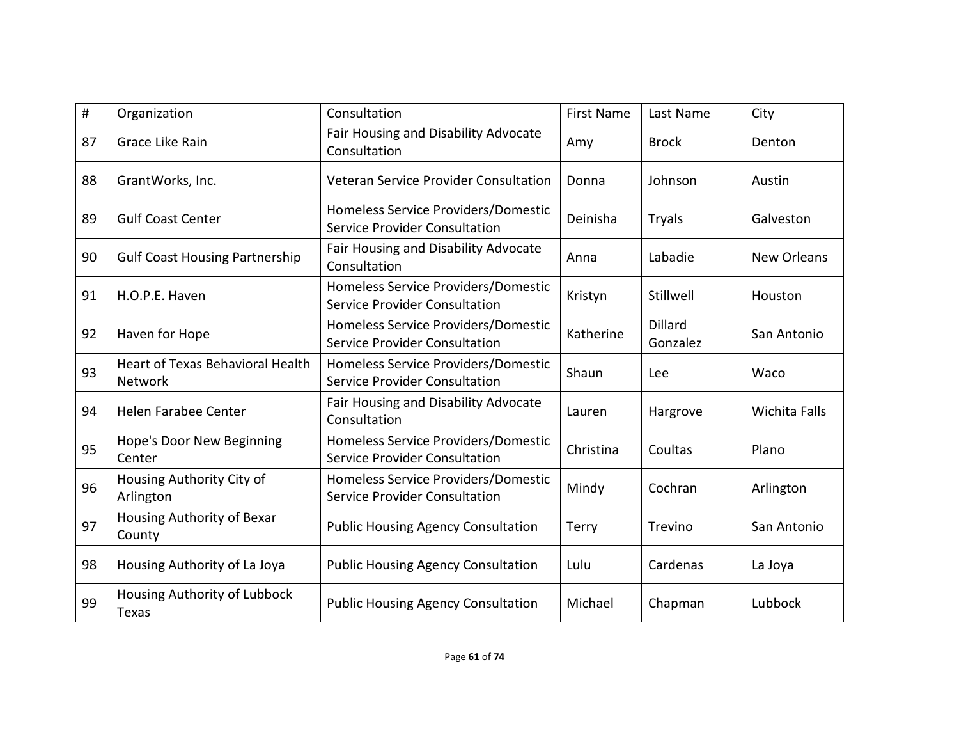| #  | Organization                                       | Consultation                                                                | <b>First Name</b> | Last Name                  | City                 |
|----|----------------------------------------------------|-----------------------------------------------------------------------------|-------------------|----------------------------|----------------------|
| 87 | Grace Like Rain                                    | Fair Housing and Disability Advocate<br>Consultation                        | Amy               | <b>Brock</b>               | Denton               |
| 88 | GrantWorks, Inc.                                   | Veteran Service Provider Consultation                                       | Donna             | Johnson                    | Austin               |
| 89 | <b>Gulf Coast Center</b>                           | Homeless Service Providers/Domestic<br>Service Provider Consultation        | Deinisha          | <b>Tryals</b>              | Galveston            |
| 90 | <b>Gulf Coast Housing Partnership</b>              | <b>Fair Housing and Disability Advocate</b><br>Consultation                 | Anna              | Labadie                    | <b>New Orleans</b>   |
| 91 | H.O.P.E. Haven                                     | Homeless Service Providers/Domestic<br>Service Provider Consultation        | Kristyn           | Stillwell                  | Houston              |
| 92 | Haven for Hope                                     | Homeless Service Providers/Domestic<br>Service Provider Consultation        | Katherine         | <b>Dillard</b><br>Gonzalez | San Antonio          |
| 93 | <b>Heart of Texas Behavioral Health</b><br>Network | Homeless Service Providers/Domestic<br>Service Provider Consultation        | Shaun             | Lee                        | Waco                 |
| 94 | Helen Farabee Center                               | Fair Housing and Disability Advocate<br>Consultation                        | Lauren            | Hargrove                   | <b>Wichita Falls</b> |
| 95 | Hope's Door New Beginning<br>Center                | Homeless Service Providers/Domestic<br><b>Service Provider Consultation</b> | Christina         | Coultas                    | Plano                |
| 96 | Housing Authority City of<br>Arlington             | Homeless Service Providers/Domestic<br>Service Provider Consultation        | Mindy             | Cochran                    | Arlington            |
| 97 | Housing Authority of Bexar<br>County               | <b>Public Housing Agency Consultation</b>                                   | <b>Terry</b>      | Trevino                    | San Antonio          |
| 98 | Housing Authority of La Joya                       | <b>Public Housing Agency Consultation</b>                                   | Lulu              | Cardenas                   | La Joya              |
| 99 | Housing Authority of Lubbock<br>Texas              | <b>Public Housing Agency Consultation</b>                                   | Michael           | Chapman                    | Lubbock              |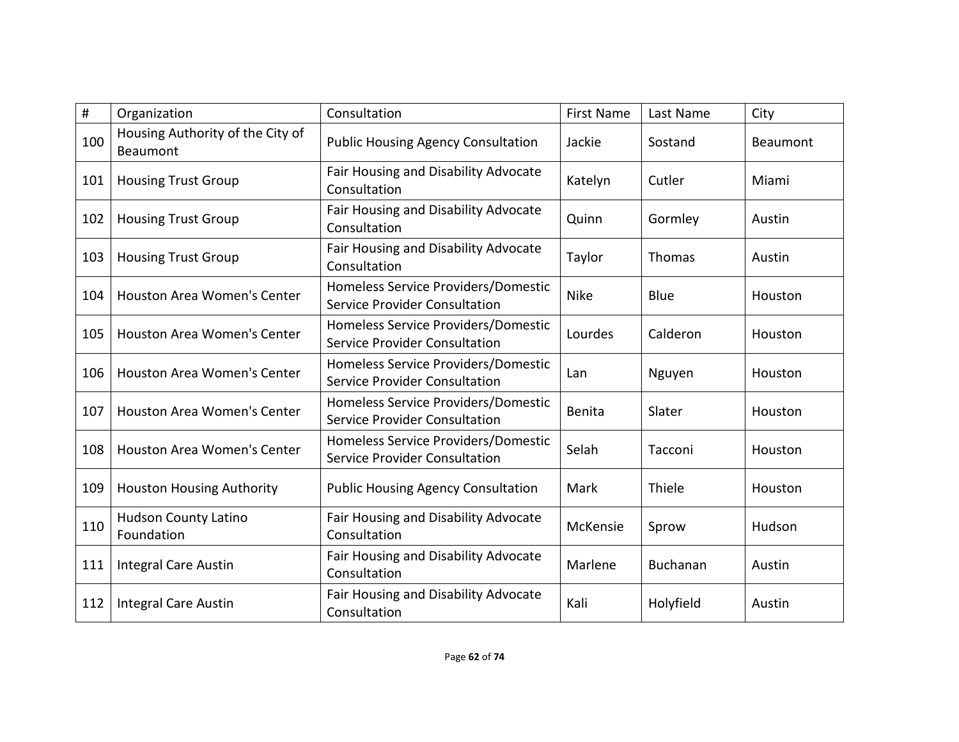| #   | Organization                                 | Consultation                                                                | <b>First Name</b> | Last Name       | City     |
|-----|----------------------------------------------|-----------------------------------------------------------------------------|-------------------|-----------------|----------|
| 100 | Housing Authority of the City of<br>Beaumont | <b>Public Housing Agency Consultation</b>                                   | Jackie            | Sostand         | Beaumont |
| 101 | <b>Housing Trust Group</b>                   | Fair Housing and Disability Advocate<br>Consultation                        | Katelyn           | Cutler          | Miami    |
| 102 | <b>Housing Trust Group</b>                   | Fair Housing and Disability Advocate<br>Consultation                        | Quinn             | Gormley         | Austin   |
| 103 | <b>Housing Trust Group</b>                   | <b>Fair Housing and Disability Advocate</b><br>Consultation                 | Taylor            | Thomas          | Austin   |
| 104 | <b>Houston Area Women's Center</b>           | Homeless Service Providers/Domestic<br>Service Provider Consultation        | <b>Nike</b>       | Blue            | Houston  |
| 105 | <b>Houston Area Women's Center</b>           | Homeless Service Providers/Domestic<br>Service Provider Consultation        | Lourdes           | Calderon        | Houston  |
| 106 | <b>Houston Area Women's Center</b>           | Homeless Service Providers/Domestic<br>Service Provider Consultation        | Lan               | Nguyen          | Houston  |
| 107 | <b>Houston Area Women's Center</b>           | Homeless Service Providers/Domestic<br><b>Service Provider Consultation</b> | Benita            | Slater          | Houston  |
| 108 | <b>Houston Area Women's Center</b>           | Homeless Service Providers/Domestic<br><b>Service Provider Consultation</b> | Selah             | Tacconi         | Houston  |
| 109 | <b>Houston Housing Authority</b>             | <b>Public Housing Agency Consultation</b>                                   | Mark              | Thiele          | Houston  |
| 110 | <b>Hudson County Latino</b><br>Foundation    | Fair Housing and Disability Advocate<br>Consultation                        | McKensie          | Sprow           | Hudson   |
| 111 | <b>Integral Care Austin</b>                  | Fair Housing and Disability Advocate<br>Consultation                        | Marlene           | <b>Buchanan</b> | Austin   |
| 112 | <b>Integral Care Austin</b>                  | Fair Housing and Disability Advocate<br>Consultation                        | Kali              | Holyfield       | Austin   |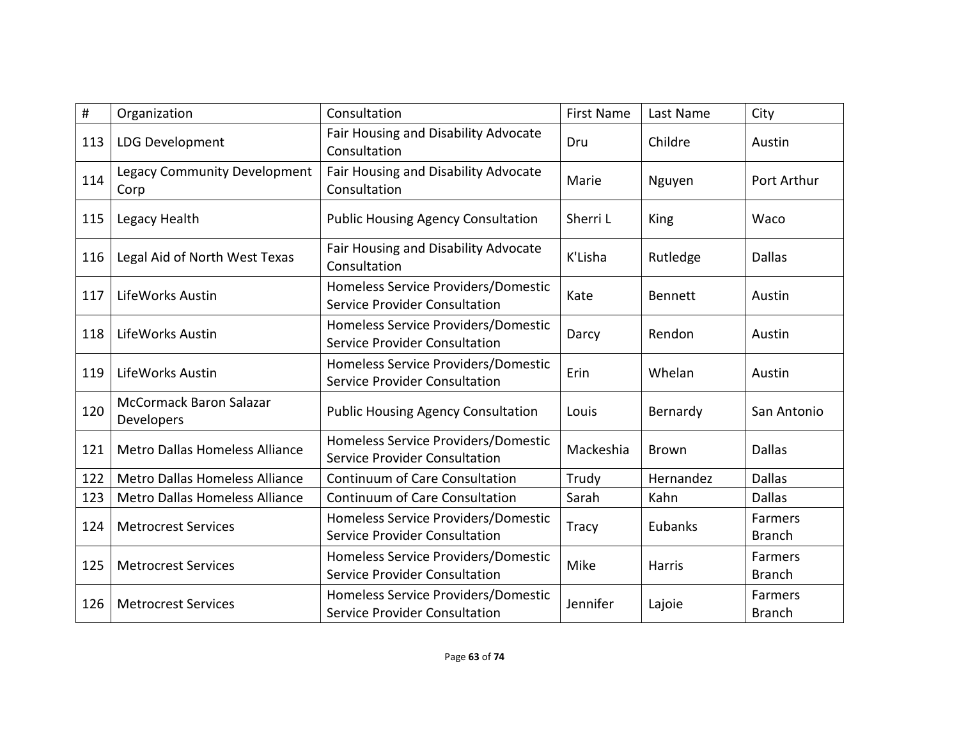| #   | Organization                                | Consultation                                                                | <b>First Name</b> | Last Name      | City                            |
|-----|---------------------------------------------|-----------------------------------------------------------------------------|-------------------|----------------|---------------------------------|
| 113 | <b>LDG Development</b>                      | Fair Housing and Disability Advocate<br>Consultation                        | Dru               | Childre        | Austin                          |
| 114 | <b>Legacy Community Development</b><br>Corp | Fair Housing and Disability Advocate<br>Consultation                        | Marie             | Nguyen         | Port Arthur                     |
| 115 | Legacy Health                               | <b>Public Housing Agency Consultation</b>                                   | Sherri L          | King           | Waco                            |
| 116 | Legal Aid of North West Texas               | Fair Housing and Disability Advocate<br>Consultation                        | K'Lisha           | Rutledge       | <b>Dallas</b>                   |
| 117 | LifeWorks Austin                            | Homeless Service Providers/Domestic<br>Service Provider Consultation        | Kate              | <b>Bennett</b> | Austin                          |
| 118 | LifeWorks Austin                            | Homeless Service Providers/Domestic<br><b>Service Provider Consultation</b> | Darcy             | Rendon         | Austin                          |
| 119 | LifeWorks Austin                            | Homeless Service Providers/Domestic<br>Service Provider Consultation        | Erin              | Whelan         | Austin                          |
| 120 | McCormack Baron Salazar<br>Developers       | <b>Public Housing Agency Consultation</b>                                   | Louis             | Bernardy       | San Antonio                     |
| 121 | <b>Metro Dallas Homeless Alliance</b>       | Homeless Service Providers/Domestic<br><b>Service Provider Consultation</b> | Mackeshia         | <b>Brown</b>   | <b>Dallas</b>                   |
| 122 | <b>Metro Dallas Homeless Alliance</b>       | <b>Continuum of Care Consultation</b>                                       | Trudy             | Hernandez      | <b>Dallas</b>                   |
| 123 | <b>Metro Dallas Homeless Alliance</b>       | <b>Continuum of Care Consultation</b>                                       | Sarah             | Kahn           | <b>Dallas</b>                   |
| 124 | <b>Metrocrest Services</b>                  | Homeless Service Providers/Domestic<br>Service Provider Consultation        | <b>Tracy</b>      | Eubanks        | <b>Farmers</b><br><b>Branch</b> |
| 125 | <b>Metrocrest Services</b>                  | Homeless Service Providers/Domestic<br>Service Provider Consultation        | Mike              | Harris         | Farmers<br><b>Branch</b>        |
| 126 | <b>Metrocrest Services</b>                  | Homeless Service Providers/Domestic<br>Service Provider Consultation        | Jennifer          | Lajoie         | Farmers<br><b>Branch</b>        |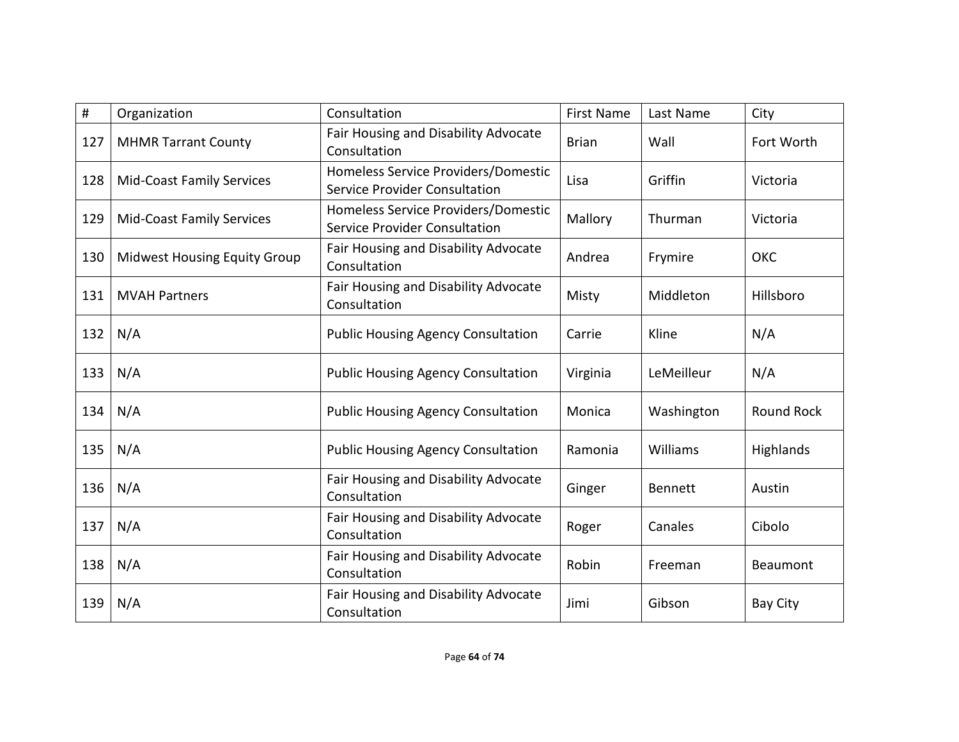| #   | Organization                        | Consultation                                                         | <b>First Name</b> | Last Name      | City              |
|-----|-------------------------------------|----------------------------------------------------------------------|-------------------|----------------|-------------------|
| 127 | <b>MHMR Tarrant County</b>          | Fair Housing and Disability Advocate<br>Consultation                 | <b>Brian</b>      | Wall           | Fort Worth        |
| 128 | <b>Mid-Coast Family Services</b>    | Homeless Service Providers/Domestic<br>Service Provider Consultation | Lisa              | Griffin        | Victoria          |
| 129 | <b>Mid-Coast Family Services</b>    | Homeless Service Providers/Domestic<br>Service Provider Consultation | Mallory           | Thurman        | Victoria          |
| 130 | <b>Midwest Housing Equity Group</b> | Fair Housing and Disability Advocate<br>Consultation                 | Andrea            | Frymire        | OKC               |
| 131 | <b>MVAH Partners</b>                | Fair Housing and Disability Advocate<br>Consultation                 | Misty             | Middleton      | Hillsboro         |
| 132 | N/A                                 | <b>Public Housing Agency Consultation</b>                            | Carrie            | Kline          | N/A               |
| 133 | N/A                                 | <b>Public Housing Agency Consultation</b>                            | Virginia          | LeMeilleur     | N/A               |
| 134 | N/A                                 | <b>Public Housing Agency Consultation</b>                            | Monica            | Washington     | <b>Round Rock</b> |
| 135 | N/A                                 | <b>Public Housing Agency Consultation</b>                            | Ramonia           | Williams       | Highlands         |
| 136 | N/A                                 | Fair Housing and Disability Advocate<br>Consultation                 | Ginger            | <b>Bennett</b> | Austin            |
| 137 | N/A                                 | Fair Housing and Disability Advocate<br>Consultation                 | Roger             | Canales        | Cibolo            |
| 138 | N/A                                 | Fair Housing and Disability Advocate<br>Consultation                 | Robin             | Freeman        | Beaumont          |
| 139 | N/A                                 | Fair Housing and Disability Advocate<br>Consultation                 | Jimi              | Gibson         | Bay City          |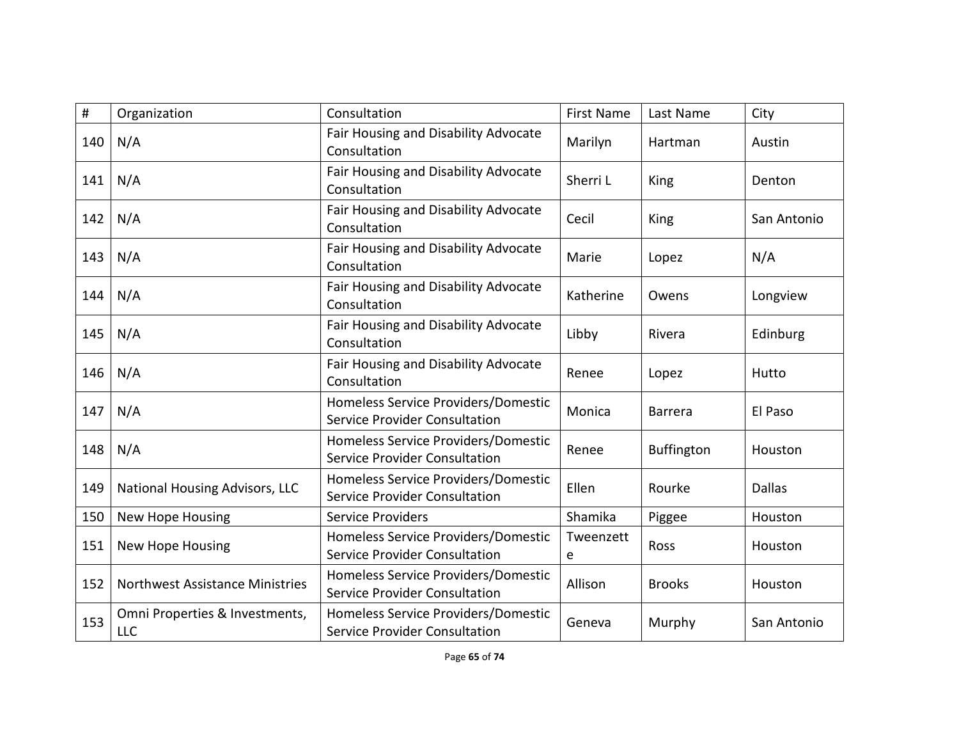| $\#$ | Organization                          | Consultation                                                                | <b>First Name</b> | Last Name         | City          |
|------|---------------------------------------|-----------------------------------------------------------------------------|-------------------|-------------------|---------------|
| 140  | N/A                                   | Fair Housing and Disability Advocate<br>Consultation                        | Marilyn           | Hartman           | Austin        |
| 141  | N/A                                   | Fair Housing and Disability Advocate<br>Consultation                        | Sherri L          | King              | Denton        |
| 142  | N/A                                   | Fair Housing and Disability Advocate<br>Consultation                        | Cecil             | King              | San Antonio   |
| 143  | N/A                                   | Fair Housing and Disability Advocate<br>Consultation                        | Marie             | Lopez             | N/A           |
| 144  | N/A                                   | Fair Housing and Disability Advocate<br>Consultation                        | Katherine         | Owens             | Longview      |
| 145  | N/A                                   | Fair Housing and Disability Advocate<br>Consultation                        | Libby             | Rivera            | Edinburg      |
| 146  | N/A                                   | Fair Housing and Disability Advocate<br>Consultation                        | Renee             | Lopez             | Hutto         |
| 147  | N/A                                   | Homeless Service Providers/Domestic<br>Service Provider Consultation        | Monica            | <b>Barrera</b>    | El Paso       |
| 148  | N/A                                   | Homeless Service Providers/Domestic<br>Service Provider Consultation        | Renee             | <b>Buffington</b> | Houston       |
| 149  | <b>National Housing Advisors, LLC</b> | Homeless Service Providers/Domestic<br><b>Service Provider Consultation</b> | Ellen             | Rourke            | <b>Dallas</b> |
| 150  | New Hope Housing                      | <b>Service Providers</b>                                                    | Shamika           | Piggee            | Houston       |
| 151  | <b>New Hope Housing</b>               | Homeless Service Providers/Domestic<br><b>Service Provider Consultation</b> | Tweenzett<br>e    | Ross              | Houston       |
| 152  | Northwest Assistance Ministries       | Homeless Service Providers/Domestic<br>Service Provider Consultation        | Allison           | <b>Brooks</b>     | Houston       |
| 153  | Omni Properties & Investments,<br>LLC | Homeless Service Providers/Domestic<br>Service Provider Consultation        | Geneva            | Murphy            | San Antonio   |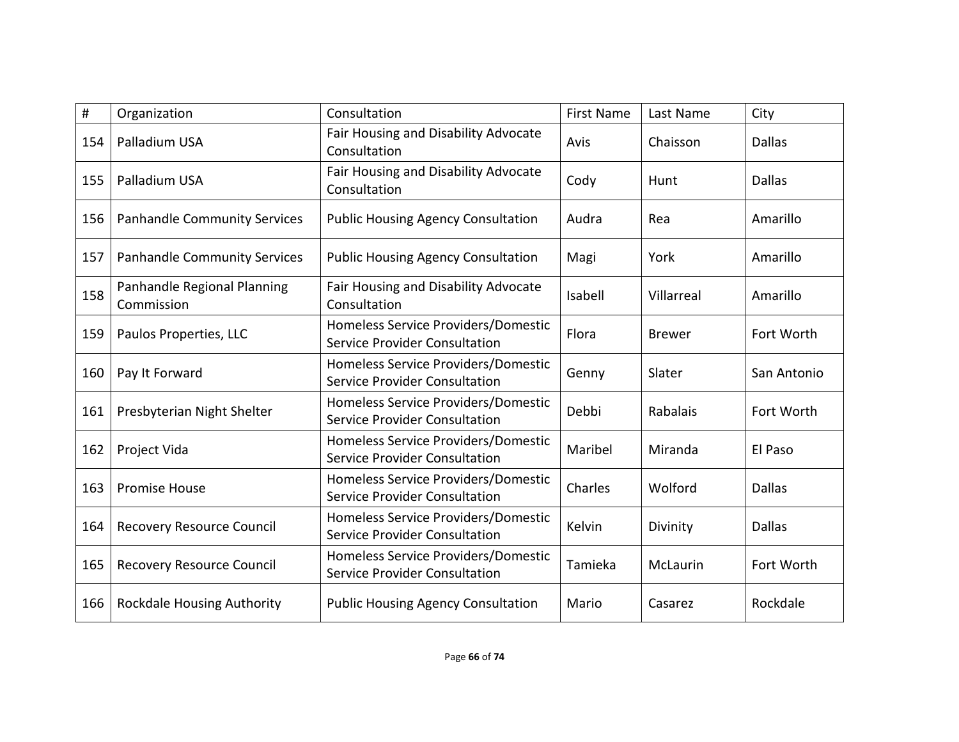| #   | Organization                              | Consultation                                                                | <b>First Name</b> | Last Name     | City          |
|-----|-------------------------------------------|-----------------------------------------------------------------------------|-------------------|---------------|---------------|
| 154 | Palladium USA                             | Fair Housing and Disability Advocate<br>Consultation                        | Avis              | Chaisson      | <b>Dallas</b> |
| 155 | Palladium USA                             | Fair Housing and Disability Advocate<br>Consultation                        | Cody              | Hunt          | <b>Dallas</b> |
| 156 | <b>Panhandle Community Services</b>       | <b>Public Housing Agency Consultation</b>                                   | Audra             | Rea           | Amarillo      |
| 157 | <b>Panhandle Community Services</b>       | <b>Public Housing Agency Consultation</b>                                   | Magi              | York          | Amarillo      |
| 158 | Panhandle Regional Planning<br>Commission | Fair Housing and Disability Advocate<br>Consultation                        | Isabell           | Villarreal    | Amarillo      |
| 159 | Paulos Properties, LLC                    | Homeless Service Providers/Domestic<br><b>Service Provider Consultation</b> | Flora             | <b>Brewer</b> | Fort Worth    |
| 160 | Pay It Forward                            | Homeless Service Providers/Domestic<br>Service Provider Consultation        | Genny             | Slater        | San Antonio   |
| 161 | Presbyterian Night Shelter                | Homeless Service Providers/Domestic<br>Service Provider Consultation        | Debbi             | Rabalais      | Fort Worth    |
| 162 | Project Vida                              | Homeless Service Providers/Domestic<br>Service Provider Consultation        | Maribel           | Miranda       | El Paso       |
| 163 | <b>Promise House</b>                      | Homeless Service Providers/Domestic<br>Service Provider Consultation        | Charles           | Wolford       | <b>Dallas</b> |
| 164 | <b>Recovery Resource Council</b>          | Homeless Service Providers/Domestic<br>Service Provider Consultation        | Kelvin            | Divinity      | <b>Dallas</b> |
| 165 | Recovery Resource Council                 | Homeless Service Providers/Domestic<br>Service Provider Consultation        | Tamieka           | McLaurin      | Fort Worth    |
| 166 | <b>Rockdale Housing Authority</b>         | <b>Public Housing Agency Consultation</b>                                   | Mario             | Casarez       | Rockdale      |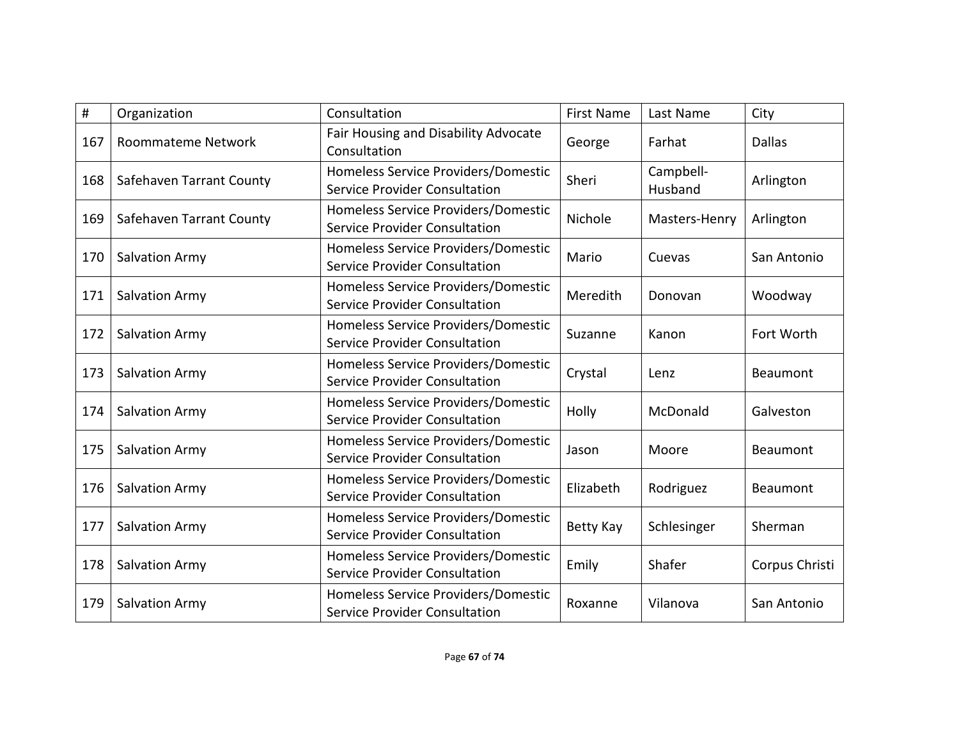| #   | Organization             | Consultation                                                                | <b>First Name</b> | Last Name            | City           |
|-----|--------------------------|-----------------------------------------------------------------------------|-------------------|----------------------|----------------|
| 167 | Roommateme Network       | Fair Housing and Disability Advocate<br>Consultation                        | George            | Farhat               | <b>Dallas</b>  |
| 168 | Safehaven Tarrant County | Homeless Service Providers/Domestic<br>Service Provider Consultation        | Sheri             | Campbell-<br>Husband | Arlington      |
| 169 | Safehaven Tarrant County | Homeless Service Providers/Domestic<br>Service Provider Consultation        | Nichole           | Masters-Henry        | Arlington      |
| 170 | <b>Salvation Army</b>    | Homeless Service Providers/Domestic<br><b>Service Provider Consultation</b> | Mario             | Cuevas               | San Antonio    |
| 171 | <b>Salvation Army</b>    | Homeless Service Providers/Domestic<br><b>Service Provider Consultation</b> | Meredith          | Donovan              | Woodway        |
| 172 | Salvation Army           | Homeless Service Providers/Domestic<br><b>Service Provider Consultation</b> | Suzanne           | Kanon                | Fort Worth     |
| 173 | Salvation Army           | Homeless Service Providers/Domestic<br>Service Provider Consultation        | Crystal           | Lenz                 | Beaumont       |
| 174 | <b>Salvation Army</b>    | Homeless Service Providers/Domestic<br>Service Provider Consultation        | Holly             | McDonald             | Galveston      |
| 175 | <b>Salvation Army</b>    | Homeless Service Providers/Domestic<br>Service Provider Consultation        | Jason             | Moore                | Beaumont       |
| 176 | <b>Salvation Army</b>    | Homeless Service Providers/Domestic<br><b>Service Provider Consultation</b> | Elizabeth         | Rodriguez            | Beaumont       |
| 177 | Salvation Army           | Homeless Service Providers/Domestic<br>Service Provider Consultation        | Betty Kay         | Schlesinger          | Sherman        |
| 178 | Salvation Army           | Homeless Service Providers/Domestic<br>Service Provider Consultation        | Emily             | Shafer               | Corpus Christi |
| 179 | <b>Salvation Army</b>    | Homeless Service Providers/Domestic<br><b>Service Provider Consultation</b> | Roxanne           | Vilanova             | San Antonio    |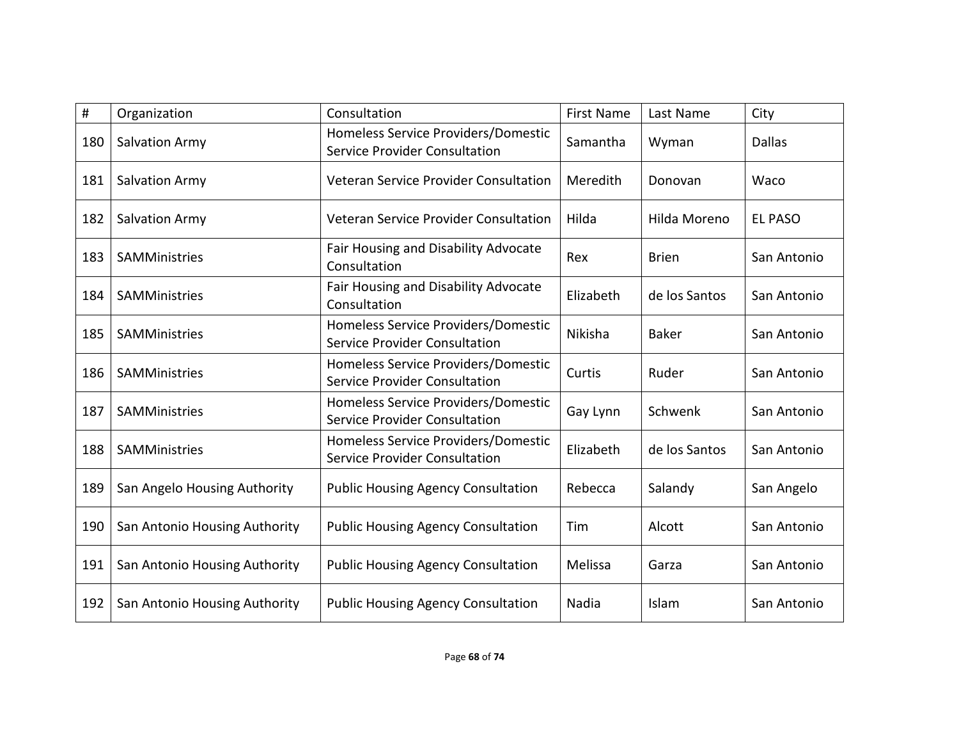| #   | Organization                  | Consultation                                                                | <b>First Name</b> | Last Name     | City           |
|-----|-------------------------------|-----------------------------------------------------------------------------|-------------------|---------------|----------------|
| 180 | Salvation Army                | Homeless Service Providers/Domestic<br><b>Service Provider Consultation</b> | Samantha          | Wyman         | <b>Dallas</b>  |
| 181 | Salvation Army                | Veteran Service Provider Consultation                                       | Meredith          | Donovan       | Waco           |
| 182 | <b>Salvation Army</b>         | Veteran Service Provider Consultation                                       | Hilda             | Hilda Moreno  | <b>EL PASO</b> |
| 183 | SAMMinistries                 | Fair Housing and Disability Advocate<br>Consultation                        | Rex               | <b>Brien</b>  | San Antonio    |
| 184 | SAMMinistries                 | Fair Housing and Disability Advocate<br>Consultation                        | Elizabeth         | de los Santos | San Antonio    |
| 185 | SAMMinistries                 | Homeless Service Providers/Domestic<br>Service Provider Consultation        | <b>Nikisha</b>    | <b>Baker</b>  | San Antonio    |
| 186 | SAMMinistries                 | Homeless Service Providers/Domestic<br>Service Provider Consultation        | Curtis            | Ruder         | San Antonio    |
| 187 | SAMMinistries                 | Homeless Service Providers/Domestic<br><b>Service Provider Consultation</b> | Gay Lynn          | Schwenk       | San Antonio    |
| 188 | SAMMinistries                 | Homeless Service Providers/Domestic<br><b>Service Provider Consultation</b> | Elizabeth         | de los Santos | San Antonio    |
| 189 | San Angelo Housing Authority  | <b>Public Housing Agency Consultation</b>                                   | Rebecca           | Salandy       | San Angelo     |
| 190 | San Antonio Housing Authority | <b>Public Housing Agency Consultation</b>                                   | Tim               | Alcott        | San Antonio    |
| 191 | San Antonio Housing Authority | <b>Public Housing Agency Consultation</b>                                   | Melissa           | Garza         | San Antonio    |
| 192 | San Antonio Housing Authority | <b>Public Housing Agency Consultation</b>                                   | Nadia             | Islam         | San Antonio    |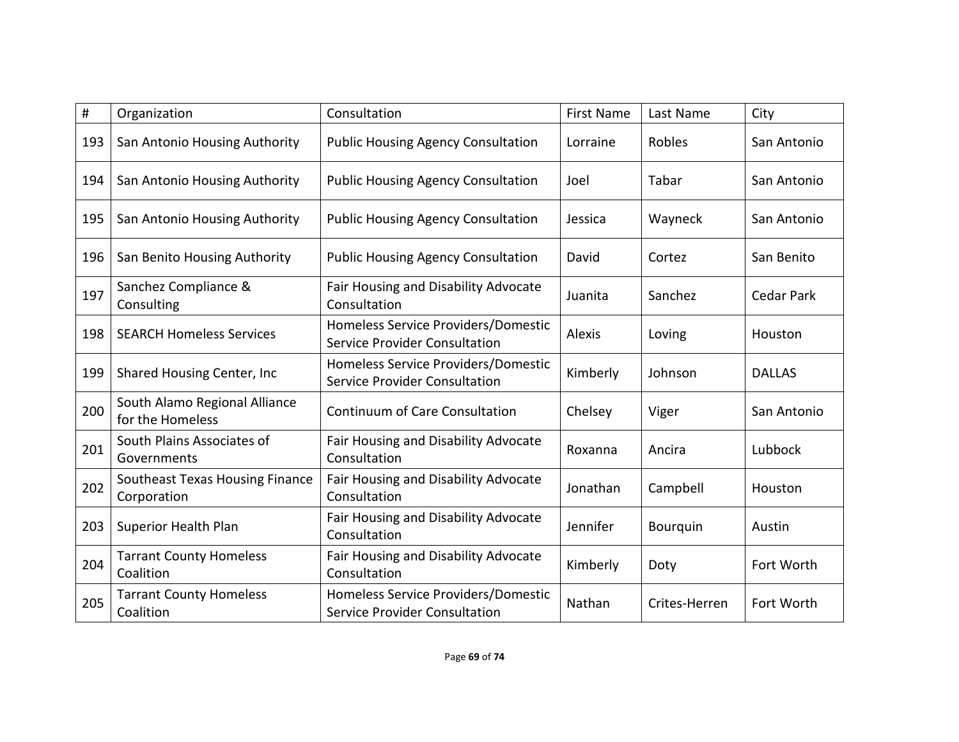| #   | Organization                                      | Consultation                                                         | <b>First Name</b> | Last Name       | City              |
|-----|---------------------------------------------------|----------------------------------------------------------------------|-------------------|-----------------|-------------------|
| 193 | San Antonio Housing Authority                     | <b>Public Housing Agency Consultation</b>                            | Lorraine          | Robles          | San Antonio       |
| 194 | San Antonio Housing Authority                     | <b>Public Housing Agency Consultation</b>                            | Joel              | Tabar           | San Antonio       |
| 195 | San Antonio Housing Authority                     | <b>Public Housing Agency Consultation</b>                            | Jessica           | Wayneck         | San Antonio       |
| 196 | San Benito Housing Authority                      | <b>Public Housing Agency Consultation</b>                            | David             | Cortez          | San Benito        |
| 197 | Sanchez Compliance &<br>Consulting                | Fair Housing and Disability Advocate<br>Consultation                 | Juanita           | Sanchez         | <b>Cedar Park</b> |
| 198 | <b>SEARCH Homeless Services</b>                   | Homeless Service Providers/Domestic<br>Service Provider Consultation | Alexis            | Loving          | Houston           |
| 199 | Shared Housing Center, Inc                        | Homeless Service Providers/Domestic<br>Service Provider Consultation | Kimberly          | Johnson         | <b>DALLAS</b>     |
| 200 | South Alamo Regional Alliance<br>for the Homeless | <b>Continuum of Care Consultation</b>                                | Chelsey           | Viger           | San Antonio       |
| 201 | South Plains Associates of<br>Governments         | Fair Housing and Disability Advocate<br>Consultation                 | Roxanna           | Ancira          | Lubbock           |
| 202 | Southeast Texas Housing Finance<br>Corporation    | Fair Housing and Disability Advocate<br>Consultation                 | Jonathan          | Campbell        | Houston           |
| 203 | Superior Health Plan                              | <b>Fair Housing and Disability Advocate</b><br>Consultation          | Jennifer          | <b>Bourguin</b> | Austin            |
| 204 | <b>Tarrant County Homeless</b><br>Coalition       | Fair Housing and Disability Advocate<br>Consultation                 | Kimberly          | Doty            | Fort Worth        |
| 205 | <b>Tarrant County Homeless</b><br>Coalition       | Homeless Service Providers/Domestic<br>Service Provider Consultation | Nathan            | Crites-Herren   | Fort Worth        |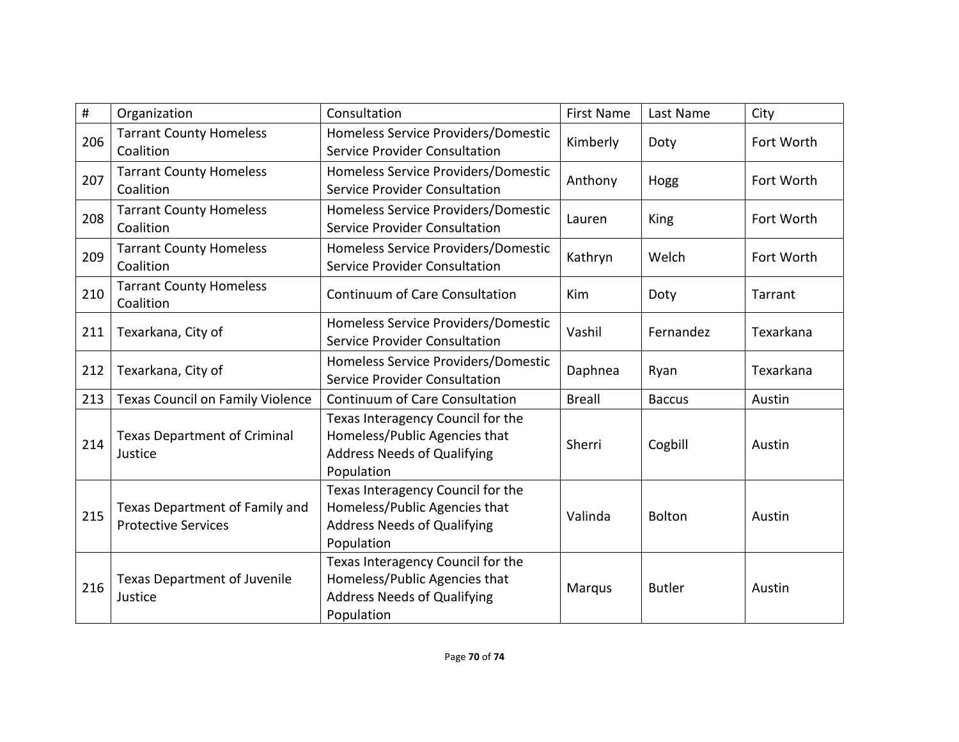| #   | Organization                                                 | Consultation                                                                                                           | <b>First Name</b> | Last Name     | City       |
|-----|--------------------------------------------------------------|------------------------------------------------------------------------------------------------------------------------|-------------------|---------------|------------|
| 206 | <b>Tarrant County Homeless</b><br>Coalition                  | Homeless Service Providers/Domestic<br><b>Service Provider Consultation</b>                                            | Kimberly          | Doty          | Fort Worth |
| 207 | <b>Tarrant County Homeless</b><br>Coalition                  | Homeless Service Providers/Domestic<br><b>Service Provider Consultation</b>                                            | Anthony           | Hogg          | Fort Worth |
| 208 | <b>Tarrant County Homeless</b><br>Coalition                  | Homeless Service Providers/Domestic<br><b>Service Provider Consultation</b>                                            | Lauren            | King          | Fort Worth |
| 209 | <b>Tarrant County Homeless</b><br>Coalition                  | Homeless Service Providers/Domestic<br><b>Service Provider Consultation</b>                                            | Kathryn           | Welch         | Fort Worth |
| 210 | <b>Tarrant County Homeless</b><br>Coalition                  | <b>Continuum of Care Consultation</b>                                                                                  | Kim               | Doty          | Tarrant    |
| 211 | Texarkana, City of                                           | Homeless Service Providers/Domestic<br><b>Service Provider Consultation</b>                                            | Vashil            | Fernandez     | Texarkana  |
| 212 | Texarkana, City of                                           | Homeless Service Providers/Domestic<br><b>Service Provider Consultation</b>                                            | Daphnea           | Ryan          | Texarkana  |
| 213 | <b>Texas Council on Family Violence</b>                      | Continuum of Care Consultation                                                                                         | <b>Breall</b>     | <b>Baccus</b> | Austin     |
| 214 | <b>Texas Department of Criminal</b><br>Justice               | Texas Interagency Council for the<br>Homeless/Public Agencies that<br><b>Address Needs of Qualifying</b><br>Population | Sherri            | Cogbill       | Austin     |
| 215 | Texas Department of Family and<br><b>Protective Services</b> | Texas Interagency Council for the<br>Homeless/Public Agencies that<br><b>Address Needs of Qualifying</b><br>Population | Valinda           | <b>Bolton</b> | Austin     |
| 216 | <b>Texas Department of Juvenile</b><br>Justice               | Texas Interagency Council for the<br>Homeless/Public Agencies that<br><b>Address Needs of Qualifying</b><br>Population | Marqus            | <b>Butler</b> | Austin     |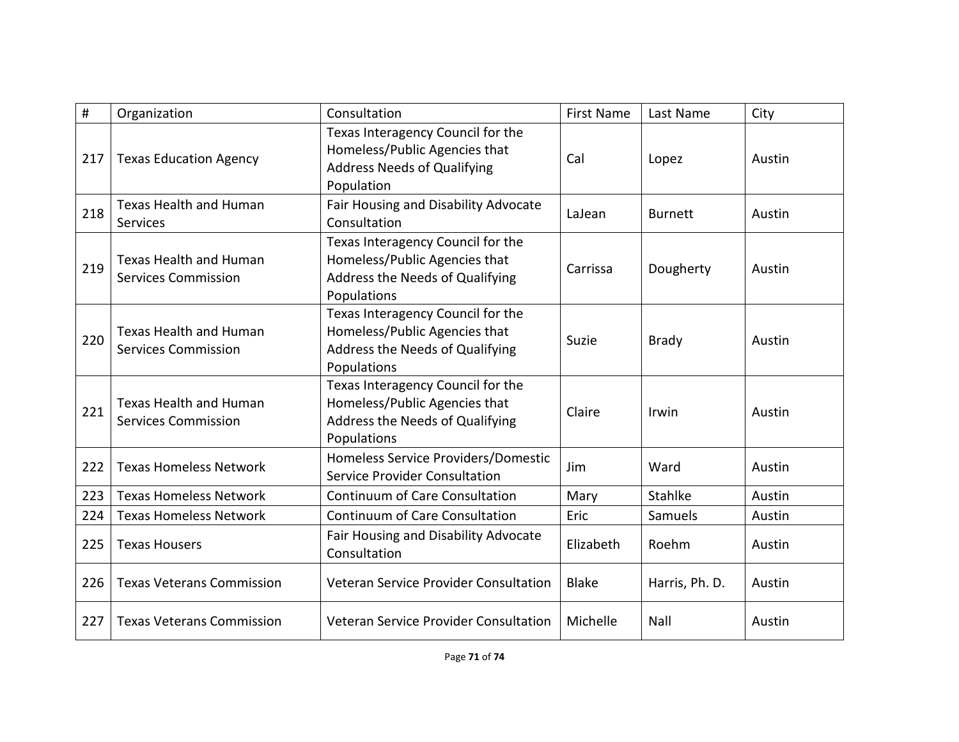| #   | Organization                                                | Consultation                                                                                                           | <b>First Name</b> | Last Name      | City   |
|-----|-------------------------------------------------------------|------------------------------------------------------------------------------------------------------------------------|-------------------|----------------|--------|
| 217 | <b>Texas Education Agency</b>                               | Texas Interagency Council for the<br>Homeless/Public Agencies that<br><b>Address Needs of Qualifying</b><br>Population | Cal               | Lopez          | Austin |
| 218 | Texas Health and Human<br><b>Services</b>                   | Fair Housing and Disability Advocate<br>Consultation                                                                   | LaJean            | <b>Burnett</b> | Austin |
| 219 | <b>Texas Health and Human</b><br><b>Services Commission</b> | Texas Interagency Council for the<br>Homeless/Public Agencies that<br>Address the Needs of Qualifying<br>Populations   | Carrissa          | Dougherty      | Austin |
| 220 | <b>Texas Health and Human</b><br><b>Services Commission</b> | Texas Interagency Council for the<br>Homeless/Public Agencies that<br>Address the Needs of Qualifying<br>Populations   | Suzie             | <b>Brady</b>   | Austin |
| 221 | <b>Texas Health and Human</b><br><b>Services Commission</b> | Texas Interagency Council for the<br>Homeless/Public Agencies that<br>Address the Needs of Qualifying<br>Populations   | Claire            | Irwin          | Austin |
| 222 | <b>Texas Homeless Network</b>                               | Homeless Service Providers/Domestic<br>Service Provider Consultation                                                   | Jim               | Ward           | Austin |
| 223 | <b>Texas Homeless Network</b>                               | <b>Continuum of Care Consultation</b>                                                                                  | Mary              | Stahlke        | Austin |
| 224 | <b>Texas Homeless Network</b>                               | <b>Continuum of Care Consultation</b>                                                                                  | Eric              | Samuels        | Austin |
| 225 | <b>Texas Housers</b>                                        | Fair Housing and Disability Advocate<br>Consultation                                                                   | Elizabeth         | Roehm          | Austin |
| 226 | <b>Texas Veterans Commission</b>                            | Veteran Service Provider Consultation                                                                                  | <b>Blake</b>      | Harris, Ph. D. | Austin |
| 227 | <b>Texas Veterans Commission</b>                            | Veteran Service Provider Consultation                                                                                  | Michelle          | Nall           | Austin |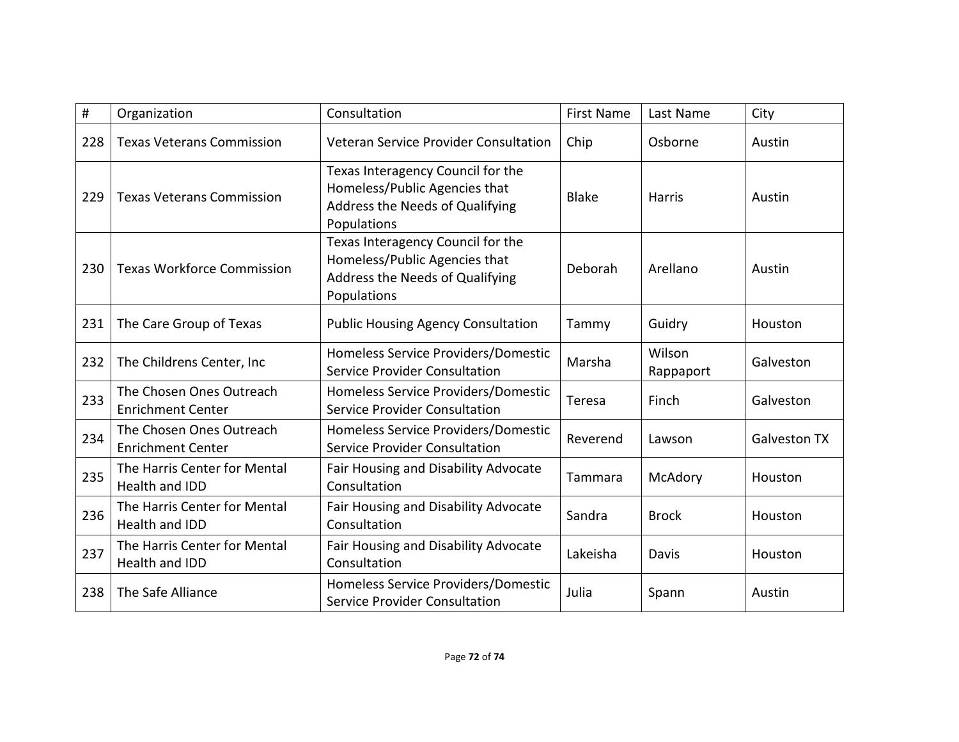| #   | Organization                                         | Consultation                                                                                                         | <b>First Name</b> | Last Name           | City                |
|-----|------------------------------------------------------|----------------------------------------------------------------------------------------------------------------------|-------------------|---------------------|---------------------|
| 228 | <b>Texas Veterans Commission</b>                     | Veteran Service Provider Consultation                                                                                | Chip              | Osborne             | Austin              |
| 229 | <b>Texas Veterans Commission</b>                     | Texas Interagency Council for the<br>Homeless/Public Agencies that<br>Address the Needs of Qualifying<br>Populations | <b>Blake</b>      | <b>Harris</b>       | Austin              |
| 230 | <b>Texas Workforce Commission</b>                    | Texas Interagency Council for the<br>Homeless/Public Agencies that<br>Address the Needs of Qualifying<br>Populations | Deborah           | Arellano            | Austin              |
| 231 | The Care Group of Texas                              | <b>Public Housing Agency Consultation</b>                                                                            | Tammy             | Guidry              | Houston             |
| 232 | The Childrens Center, Inc                            | Homeless Service Providers/Domestic<br>Service Provider Consultation                                                 | Marsha            | Wilson<br>Rappaport | Galveston           |
| 233 | The Chosen Ones Outreach<br><b>Enrichment Center</b> | Homeless Service Providers/Domestic<br><b>Service Provider Consultation</b>                                          | Teresa            | Finch               | Galveston           |
| 234 | The Chosen Ones Outreach<br><b>Enrichment Center</b> | Homeless Service Providers/Domestic<br><b>Service Provider Consultation</b>                                          | Reverend          | Lawson              | <b>Galveston TX</b> |
| 235 | The Harris Center for Mental<br>Health and IDD       | Fair Housing and Disability Advocate<br>Consultation                                                                 | Tammara           | McAdory             | Houston             |
| 236 | The Harris Center for Mental<br>Health and IDD       | Fair Housing and Disability Advocate<br>Consultation                                                                 | Sandra            | <b>Brock</b>        | Houston             |
| 237 | The Harris Center for Mental<br>Health and IDD       | Fair Housing and Disability Advocate<br>Consultation                                                                 | Lakeisha          | Davis               | Houston             |
| 238 | The Safe Alliance                                    | Homeless Service Providers/Domestic<br>Service Provider Consultation                                                 | Julia             | Spann               | Austin              |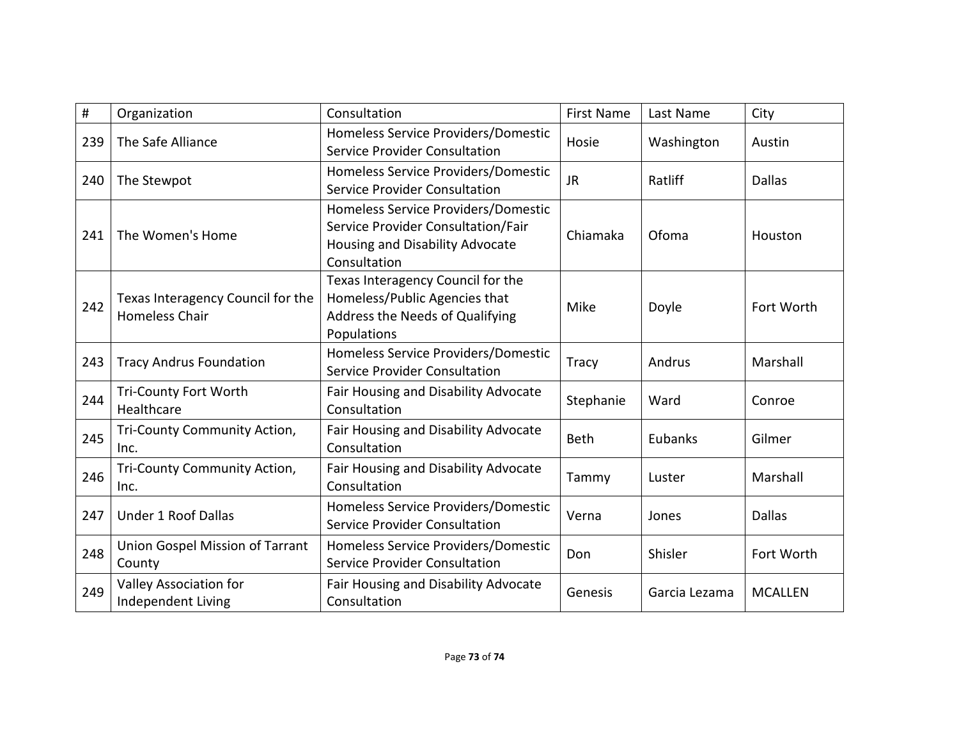| #   | Organization                                               | Consultation                                                                                                                 | <b>First Name</b> | Last Name     | City           |
|-----|------------------------------------------------------------|------------------------------------------------------------------------------------------------------------------------------|-------------------|---------------|----------------|
| 239 | The Safe Alliance                                          | Homeless Service Providers/Domestic<br>Service Provider Consultation                                                         | Hosie             | Washington    | Austin         |
| 240 | The Stewpot                                                | Homeless Service Providers/Domestic<br><b>Service Provider Consultation</b>                                                  | <b>JR</b>         | Ratliff       | <b>Dallas</b>  |
| 241 | The Women's Home                                           | Homeless Service Providers/Domestic<br>Service Provider Consultation/Fair<br>Housing and Disability Advocate<br>Consultation | Chiamaka          | Ofoma         | Houston        |
| 242 | Texas Interagency Council for the<br><b>Homeless Chair</b> | Texas Interagency Council for the<br>Homeless/Public Agencies that<br>Address the Needs of Qualifying<br>Populations         | Mike              | Doyle         | Fort Worth     |
| 243 | <b>Tracy Andrus Foundation</b>                             | Homeless Service Providers/Domestic<br>Service Provider Consultation                                                         | <b>Tracy</b>      | Andrus        | Marshall       |
| 244 | <b>Tri-County Fort Worth</b><br>Healthcare                 | Fair Housing and Disability Advocate<br>Consultation                                                                         | Stephanie         | Ward          | Conroe         |
| 245 | Tri-County Community Action,<br>Inc.                       | Fair Housing and Disability Advocate<br>Consultation                                                                         | Beth              | Eubanks       | Gilmer         |
| 246 | Tri-County Community Action,<br>Inc.                       | Fair Housing and Disability Advocate<br>Consultation                                                                         | Tammy             | Luster        | Marshall       |
| 247 | <b>Under 1 Roof Dallas</b>                                 | Homeless Service Providers/Domestic<br>Service Provider Consultation                                                         | Verna             | Jones         | <b>Dallas</b>  |
| 248 | Union Gospel Mission of Tarrant<br>County                  | Homeless Service Providers/Domestic<br><b>Service Provider Consultation</b>                                                  | Don               | Shisler       | Fort Worth     |
| 249 | Valley Association for<br><b>Independent Living</b>        | Fair Housing and Disability Advocate<br>Consultation                                                                         | Genesis           | Garcia Lezama | <b>MCALLEN</b> |